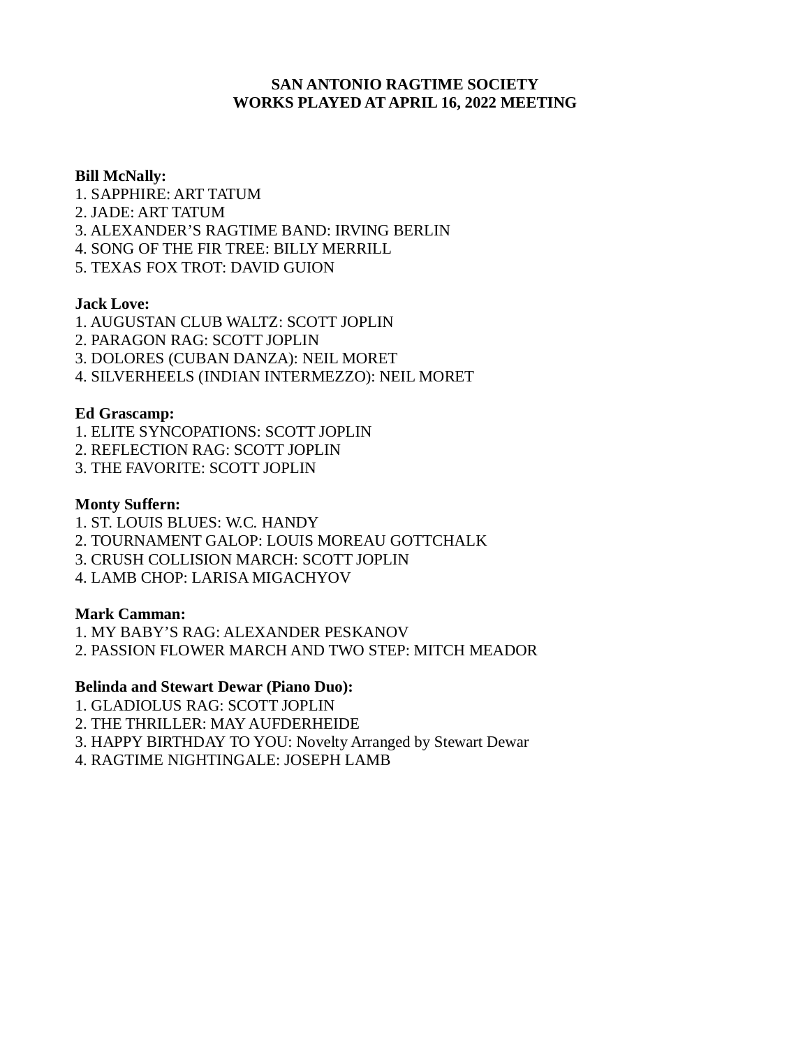#### **SAN ANTONIO RAGTIME SOCIETY WORKS PLAYED AT APRIL 16, 2022 MEETING**

#### **Bill McNally:**

1. SAPPHIRE: ART TATUM 2. JADE: ART TATUM 3. ALEXANDER'S RAGTIME BAND: IRVING BERLIN 4. SONG OF THE FIR TREE: BILLY MERRILL 5. TEXAS FOX TROT: DAVID GUION

#### **Jack Love:**

- 1. AUGUSTAN CLUB WALTZ: SCOTT JOPLIN
- 2. PARAGON RAG: SCOTT JOPLIN
- 3. DOLORES (CUBAN DANZA): NEIL MORET
- 4. SILVERHEELS (INDIAN INTERMEZZO): NEIL MORET

#### **Ed Grascamp:**

- 1. ELITE SYNCOPATIONS: SCOTT JOPLIN
- 2. REFLECTION RAG: SCOTT JOPLIN
- 3. THE FAVORITE: SCOTT JOPLIN

#### **Monty Suffern:**

1. ST. LOUIS BLUES: W.C. HANDY 2. TOURNAMENT GALOP: LOUIS MOREAU GOTTCHALK 3. CRUSH COLLISION MARCH: SCOTT JOPLIN 4. LAMB CHOP: LARISA MIGACHYOV

#### **Mark Camman:**

1. MY BABY'S RAG: ALEXANDER PESKANOV

2. PASSION FLOWER MARCH AND TWO STEP: MITCH MEADOR

#### **Belinda and Stewart Dewar (Piano Duo):**

- 1. GLADIOLUS RAG: SCOTT JOPLIN
- 2. THE THRILLER: MAY AUFDERHEIDE
- 3. HAPPY BIRTHDAY TO YOU: Novelty Arranged by Stewart Dewar
- 4. RAGTIME NIGHTINGALE: JOSEPH LAMB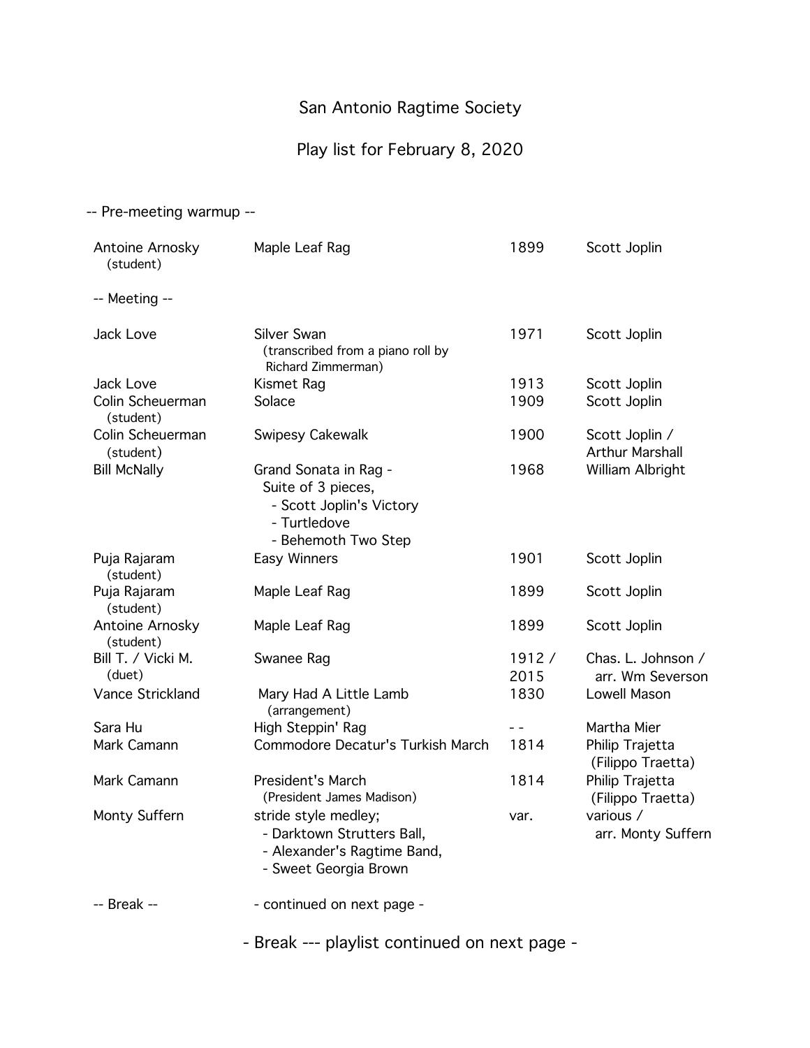# Play list for February 8, 2020

#### -- Pre-meeting warmup --

| Antoine Arnosky<br>(student)  | Maple Leaf Rag                                                                                                 | 1899          | Scott Joplin                             |
|-------------------------------|----------------------------------------------------------------------------------------------------------------|---------------|------------------------------------------|
| -- Meeting --                 |                                                                                                                |               |                                          |
| Jack Love                     | Silver Swan<br>(transcribed from a piano roll by<br>Richard Zimmerman)                                         | 1971          | Scott Joplin                             |
| Jack Love<br>Colin Scheuerman | Kismet Rag<br>Solace                                                                                           | 1913<br>1909  | Scott Joplin<br>Scott Joplin             |
| (student)                     |                                                                                                                |               |                                          |
| Colin Scheuerman<br>(student) | Swipesy Cakewalk                                                                                               | 1900          | Scott Joplin /<br><b>Arthur Marshall</b> |
| <b>Bill McNally</b>           | Grand Sonata in Rag -<br>Suite of 3 pieces,<br>- Scott Joplin's Victory<br>- Turtledove<br>- Behemoth Two Step | 1968          | William Albright                         |
| Puja Rajaram<br>(student)     | Easy Winners                                                                                                   | 1901          | Scott Joplin                             |
| Puja Rajaram<br>(student)     | Maple Leaf Rag                                                                                                 | 1899          | Scott Joplin                             |
| Antoine Arnosky<br>(student)  | Maple Leaf Rag                                                                                                 | 1899          | Scott Joplin                             |
| Bill T. / Vicki M.<br>(duet)  | Swanee Rag                                                                                                     | 1912/<br>2015 | Chas. L. Johnson /<br>arr. Wm Severson   |
| Vance Strickland              | Mary Had A Little Lamb<br>(arrangement)                                                                        | 1830          | Lowell Mason                             |
| Sara Hu                       | High Steppin' Rag                                                                                              | - -           | Martha Mier                              |
| Mark Camann                   | Commodore Decatur's Turkish March                                                                              | 1814          | Philip Trajetta<br>(Filippo Traetta)     |
| Mark Camann                   | <b>President's March</b><br>(President James Madison)                                                          | 1814          | Philip Trajetta<br>(Filippo Traetta)     |
| Monty Suffern                 | stride style medley;<br>- Darktown Strutters Ball,<br>- Alexander's Ragtime Band,<br>- Sweet Georgia Brown     | var.          | various /<br>arr. Monty Suffern          |
| -- Break --                   | - continued on next page -                                                                                     |               |                                          |

- Break --- playlist continued on next page -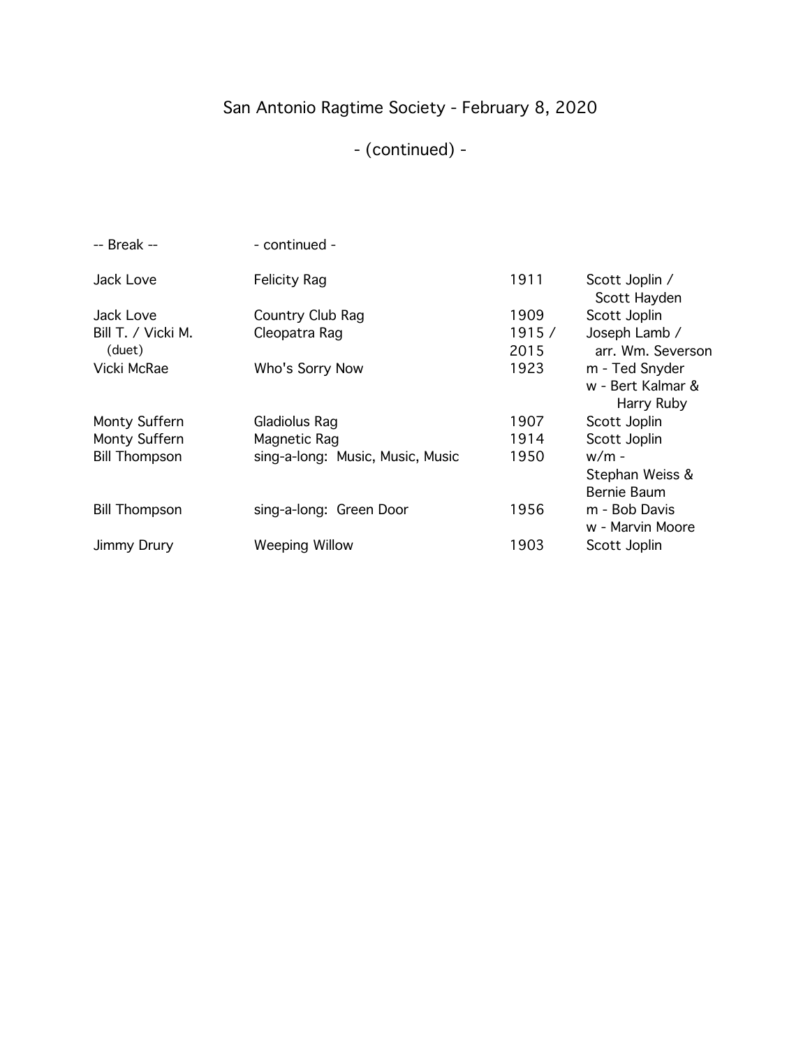# San Antonio Ragtime Society - February 8, 2020

# - (continued) -

| $-$ Break $-$        | - continued -                    |       |                                   |
|----------------------|----------------------------------|-------|-----------------------------------|
| Jack Love            | <b>Felicity Rag</b>              | 1911  | Scott Joplin /<br>Scott Hayden    |
| Jack Love            | Country Club Rag                 | 1909  | Scott Joplin                      |
| Bill T. / Vicki M.   | Cleopatra Rag                    | 1915/ | Joseph Lamb /                     |
| (duet)               |                                  | 2015  | arr. Wm. Severson                 |
| Vicki McRae          | Who's Sorry Now                  | 1923  | m - Ted Snyder                    |
|                      |                                  |       | w - Bert Kalmar &                 |
|                      |                                  |       | Harry Ruby                        |
| Monty Suffern        | Gladiolus Rag                    | 1907  | Scott Joplin                      |
| Monty Suffern        | Magnetic Rag                     | 1914  | Scott Joplin                      |
| <b>Bill Thompson</b> | sing-a-long: Music, Music, Music | 1950  | $w/m -$                           |
|                      |                                  |       | Stephan Weiss &                   |
|                      |                                  |       | Bernie Baum                       |
| <b>Bill Thompson</b> | sing-a-long: Green Door          | 1956  | m - Bob Davis<br>w - Marvin Moore |
|                      |                                  |       |                                   |
| Jimmy Drury          | <b>Weeping Willow</b>            | 1903  | Scott Joplin                      |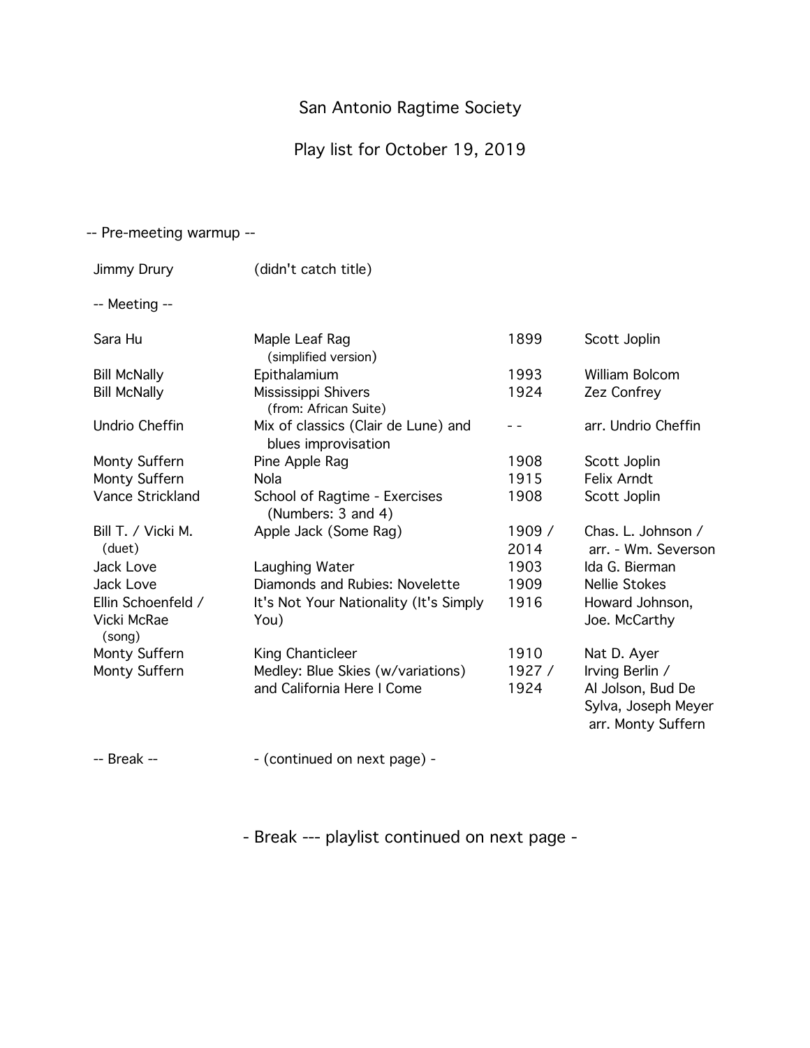# Play list for October 19, 2019

#### -- Pre-meeting warmup --

| Jimmy Drury                                 | (didn't catch title)                                            |                |                                                                                   |
|---------------------------------------------|-----------------------------------------------------------------|----------------|-----------------------------------------------------------------------------------|
| -- Meeting --                               |                                                                 |                |                                                                                   |
| Sara Hu                                     | Maple Leaf Rag<br>(simplified version)                          | 1899           | Scott Joplin                                                                      |
| <b>Bill McNally</b>                         | Epithalamium                                                    | 1993           | <b>William Bolcom</b>                                                             |
| <b>Bill McNally</b>                         | Mississippi Shivers<br>(from: African Suite)                    | 1924           | Zez Confrey                                                                       |
| Undrio Cheffin                              | Mix of classics (Clair de Lune) and<br>blues improvisation      |                | arr. Undrio Cheffin                                                               |
| Monty Suffern                               | Pine Apple Rag                                                  | 1908           | Scott Joplin                                                                      |
| Monty Suffern                               | <b>Nola</b>                                                     | 1915           | Felix Arndt                                                                       |
| Vance Strickland                            | School of Ragtime - Exercises<br>(Numbers: 3 and 4)             | 1908           | Scott Joplin                                                                      |
| Bill T. / Vicki M.<br>(duet)                | Apple Jack (Some Rag)                                           | 1909 /<br>2014 | Chas. L. Johnson /<br>arr. - Wm. Severson                                         |
| Jack Love                                   | Laughing Water                                                  | 1903           | Ida G. Bierman                                                                    |
| Jack Love                                   | Diamonds and Rubies: Novelette                                  | 1909           | <b>Nellie Stokes</b>                                                              |
| Ellin Schoenfeld /<br>Vicki McRae<br>(song) | It's Not Your Nationality (It's Simply<br>You)                  | 1916           | Howard Johnson,<br>Joe. McCarthy                                                  |
| Monty Suffern                               | King Chanticleer                                                | 1910           | Nat D. Ayer                                                                       |
| Monty Suffern                               | Medley: Blue Skies (w/variations)<br>and California Here I Come | 1927 /<br>1924 | Irving Berlin /<br>Al Jolson, Bud De<br>Sylva, Joseph Meyer<br>arr. Monty Suffern |
|                                             |                                                                 |                |                                                                                   |

-- Break --  $\qquad \qquad$  - (continued on next page) -

- Break --- playlist continued on next page -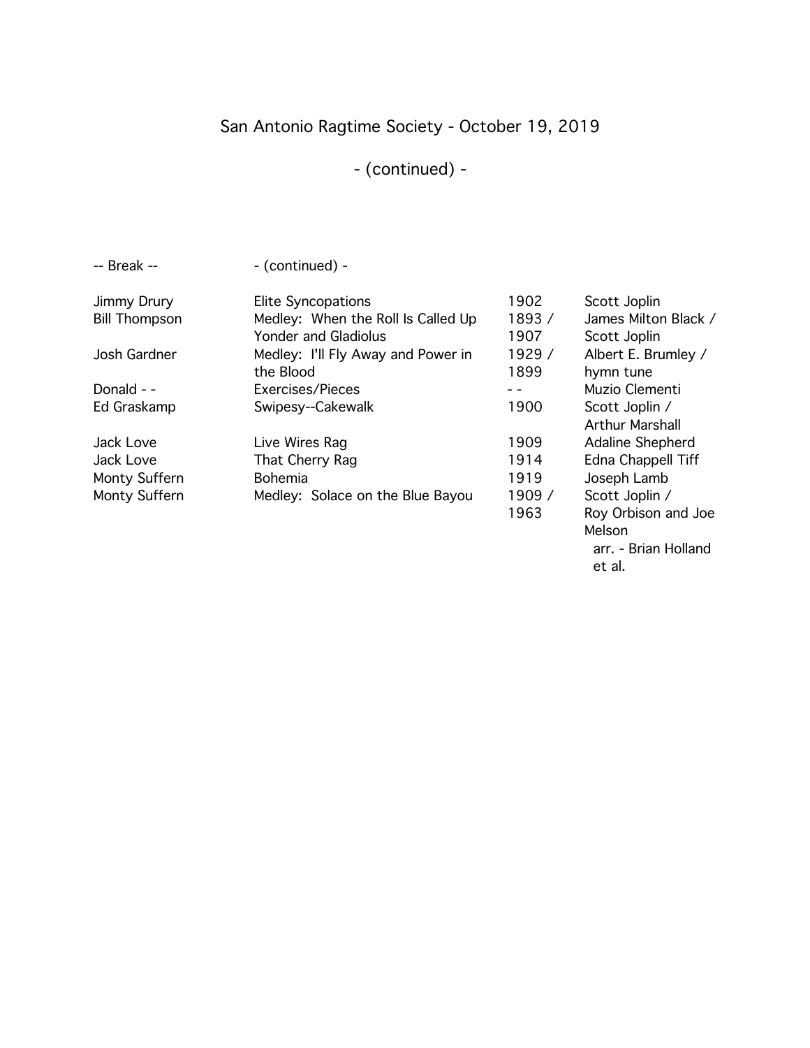# San Antonio Ragtime Society - October 19, 2019

# - (continued) -

| -- Break --          | - (continued) -                    |        |                        |
|----------------------|------------------------------------|--------|------------------------|
| Jimmy Drury          | <b>Elite Syncopations</b>          | 1902   | Scott Joplin           |
| <b>Bill Thompson</b> | Medley: When the Roll Is Called Up | 1893/  | James Milton Black /   |
|                      | Yonder and Gladiolus               | 1907   | Scott Joplin           |
| Josh Gardner         | Medley: I'll Fly Away and Power in | 1929 / | Albert E. Brumley /    |
|                      | the Blood                          | 1899   | hymn tune              |
| Donald - -           | Exercises/Pieces                   |        | Muzio Clementi         |
| Ed Graskamp          | Swipesy--Cakewalk                  | 1900   | Scott Joplin /         |
|                      |                                    |        | <b>Arthur Marshall</b> |
| Jack Love            | Live Wires Rag                     | 1909   | Adaline Shepherd       |
| Jack Love            | That Cherry Rag                    | 1914   | Edna Chappell Tiff     |
| Monty Suffern        | <b>Bohemia</b>                     | 1919   | Joseph Lamb            |
| Monty Suffern        | Medley: Solace on the Blue Bayou   | 1909 / | Scott Joplin /         |
|                      |                                    | 1963   | Roy Orbison and Joe    |
|                      |                                    |        |                        |

Melson

 arr. - Brian Holland et al.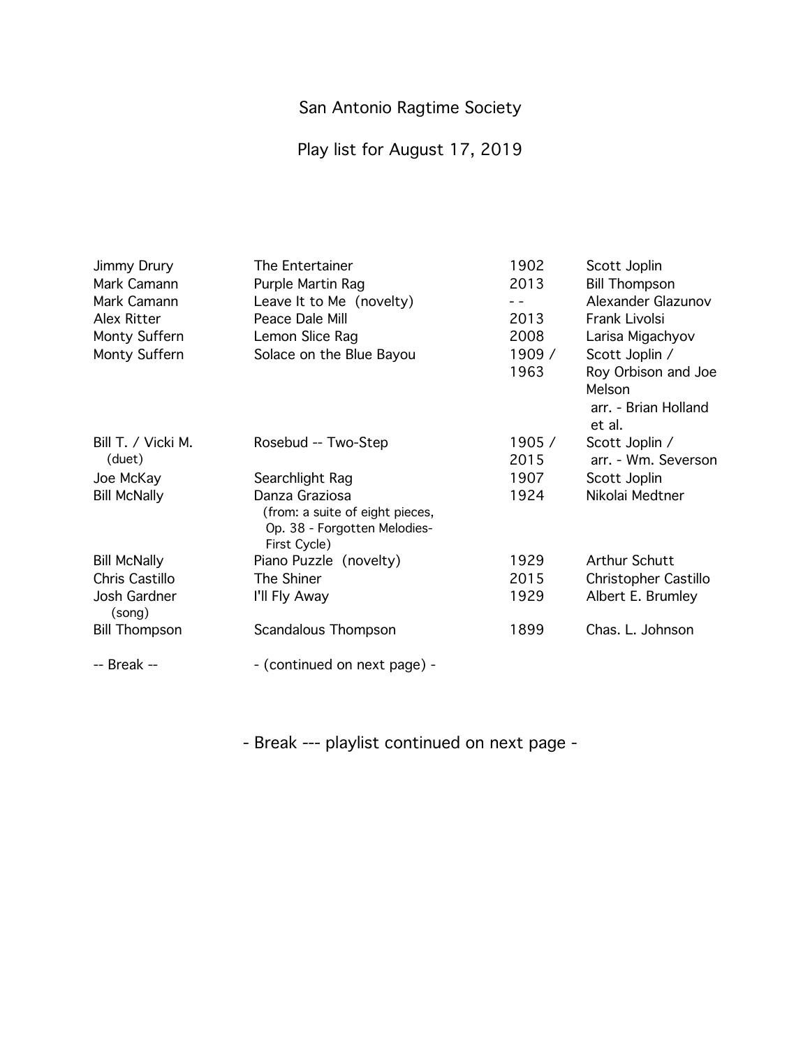# Play list for August 17, 2019

| Jimmy Drury            | The Entertainer                 | 1902   | Scott Joplin         |
|------------------------|---------------------------------|--------|----------------------|
| Mark Camann            | Purple Martin Rag               | 2013   | <b>Bill Thompson</b> |
| Mark Camann            | Leave It to Me (novelty)        |        | Alexander Glazunov   |
| Alex Ritter            | Peace Dale Mill                 | 2013   | Frank Livolsi        |
| Monty Suffern          | Lemon Slice Rag                 | 2008   | Larisa Migachyov     |
| Monty Suffern          | Solace on the Blue Bayou        | 1909 / | Scott Joplin /       |
|                        |                                 | 1963   | Roy Orbison and Joe  |
|                        |                                 |        | Melson               |
|                        |                                 |        | arr. - Brian Holland |
|                        |                                 |        | et al.               |
| Bill T. / Vicki M.     | Rosebud -- Two-Step             | 1905/  | Scott Joplin /       |
| (duet)                 |                                 | 2015   | arr. - Wm. Severson  |
| Joe McKay              | Searchlight Rag                 | 1907   | Scott Joplin         |
| <b>Bill McNally</b>    | Danza Graziosa                  | 1924   | Nikolai Medtner      |
|                        | (from: a suite of eight pieces, |        |                      |
|                        | Op. 38 - Forgotten Melodies-    |        |                      |
|                        | First Cycle)                    |        |                      |
| <b>Bill McNally</b>    | Piano Puzzle (novelty)          | 1929   | <b>Arthur Schutt</b> |
| Chris Castillo         | The Shiner                      | 2015   | Christopher Castillo |
| Josh Gardner<br>(song) | I'll Fly Away                   | 1929   | Albert E. Brumley    |
| <b>Bill Thompson</b>   | Scandalous Thompson             | 1899   | Chas. L. Johnson     |
| -- Break --            | - (continued on next page) -    |        |                      |

- Break --- playlist continued on next page -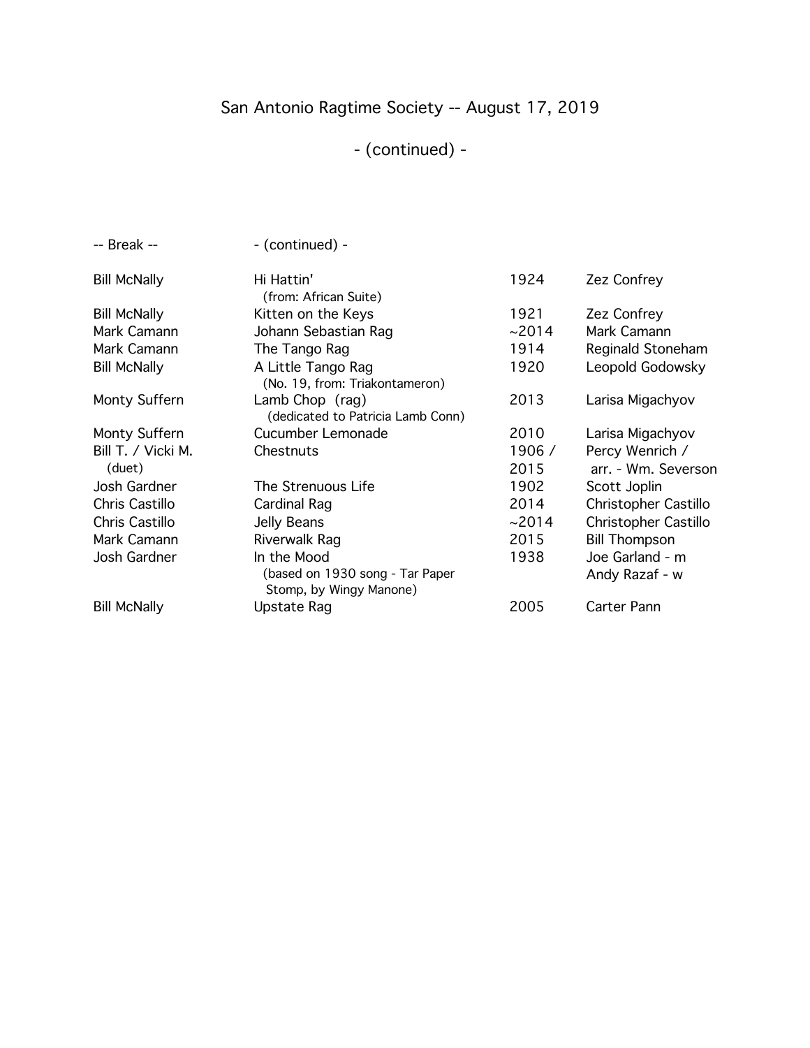# San Antonio Ragtime Society -- August 17, 2019

# - (continued) -

| -- Break --                  | - (continued) -                                                           |                |                                        |
|------------------------------|---------------------------------------------------------------------------|----------------|----------------------------------------|
| <b>Bill McNally</b>          | Hi Hattin'<br>(from: African Suite)                                       | 1924           | Zez Confrey                            |
| <b>Bill McNally</b>          | Kitten on the Keys                                                        | 1921           | Zez Confrey                            |
| Mark Camann                  | Johann Sebastian Rag                                                      | ~2014          | Mark Camann                            |
| Mark Camann                  | The Tango Rag                                                             | 1914           | Reginald Stoneham                      |
| <b>Bill McNally</b>          | A Little Tango Rag<br>(No. 19, from: Triakontameron)                      | 1920           | Leopold Godowsky                       |
| Monty Suffern                | Lamb Chop (rag)<br>(dedicated to Patricia Lamb Conn)                      | 2013           | Larisa Migachyov                       |
| Monty Suffern                | Cucumber Lemonade                                                         | 2010           | Larisa Migachyov                       |
| Bill T. / Vicki M.<br>(duet) | Chestnuts                                                                 | 1906 /<br>2015 | Percy Wenrich /<br>arr. - Wm. Severson |
| Josh Gardner                 | The Strenuous Life                                                        | 1902           | Scott Joplin                           |
| Chris Castillo               | Cardinal Rag                                                              | 2014           | Christopher Castillo                   |
| Chris Castillo               | Jelly Beans                                                               | ~2014          | Christopher Castillo                   |
| Mark Camann                  | Riverwalk Rag                                                             | 2015           | <b>Bill Thompson</b>                   |
| Josh Gardner                 | In the Mood<br>(based on 1930 song - Tar Paper<br>Stomp, by Wingy Manone) | 1938           | Joe Garland - m<br>Andy Razaf - w      |
| <b>Bill McNally</b>          | Upstate Rag                                                               | 2005           | Carter Pann                            |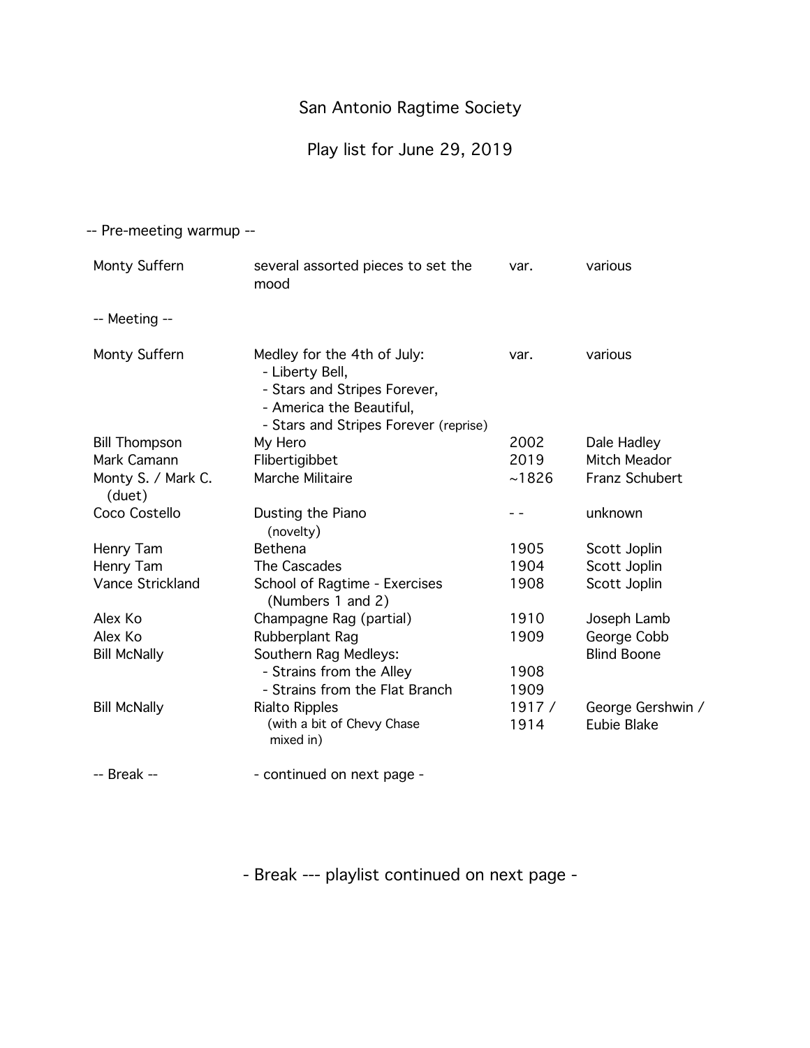# Play list for June 29, 2019

-- Pre-meeting warmup --

| Monty Suffern                | several assorted pieces to set the<br>mood                                                                                                          | var.  | various            |
|------------------------------|-----------------------------------------------------------------------------------------------------------------------------------------------------|-------|--------------------|
| -- Meeting --                |                                                                                                                                                     |       |                    |
| Monty Suffern                | Medley for the 4th of July:<br>- Liberty Bell,<br>- Stars and Stripes Forever,<br>- America the Beautiful,<br>- Stars and Stripes Forever (reprise) | var.  | various            |
| <b>Bill Thompson</b>         | My Hero                                                                                                                                             | 2002  | Dale Hadley        |
| Mark Camann                  | Flibertigibbet                                                                                                                                      | 2019  | Mitch Meador       |
| Monty S. / Mark C.<br>(duet) | Marche Militaire                                                                                                                                    | ~1826 | Franz Schubert     |
| Coco Costello                | Dusting the Piano<br>(novelty)                                                                                                                      |       | unknown            |
| Henry Tam                    | <b>Bethena</b>                                                                                                                                      | 1905  | Scott Joplin       |
| Henry Tam                    | The Cascades                                                                                                                                        | 1904  | Scott Joplin       |
| Vance Strickland             | School of Ragtime - Exercises<br>(Numbers 1 and 2)                                                                                                  | 1908  | Scott Joplin       |
| Alex Ko                      | Champagne Rag (partial)                                                                                                                             | 1910  | Joseph Lamb        |
| Alex Ko                      | Rubberplant Rag                                                                                                                                     | 1909  | George Cobb        |
| <b>Bill McNally</b>          | Southern Rag Medleys:                                                                                                                               |       | <b>Blind Boone</b> |
|                              | - Strains from the Alley                                                                                                                            | 1908  |                    |
|                              | - Strains from the Flat Branch                                                                                                                      | 1909  |                    |
| <b>Bill McNally</b>          | <b>Rialto Ripples</b>                                                                                                                               | 1917/ | George Gershwin /  |
|                              | (with a bit of Chevy Chase<br>mixed in)                                                                                                             | 1914  | Eubie Blake        |
| -- Break --                  | - continued on next page -                                                                                                                          |       |                    |

- Break --- playlist continued on next page -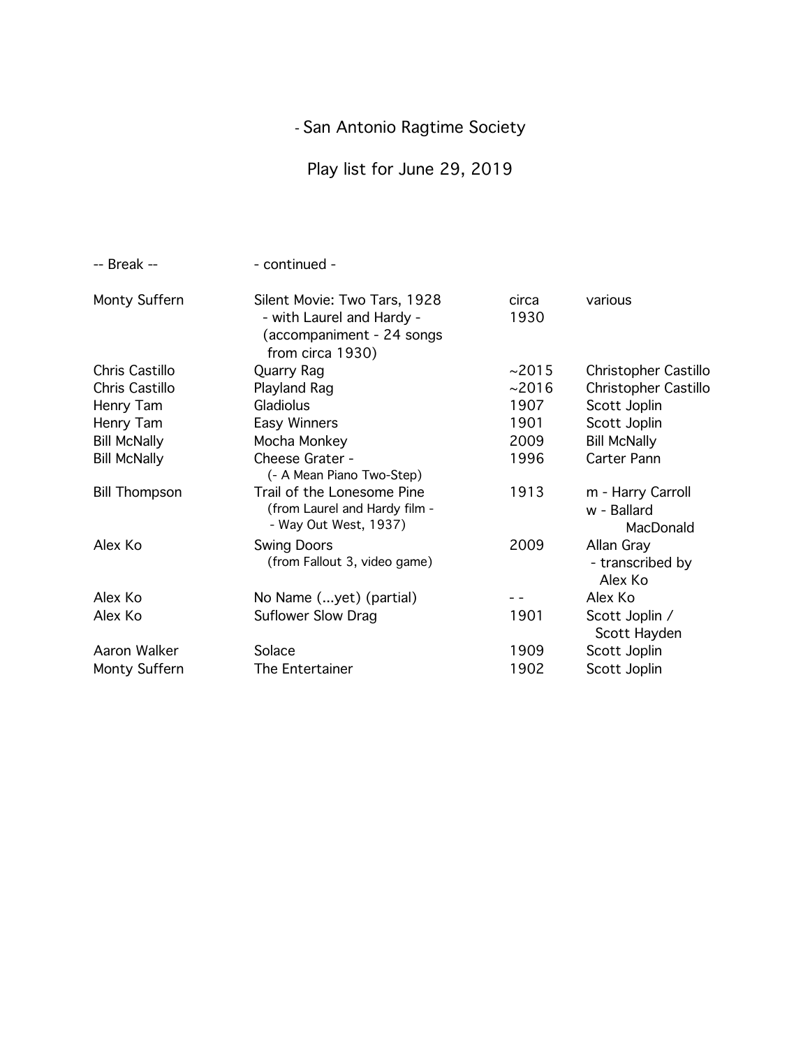Play list for June 29, 2019

| -- Break --          | - continued -                                                                                               |               |                                               |
|----------------------|-------------------------------------------------------------------------------------------------------------|---------------|-----------------------------------------------|
| Monty Suffern        | Silent Movie: Two Tars, 1928<br>- with Laurel and Hardy -<br>(accompaniment - 24 songs)<br>from circa 1930) | circa<br>1930 | various                                       |
| Chris Castillo       | Quarry Rag                                                                                                  | ~2015         | <b>Christopher Castillo</b>                   |
| Chris Castillo       | Playland Rag                                                                                                | ~2016         | Christopher Castillo                          |
| Henry Tam            | Gladiolus                                                                                                   | 1907          | Scott Joplin                                  |
| Henry Tam            | Easy Winners                                                                                                | 1901          | Scott Joplin                                  |
| <b>Bill McNally</b>  | Mocha Monkey                                                                                                | 2009          | <b>Bill McNally</b>                           |
| <b>Bill McNally</b>  | Cheese Grater -<br>(- A Mean Piano Two-Step)                                                                | 1996          | Carter Pann                                   |
| <b>Bill Thompson</b> | Trail of the Lonesome Pine<br>(from Laurel and Hardy film -<br>- Way Out West, 1937)                        | 1913          | m - Harry Carroll<br>w - Ballard<br>MacDonald |
| Alex Ko              | <b>Swing Doors</b><br>(from Fallout 3, video game)                                                          | 2009          | Allan Gray<br>- transcribed by<br>Alex Ko     |
| Alex Ko              | No Name (yet) (partial)                                                                                     |               | Alex Ko                                       |
| Alex Ko              | Suflower Slow Drag                                                                                          | 1901          | Scott Joplin /<br>Scott Hayden                |
| Aaron Walker         | Solace                                                                                                      | 1909          | Scott Joplin                                  |
| Monty Suffern        | The Entertainer                                                                                             | 1902          | Scott Joplin                                  |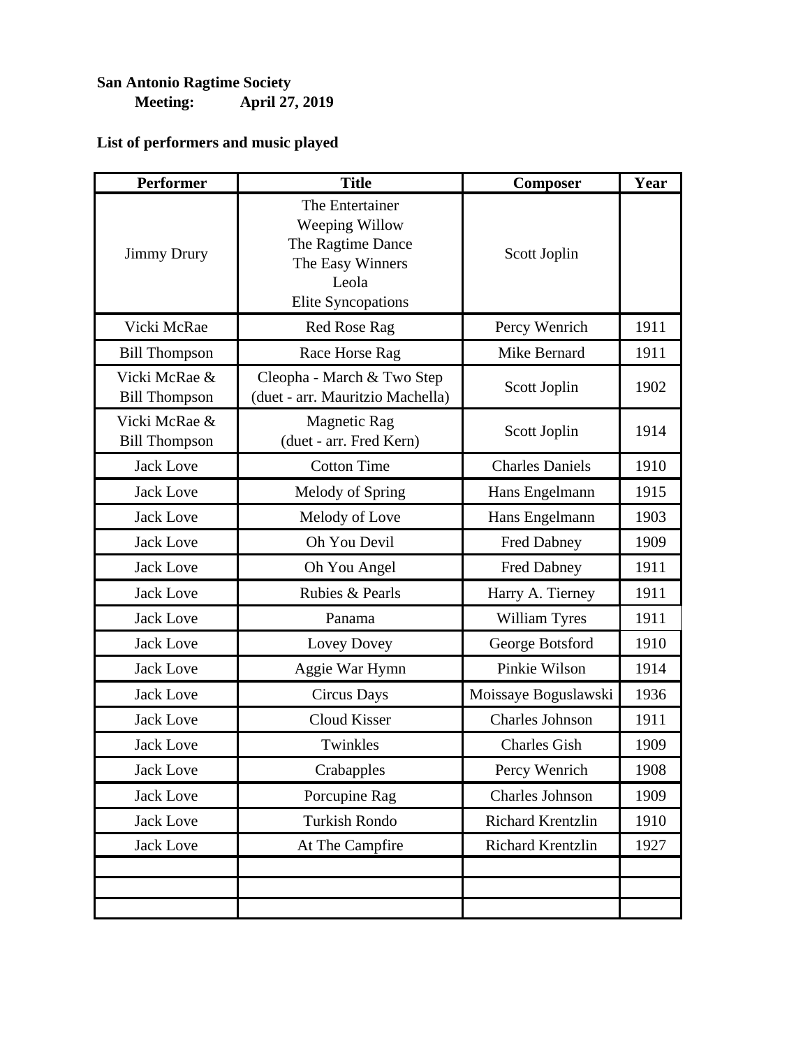### **San Antonio Ragtime Society Meeting: April 27, 2019**

| <b>Performer</b>                      | <b>Title</b>                                                                                                     | <b>Composer</b>          | Year |
|---------------------------------------|------------------------------------------------------------------------------------------------------------------|--------------------------|------|
| <b>Jimmy Drury</b>                    | The Entertainer<br>Weeping Willow<br>The Ragtime Dance<br>The Easy Winners<br>Leola<br><b>Elite Syncopations</b> | Scott Joplin             |      |
| Vicki McRae                           | <b>Red Rose Rag</b>                                                                                              | Percy Wenrich            | 1911 |
| <b>Bill Thompson</b>                  | Race Horse Rag                                                                                                   | Mike Bernard             | 1911 |
| Vicki McRae &<br><b>Bill Thompson</b> | Cleopha - March & Two Step<br>(duet - arr. Mauritzio Machella)                                                   | Scott Joplin             | 1902 |
| Vicki McRae &<br><b>Bill Thompson</b> | <b>Magnetic Rag</b><br>(duet - arr. Fred Kern)                                                                   | Scott Joplin             | 1914 |
| <b>Jack Love</b>                      | <b>Cotton Time</b>                                                                                               | <b>Charles Daniels</b>   | 1910 |
| <b>Jack Love</b>                      | Melody of Spring                                                                                                 | Hans Engelmann           | 1915 |
| <b>Jack Love</b>                      | Melody of Love                                                                                                   | Hans Engelmann           | 1903 |
| <b>Jack Love</b>                      | Oh You Devil                                                                                                     | Fred Dabney              | 1909 |
| <b>Jack Love</b>                      | Oh You Angel                                                                                                     | <b>Fred Dabney</b>       | 1911 |
| <b>Jack Love</b>                      | Rubies & Pearls                                                                                                  | Harry A. Tierney         | 1911 |
| <b>Jack Love</b>                      | Panama                                                                                                           | William Tyres            | 1911 |
| <b>Jack Love</b>                      | Lovey Dovey                                                                                                      | George Botsford          | 1910 |
| <b>Jack Love</b>                      | Aggie War Hymn                                                                                                   | Pinkie Wilson            | 1914 |
| <b>Jack Love</b>                      | <b>Circus Days</b>                                                                                               | Moissaye Boguslawski     | 1936 |
| <b>Jack Love</b>                      | Cloud Kisser                                                                                                     | Charles Johnson          | 1911 |
| <b>Jack Love</b>                      | Twinkles                                                                                                         | <b>Charles Gish</b>      | 1909 |
| <b>Jack Love</b>                      | Crabapples                                                                                                       | Percy Wenrich            | 1908 |
| <b>Jack Love</b>                      | Porcupine Rag                                                                                                    | <b>Charles Johnson</b>   | 1909 |
| <b>Jack Love</b>                      | Turkish Rondo                                                                                                    | <b>Richard Krentzlin</b> | 1910 |
| <b>Jack Love</b>                      | At The Campfire                                                                                                  | Richard Krentzlin        | 1927 |
|                                       |                                                                                                                  |                          |      |
|                                       |                                                                                                                  |                          |      |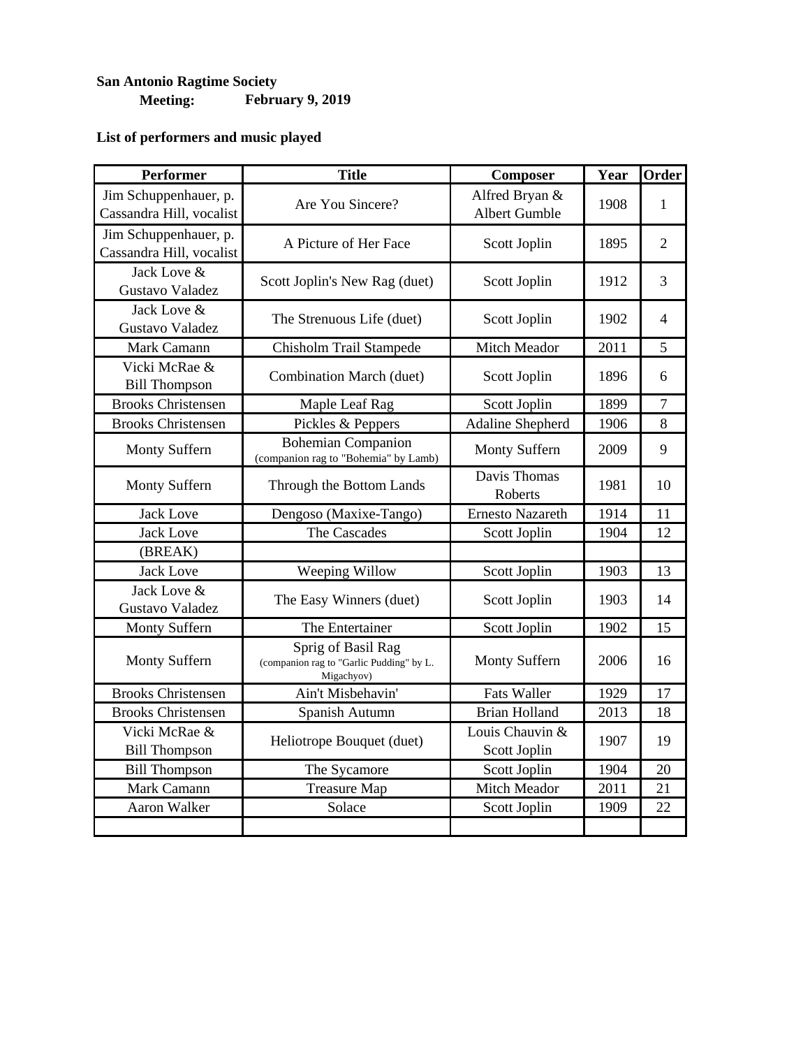#### **San Antonio Ragtime Society Meeting: February 9, 2019**

| <b>Performer</b>                                  | <b>Title</b>                                                                 | Composer                               | Year | Order          |
|---------------------------------------------------|------------------------------------------------------------------------------|----------------------------------------|------|----------------|
| Jim Schuppenhauer, p.<br>Cassandra Hill, vocalist | Are You Sincere?                                                             | Alfred Bryan &<br><b>Albert Gumble</b> | 1908 | 1              |
| Jim Schuppenhauer, p.<br>Cassandra Hill, vocalist | A Picture of Her Face                                                        | Scott Joplin                           | 1895 | $\overline{2}$ |
| Jack Love &<br>Gustavo Valadez                    | Scott Joplin's New Rag (duet)                                                | Scott Joplin                           | 1912 | 3              |
| Jack Love &<br>Gustavo Valadez                    | The Strenuous Life (duet)                                                    | Scott Joplin                           | 1902 | 4              |
| Mark Camann                                       | Chisholm Trail Stampede                                                      | Mitch Meador                           | 2011 | 5              |
| Vicki McRae &<br><b>Bill Thompson</b>             | Combination March (duet)                                                     | Scott Joplin                           | 1896 | 6              |
| <b>Brooks Christensen</b>                         | Maple Leaf Rag                                                               | Scott Joplin                           | 1899 | $\overline{7}$ |
| <b>Brooks Christensen</b>                         | Pickles & Peppers                                                            | <b>Adaline Shepherd</b>                | 1906 | 8              |
| Monty Suffern                                     | <b>Bohemian Companion</b><br>(companion rag to "Bohemia" by Lamb)            | <b>Monty Suffern</b>                   | 2009 | 9              |
| Monty Suffern                                     | Through the Bottom Lands                                                     | Davis Thomas<br>Roberts                | 1981 | 10             |
| <b>Jack Love</b>                                  | Dengoso (Maxixe-Tango)                                                       | <b>Ernesto Nazareth</b>                | 1914 | 11             |
| <b>Jack Love</b>                                  | The Cascades                                                                 | Scott Joplin                           | 1904 | 12             |
| (BREAK)                                           |                                                                              |                                        |      |                |
| <b>Jack Love</b>                                  | Weeping Willow                                                               | Scott Joplin                           | 1903 | 13             |
| Jack Love &<br>Gustavo Valadez                    | The Easy Winners (duet)                                                      | Scott Joplin                           | 1903 | 14             |
| Monty Suffern                                     | The Entertainer                                                              | Scott Joplin                           | 1902 | 15             |
| Monty Suffern                                     | Sprig of Basil Rag<br>(companion rag to "Garlic Pudding" by L.<br>Migachyov) | <b>Monty Suffern</b>                   | 2006 | 16             |
| <b>Brooks Christensen</b>                         | Ain't Misbehavin'                                                            | <b>Fats Waller</b>                     | 1929 | 17             |
| <b>Brooks Christensen</b>                         | Spanish Autumn                                                               | <b>Brian Holland</b>                   | 2013 | 18             |
| Vicki McRae &<br><b>Bill Thompson</b>             | Heliotrope Bouquet (duet)                                                    | Louis Chauvin &<br>Scott Joplin        | 1907 | 19             |
| <b>Bill Thompson</b>                              | The Sycamore                                                                 | Scott Joplin                           | 1904 | 20             |
| Mark Camann                                       | <b>Treasure Map</b>                                                          | Mitch Meador                           | 2011 | 21             |
| Aaron Walker                                      | Solace                                                                       | Scott Joplin                           | 1909 | 22             |
|                                                   |                                                                              |                                        |      |                |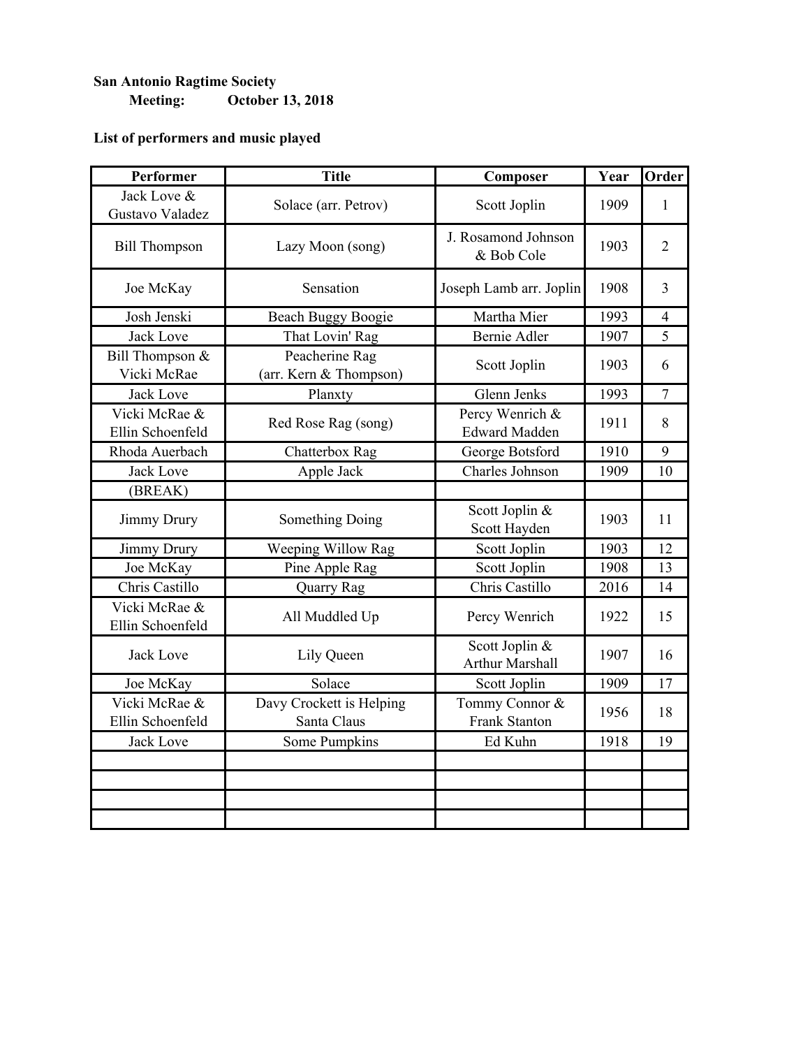### **San Antonio Ragtime Society Meeting: October 13, 2018**

| Performer                         | <b>Title</b>                             | Composer                                 | Year | Order          |
|-----------------------------------|------------------------------------------|------------------------------------------|------|----------------|
| Jack Love &<br>Gustavo Valadez    | Solace (arr. Petrov)                     | Scott Joplin                             | 1909 | $\mathbf{1}$   |
| <b>Bill Thompson</b>              | Lazy Moon (song)                         | J. Rosamond Johnson<br>& Bob Cole        | 1903 | $\overline{2}$ |
| Joe McKay                         | Sensation                                | Joseph Lamb arr. Joplin                  | 1908 | $\overline{3}$ |
| Josh Jenski                       | <b>Beach Buggy Boogie</b>                | Martha Mier                              | 1993 | $\overline{4}$ |
| <b>Jack Love</b>                  | That Lovin' Rag                          | <b>Bernie Adler</b>                      | 1907 | 5              |
| Bill Thompson &<br>Vicki McRae    | Peacherine Rag<br>(arr. Kern & Thompson) | Scott Joplin                             | 1903 | 6              |
| <b>Jack Love</b>                  | Planxty                                  | Glenn Jenks                              | 1993 | $\overline{7}$ |
| Vicki McRae &<br>Ellin Schoenfeld | Red Rose Rag (song)                      | Percy Wenrich &<br><b>Edward Madden</b>  | 1911 | 8              |
| Rhoda Auerbach                    | Chatterbox Rag                           | George Botsford                          | 1910 | 9              |
| <b>Jack Love</b>                  | Apple Jack                               | Charles Johnson                          | 1909 | 10             |
| (BREAK)                           |                                          |                                          |      |                |
| Jimmy Drury                       | Something Doing                          | Scott Joplin &<br>Scott Hayden           | 1903 | 11             |
| <b>Jimmy Drury</b>                | Weeping Willow Rag                       | Scott Joplin                             | 1903 | 12             |
| Joe McKay                         | Pine Apple Rag                           | Scott Joplin                             | 1908 | 13             |
| Chris Castillo                    | Quarry Rag                               | Chris Castillo                           | 2016 | 14             |
| Vicki McRae &<br>Ellin Schoenfeld | All Muddled Up                           | Percy Wenrich                            | 1922 | 15             |
| <b>Jack Love</b>                  | Lily Queen                               | Scott Joplin &<br><b>Arthur Marshall</b> | 1907 | 16             |
| Joe McKay                         | Solace                                   | Scott Joplin                             | 1909 | 17             |
| Vicki McRae &<br>Ellin Schoenfeld | Davy Crockett is Helping<br>Santa Claus  | Tommy Connor &<br>Frank Stanton          | 1956 | 18             |
| <b>Jack Love</b>                  | Some Pumpkins                            | Ed Kuhn                                  | 1918 | 19             |
|                                   |                                          |                                          |      |                |
|                                   |                                          |                                          |      |                |
|                                   |                                          |                                          |      |                |
|                                   |                                          |                                          |      |                |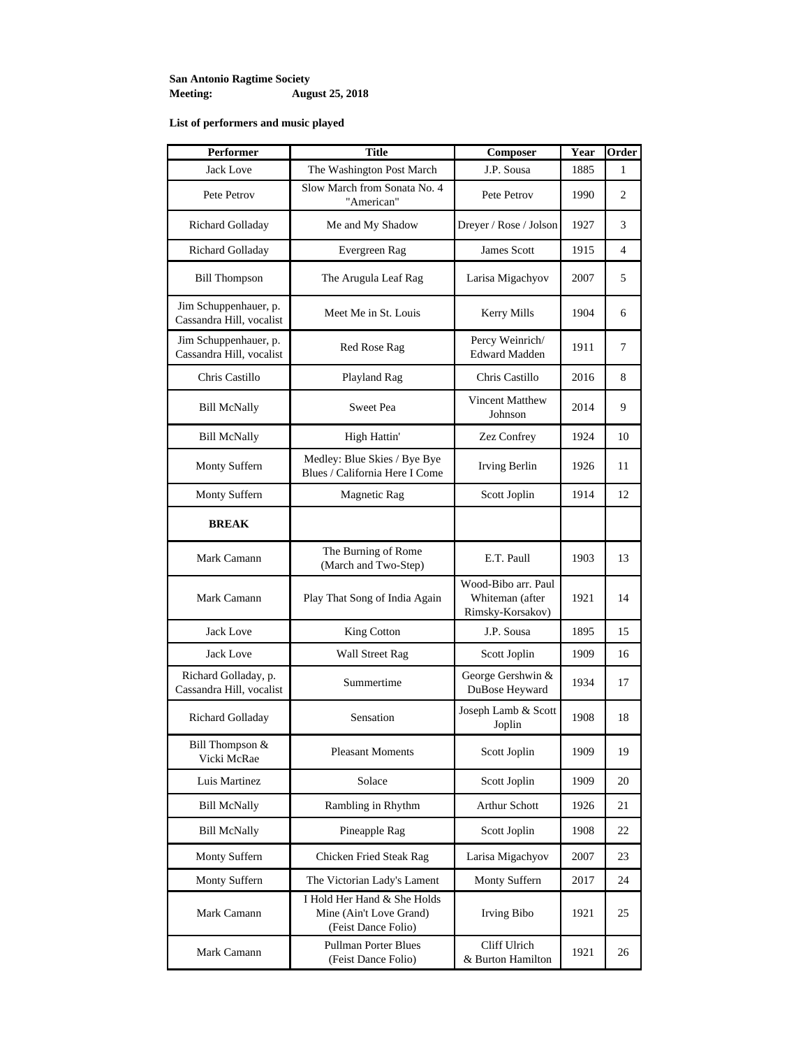#### **San Antonio Ragtime Society Meeting: August 25, 2018**

| Performer                                         | <b>Title</b>                                                                  | Composer                                                   | Year | Order          |
|---------------------------------------------------|-------------------------------------------------------------------------------|------------------------------------------------------------|------|----------------|
| <b>Jack Love</b>                                  | The Washington Post March                                                     | J.P. Sousa                                                 | 1885 | 1              |
| Pete Petrov                                       | Slow March from Sonata No. 4<br>"American"                                    | Pete Petrov                                                | 1990 | 2              |
| Richard Golladay                                  | Me and My Shadow                                                              | Dreyer / Rose / Jolson                                     | 1927 | 3              |
| Richard Golladay                                  | Evergreen Rag                                                                 | James Scott                                                | 1915 | $\overline{4}$ |
| <b>Bill Thompson</b>                              | The Arugula Leaf Rag                                                          | Larisa Migachyov                                           | 2007 | 5              |
| Jim Schuppenhauer, p.<br>Cassandra Hill, vocalist | Meet Me in St. Louis                                                          | Kerry Mills                                                | 1904 | 6              |
| Jim Schuppenhauer, p.<br>Cassandra Hill, vocalist | Red Rose Rag                                                                  | Percy Weinrich/<br><b>Edward Madden</b>                    | 1911 | 7              |
| Chris Castillo                                    | Playland Rag                                                                  | Chris Castillo                                             | 2016 | 8              |
| <b>Bill McNally</b>                               | Sweet Pea                                                                     | Vincent Matthew<br>Johnson                                 | 2014 | 9              |
| <b>Bill McNally</b>                               | High Hattin'                                                                  | Zez Confrey                                                | 1924 | 10             |
| Monty Suffern                                     | Medley: Blue Skies / Bye Bye<br>Blues / California Here I Come                | Irving Berlin                                              | 1926 | 11             |
| Monty Suffern                                     | Magnetic Rag                                                                  | Scott Joplin                                               | 1914 | 12             |
| <b>BREAK</b>                                      |                                                                               |                                                            |      |                |
| Mark Camann                                       | The Burning of Rome<br>(March and Two-Step)                                   | E.T. Paull                                                 | 1903 | 13             |
| Mark Camann                                       | Play That Song of India Again                                                 | Wood-Bibo arr. Paul<br>Whiteman (after<br>Rimsky-Korsakov) | 1921 | 14             |
| Jack Love                                         | King Cotton                                                                   | J.P. Sousa                                                 | 1895 | 15             |
| Jack Love                                         | <b>Wall Street Rag</b>                                                        | Scott Joplin                                               | 1909 | 16             |
| Richard Golladay, p.<br>Cassandra Hill, vocalist  | Summertime                                                                    | George Gershwin &<br>DuBose Heyward                        | 1934 | 17             |
| Richard Golladay                                  | Sensation                                                                     | Joseph Lamb & Scott<br>Joplin                              | 1908 | 18             |
| Bill Thompson &<br>Vicki McRae                    | <b>Pleasant Moments</b>                                                       | Scott Joplin                                               | 1909 | 19             |
| Luis Martinez                                     | Solace                                                                        | Scott Joplin                                               | 1909 | 20             |
| <b>Bill McNally</b>                               | Rambling in Rhythm                                                            | <b>Arthur Schott</b>                                       | 1926 | 21             |
| <b>Bill McNally</b>                               | Pineapple Rag                                                                 | Scott Joplin                                               | 1908 | 22             |
| Monty Suffern                                     | Chicken Fried Steak Rag                                                       | Larisa Migachyov                                           | 2007 | 23             |
| Monty Suffern                                     | The Victorian Lady's Lament                                                   | Monty Suffern                                              | 2017 | 24             |
| Mark Camann                                       | I Hold Her Hand & She Holds<br>Mine (Ain't Love Grand)<br>(Feist Dance Folio) | Irving Bibo                                                | 1921 | 25             |
| Mark Camann                                       | <b>Pullman Porter Blues</b><br>(Feist Dance Folio)                            | Cliff Ulrich<br>& Burton Hamilton                          | 1921 | 26             |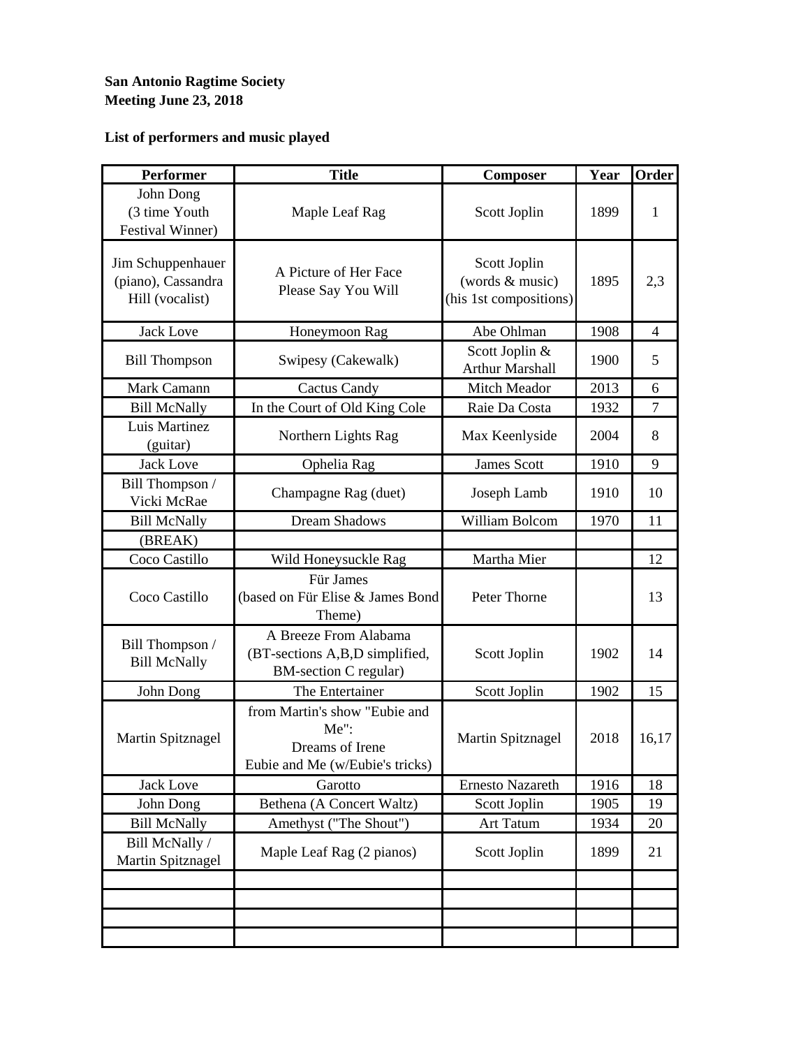#### **San Antonio Ragtime Society Meeting June 23, 2018**

| <b>Performer</b>                                           | <b>Title</b>                                                                                   | Composer                                                  | Year | Order          |
|------------------------------------------------------------|------------------------------------------------------------------------------------------------|-----------------------------------------------------------|------|----------------|
| John Dong<br>(3 time Youth<br><b>Festival Winner)</b>      | Maple Leaf Rag                                                                                 | Scott Joplin                                              | 1899 | 1              |
| Jim Schuppenhauer<br>(piano), Cassandra<br>Hill (vocalist) | A Picture of Her Face<br>Please Say You Will                                                   | Scott Joplin<br>(words & music)<br>(his 1st compositions) | 1895 | 2,3            |
| <b>Jack Love</b>                                           | Honeymoon Rag                                                                                  | Abe Ohlman                                                | 1908 | 4              |
| <b>Bill Thompson</b>                                       | Swipesy (Cakewalk)                                                                             | Scott Joplin &<br><b>Arthur Marshall</b>                  | 1900 | 5              |
| Mark Camann                                                | <b>Cactus Candy</b>                                                                            | Mitch Meador                                              | 2013 | 6              |
| <b>Bill McNally</b>                                        | In the Court of Old King Cole                                                                  | Raie Da Costa                                             | 1932 | $\overline{7}$ |
| Luis Martinez<br>(guitar)                                  | Northern Lights Rag                                                                            | Max Keenlyside                                            | 2004 | 8              |
| <b>Jack Love</b>                                           | Ophelia Rag                                                                                    | <b>James Scott</b>                                        | 1910 | 9              |
| Bill Thompson /<br>Vicki McRae                             | Champagne Rag (duet)                                                                           | Joseph Lamb                                               | 1910 | 10             |
| <b>Bill McNally</b>                                        | <b>Dream Shadows</b>                                                                           | William Bolcom                                            | 1970 | 11             |
| (BREAK)                                                    |                                                                                                |                                                           |      |                |
| Coco Castillo                                              | Wild Honeysuckle Rag                                                                           | Martha Mier                                               |      | 12             |
| Coco Castillo                                              | <b>Für James</b><br>(based on Für Elise & James Bond<br>Theme)                                 | Peter Thorne                                              |      | 13             |
| Bill Thompson /<br><b>Bill McNally</b>                     | A Breeze From Alabama<br>(BT-sections A,B,D simplified,<br><b>BM-section C regular)</b>        | Scott Joplin                                              | 1902 | 14             |
| John Dong                                                  | The Entertainer                                                                                | Scott Joplin                                              | 1902 | 15             |
| Martin Spitznagel                                          | from Martin's show "Eubie and<br>$Me$ ":<br>Dreams of Irene<br>Eubie and Me (w/Eubie's tricks) | Martin Spitznagel                                         | 2018 | 16,17          |
| Jack Love                                                  | Garotto                                                                                        | Ernesto Nazareth                                          | 1916 | 18             |
| John Dong                                                  | Bethena (A Concert Waltz)                                                                      | Scott Joplin                                              | 1905 | 19             |
| <b>Bill McNally</b>                                        | Amethyst ("The Shout")                                                                         | <b>Art Tatum</b>                                          | 1934 | 20             |
| Bill McNally /<br>Martin Spitznagel                        | Maple Leaf Rag (2 pianos)                                                                      | Scott Joplin                                              | 1899 | 21             |
|                                                            |                                                                                                |                                                           |      |                |
|                                                            |                                                                                                |                                                           |      |                |
|                                                            |                                                                                                |                                                           |      |                |
|                                                            |                                                                                                |                                                           |      |                |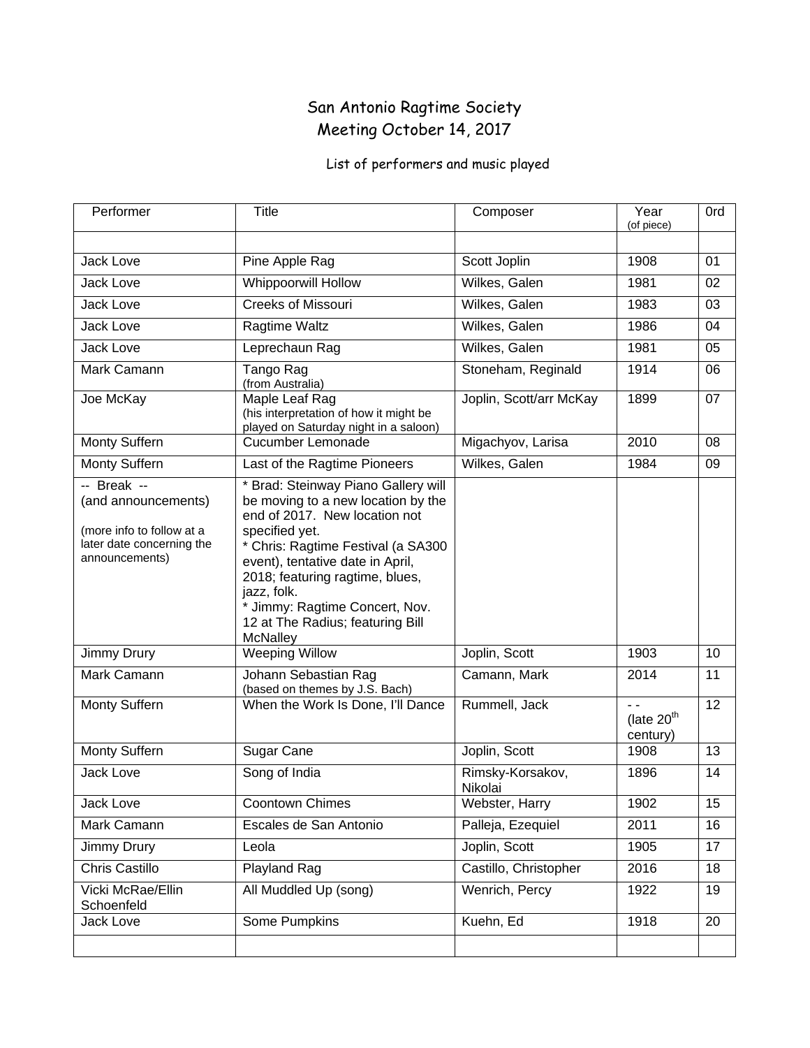### San Antonio Ragtime Society Meeting October 14, 2017

| Performer                                                                                                      | <b>Title</b>                                                                                                                                                                                                                                                                                                                               | Composer                    | Year<br>(of piece)                           | 0rd             |
|----------------------------------------------------------------------------------------------------------------|--------------------------------------------------------------------------------------------------------------------------------------------------------------------------------------------------------------------------------------------------------------------------------------------------------------------------------------------|-----------------------------|----------------------------------------------|-----------------|
|                                                                                                                |                                                                                                                                                                                                                                                                                                                                            |                             |                                              |                 |
| Jack Love                                                                                                      | Pine Apple Rag                                                                                                                                                                                                                                                                                                                             | Scott Joplin                | 1908                                         | 01              |
| Jack Love                                                                                                      | <b>Whippoorwill Hollow</b>                                                                                                                                                                                                                                                                                                                 | Wilkes, Galen               | 1981                                         | 02              |
| Jack Love                                                                                                      | <b>Creeks of Missouri</b>                                                                                                                                                                                                                                                                                                                  | Wilkes, Galen               | 1983                                         | 03              |
| Jack Love                                                                                                      | Ragtime Waltz                                                                                                                                                                                                                                                                                                                              | Wilkes, Galen               | 1986                                         | 04              |
| Jack Love                                                                                                      | Leprechaun Rag                                                                                                                                                                                                                                                                                                                             | Wilkes, Galen               | 1981                                         | 05              |
| Mark Camann                                                                                                    | Tango Rag<br>(from Australia)                                                                                                                                                                                                                                                                                                              | Stoneham, Reginald          | 1914                                         | 06              |
| Joe McKay                                                                                                      | Maple Leaf Rag<br>(his interpretation of how it might be<br>played on Saturday night in a saloon)                                                                                                                                                                                                                                          | Joplin, Scott/arr McKay     | 1899                                         | 07              |
| Monty Suffern                                                                                                  | Cucumber Lemonade                                                                                                                                                                                                                                                                                                                          | Migachyov, Larisa           | 2010                                         | 08              |
| Monty Suffern                                                                                                  | Last of the Ragtime Pioneers                                                                                                                                                                                                                                                                                                               | Wilkes, Galen               | 1984                                         | 09              |
| -- Break --<br>(and announcements)<br>(more info to follow at a<br>later date concerning the<br>announcements) | * Brad: Steinway Piano Gallery will<br>be moving to a new location by the<br>end of 2017. New location not<br>specified yet.<br>* Chris: Ragtime Festival (a SA300<br>event), tentative date in April,<br>2018; featuring ragtime, blues,<br>jazz, folk.<br>* Jimmy: Ragtime Concert, Nov.<br>12 at The Radius; featuring Bill<br>McNalley |                             |                                              |                 |
| Jimmy Drury                                                                                                    | <b>Weeping Willow</b>                                                                                                                                                                                                                                                                                                                      | Joplin, Scott               | 1903                                         | 10              |
| Mark Camann                                                                                                    | Johann Sebastian Rag<br>(based on themes by J.S. Bach)                                                                                                                                                                                                                                                                                     | Camann, Mark                | 2014                                         | 11              |
| Monty Suffern                                                                                                  | When the Work Is Done, I'll Dance                                                                                                                                                                                                                                                                                                          | Rummell, Jack               | $\sim$<br>(late 20 <sup>th</sup><br>century) | $\overline{12}$ |
| Monty Suffern                                                                                                  | Sugar Cane                                                                                                                                                                                                                                                                                                                                 | Joplin, Scott               | 1908                                         | 13              |
| Jack Love                                                                                                      | Song of India                                                                                                                                                                                                                                                                                                                              | Rimsky-Korsakov,<br>Nikolai | 1896                                         | 14              |
| Jack Love                                                                                                      | Coontown Chimes                                                                                                                                                                                                                                                                                                                            | Webster, Harry              | 1902                                         | 15              |
| Mark Camann                                                                                                    | Escales de San Antonio                                                                                                                                                                                                                                                                                                                     | Palleja, Ezequiel           | 2011                                         | 16              |
| <b>Jimmy Drury</b>                                                                                             | Leola                                                                                                                                                                                                                                                                                                                                      | Joplin, Scott               | 1905                                         | 17              |
| Chris Castillo                                                                                                 | Playland Rag                                                                                                                                                                                                                                                                                                                               | Castillo, Christopher       | 2016                                         | 18              |
| Vicki McRae/Ellin<br>Schoenfeld                                                                                | All Muddled Up (song)                                                                                                                                                                                                                                                                                                                      | Wenrich, Percy              | 1922                                         | 19              |
| Jack Love                                                                                                      | <b>Some Pumpkins</b>                                                                                                                                                                                                                                                                                                                       | Kuehn, Ed                   | 1918                                         | 20              |
|                                                                                                                |                                                                                                                                                                                                                                                                                                                                            |                             |                                              |                 |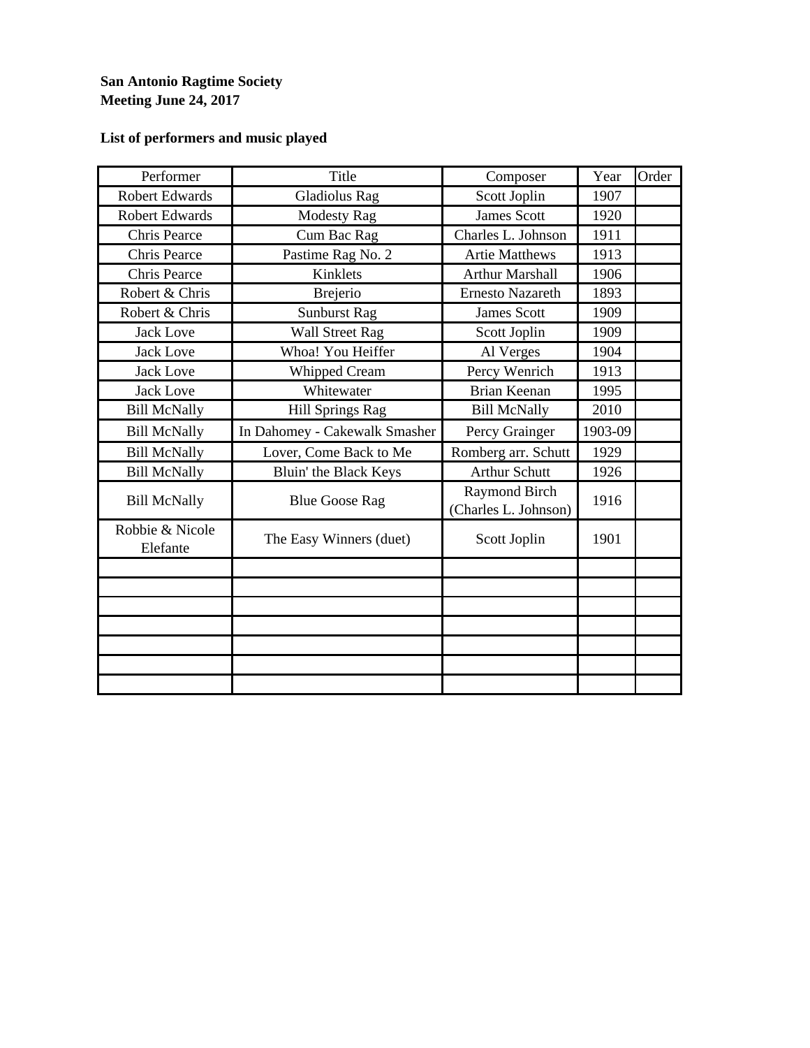### **San Antonio Ragtime Society Meeting June 24, 2017**

| Performer                   | Title                         | Composer                              | Year    | Order |
|-----------------------------|-------------------------------|---------------------------------------|---------|-------|
| <b>Robert Edwards</b>       | <b>Gladiolus Rag</b>          | Scott Joplin                          | 1907    |       |
| <b>Robert Edwards</b>       | <b>Modesty Rag</b>            | <b>James Scott</b>                    | 1920    |       |
| Chris Pearce                | Cum Bac Rag                   | Charles L. Johnson                    | 1911    |       |
| <b>Chris Pearce</b>         | Pastime Rag No. 2             | <b>Artie Matthews</b>                 | 1913    |       |
| <b>Chris Pearce</b>         | Kinklets                      | <b>Arthur Marshall</b>                | 1906    |       |
| Robert & Chris              | <b>Brejerio</b>               | <b>Ernesto Nazareth</b>               | 1893    |       |
| Robert & Chris              | <b>Sunburst Rag</b>           | <b>James Scott</b>                    | 1909    |       |
| <b>Jack Love</b>            | <b>Wall Street Rag</b>        | Scott Joplin                          | 1909    |       |
| <b>Jack Love</b>            | Whoa! You Heiffer             | Al Verges                             | 1904    |       |
| <b>Jack Love</b>            | <b>Whipped Cream</b>          | Percy Wenrich                         | 1913    |       |
| <b>Jack Love</b>            | Whitewater                    | <b>Brian Keenan</b>                   | 1995    |       |
| <b>Bill McNally</b>         | <b>Hill Springs Rag</b>       | <b>Bill McNally</b>                   | 2010    |       |
| <b>Bill McNally</b>         | In Dahomey - Cakewalk Smasher | Percy Grainger                        | 1903-09 |       |
| <b>Bill McNally</b>         | Lover, Come Back to Me        | Romberg arr. Schutt                   | 1929    |       |
| <b>Bill McNally</b>         | Bluin' the Black Keys         | <b>Arthur Schutt</b>                  | 1926    |       |
| <b>Bill McNally</b>         | <b>Blue Goose Rag</b>         | Raymond Birch<br>(Charles L. Johnson) | 1916    |       |
| Robbie & Nicole<br>Elefante | The Easy Winners (duet)       | Scott Joplin                          | 1901    |       |
|                             |                               |                                       |         |       |
|                             |                               |                                       |         |       |
|                             |                               |                                       |         |       |
|                             |                               |                                       |         |       |
|                             |                               |                                       |         |       |
|                             |                               |                                       |         |       |
|                             |                               |                                       |         |       |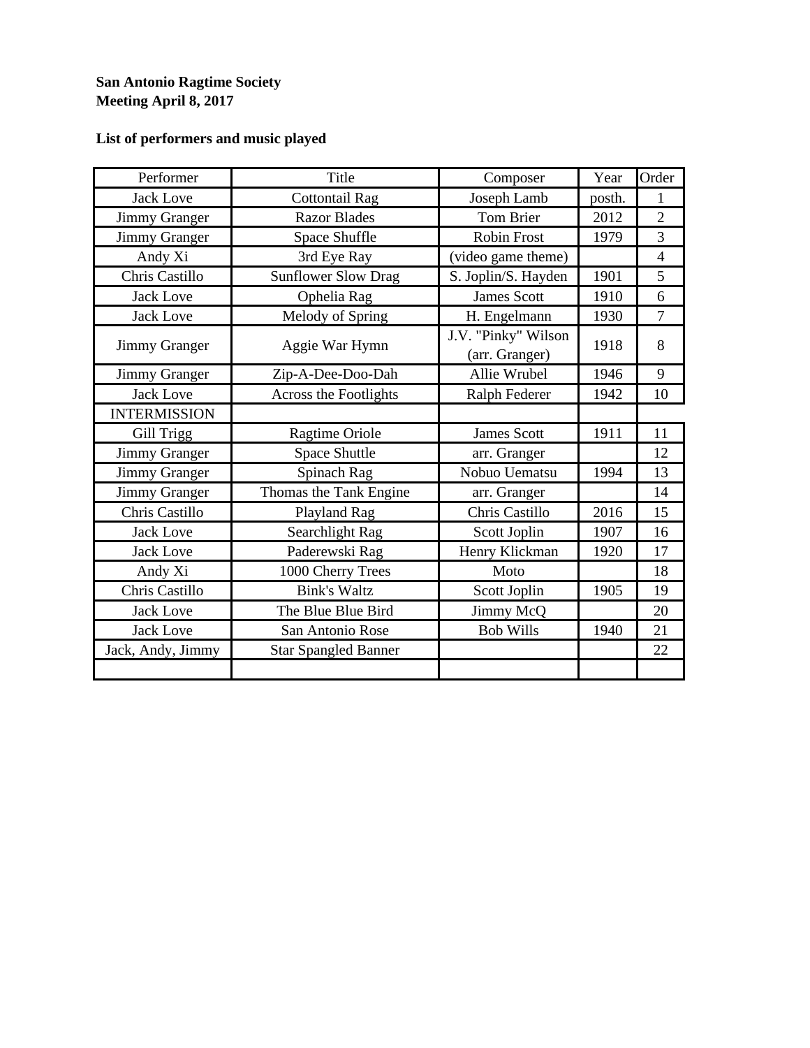#### **San Antonio Ragtime Society Meeting April 8, 2017**

| Performer            | Title                       | Composer                              | Year   | Order          |
|----------------------|-----------------------------|---------------------------------------|--------|----------------|
| <b>Jack Love</b>     | <b>Cottontail Rag</b>       | Joseph Lamb                           | posth. | 1              |
| <b>Jimmy Granger</b> | <b>Razor Blades</b>         | Tom Brier                             | 2012   | $\overline{2}$ |
| <b>Jimmy Granger</b> | Space Shuffle               | <b>Robin Frost</b>                    | 1979   | 3              |
| Andy Xi              | 3rd Eye Ray                 | (video game theme)                    |        | $\overline{4}$ |
| Chris Castillo       | <b>Sunflower Slow Drag</b>  | S. Joplin/S. Hayden                   | 1901   | 5              |
| <b>Jack Love</b>     | Ophelia Rag                 | <b>James Scott</b>                    | 1910   | 6              |
| <b>Jack Love</b>     | Melody of Spring            | H. Engelmann                          | 1930   | $\tau$         |
| Jimmy Granger        | Aggie War Hymn              | J.V. "Pinky" Wilson<br>(arr. Granger) | 1918   | 8              |
| Jimmy Granger        | Zip-A-Dee-Doo-Dah           | Allie Wrubel                          | 1946   | 9              |
| <b>Jack Love</b>     | Across the Footlights       | Ralph Federer                         | 1942   | 10             |
| <b>INTERMISSION</b>  |                             |                                       |        |                |
| Gill Trigg           | Ragtime Oriole              | <b>James Scott</b>                    | 1911   | 11             |
| Jimmy Granger        | <b>Space Shuttle</b>        | arr. Granger                          |        | 12             |
| <b>Jimmy Granger</b> | Spinach Rag                 | Nobuo Uematsu                         | 1994   | 13             |
| Jimmy Granger        | Thomas the Tank Engine      | arr. Granger                          |        | 14             |
| Chris Castillo       | Playland Rag                | Chris Castillo                        | 2016   | 15             |
| <b>Jack Love</b>     | Searchlight Rag             | Scott Joplin                          | 1907   | 16             |
| <b>Jack Love</b>     | Paderewski Rag              | Henry Klickman                        | 1920   | 17             |
| Andy Xi              | 1000 Cherry Trees           | Moto                                  |        | 18             |
| Chris Castillo       | <b>Bink's Waltz</b>         | Scott Joplin                          | 1905   | 19             |
| <b>Jack Love</b>     | The Blue Blue Bird          | Jimmy McQ                             |        | 20             |
| <b>Jack Love</b>     | San Antonio Rose            | <b>Bob Wills</b>                      | 1940   | 21             |
| Jack, Andy, Jimmy    | <b>Star Spangled Banner</b> |                                       |        | 22             |
|                      |                             |                                       |        |                |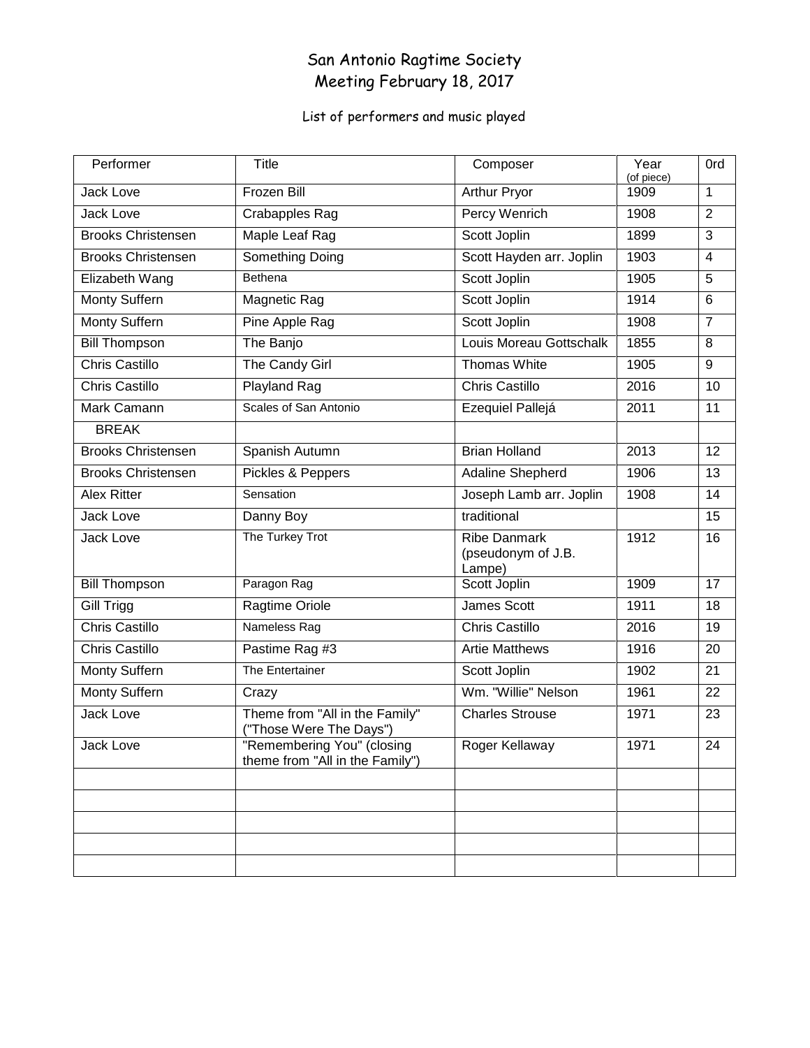### San Antonio Ragtime Society Meeting February 18, 2017

| Performer                 | <b>Title</b>                                                  | Composer                                            | Year<br>(of piece) | 0rd            |
|---------------------------|---------------------------------------------------------------|-----------------------------------------------------|--------------------|----------------|
| Jack Love                 | Frozen Bill                                                   | Arthur Pryor                                        | 1909               | 1              |
| Jack Love                 | <b>Crabapples Rag</b>                                         | <b>Percy Wenrich</b>                                | 1908               | 2              |
| <b>Brooks Christensen</b> | Maple Leaf Rag                                                | Scott Joplin                                        | 1899               | 3              |
| <b>Brooks Christensen</b> | Something Doing                                               | Scott Hayden arr. Joplin                            | 1903               | $\overline{4}$ |
| Elizabeth Wang            | Bethena                                                       | Scott Joplin                                        | 1905               | $\overline{5}$ |
| Monty Suffern             | <b>Magnetic Rag</b>                                           | Scott Joplin                                        | 1914               | 6              |
| Monty Suffern             | Pine Apple Rag                                                | Scott Joplin                                        | 1908               | $\overline{7}$ |
| <b>Bill Thompson</b>      | The Banjo                                                     | Louis Moreau Gottschalk                             | 1855               | 8              |
| <b>Chris Castillo</b>     | The Candy Girl                                                | Thomas White                                        | 1905               | 9              |
| <b>Chris Castillo</b>     | Playland Rag                                                  | <b>Chris Castillo</b>                               | 2016               | 10             |
| Mark Camann               | Scales of San Antonio                                         | Ezequiel Pallejá                                    | 2011               | 11             |
| <b>BREAK</b>              |                                                               |                                                     |                    |                |
| <b>Brooks Christensen</b> | Spanish Autumn                                                | <b>Brian Holland</b>                                | 2013               | 12             |
| <b>Brooks Christensen</b> | Pickles & Peppers                                             | Adaline Shepherd                                    | 1906               | 13             |
| <b>Alex Ritter</b>        | Sensation                                                     | Joseph Lamb arr. Joplin                             | 1908               | 14             |
| Jack Love                 | Danny Boy                                                     | traditional                                         |                    | 15             |
| Jack Love                 | The Turkey Trot                                               | <b>Ribe Danmark</b><br>(pseudonym of J.B.<br>Lampe) | 1912               | 16             |
| <b>Bill Thompson</b>      | Paragon Rag                                                   | Scott Joplin                                        | 1909               | 17             |
| Gill Trigg                | Ragtime Oriole                                                | James Scott                                         | 1911               | 18             |
| <b>Chris Castillo</b>     | Nameless Rag                                                  | <b>Chris Castillo</b>                               | 2016               | 19             |
| <b>Chris Castillo</b>     | Pastime Rag #3                                                | <b>Artie Matthews</b>                               | 1916               | 20             |
| Monty Suffern             | The Entertainer                                               | Scott Joplin                                        | 1902               | 21             |
| Monty Suffern             | Crazy                                                         | Wm. "Willie" Nelson                                 | 1961               | 22             |
| <b>Jack Love</b>          | Theme from "All in the Family"<br>("Those Were The Days")     | <b>Charles Strouse</b>                              | 1971               | 23             |
| Jack Love                 | "Remembering You" (closing<br>theme from "All in the Family") | Roger Kellaway                                      | 1971               | 24             |
|                           |                                                               |                                                     |                    |                |
|                           |                                                               |                                                     |                    |                |
|                           |                                                               |                                                     |                    |                |
|                           |                                                               |                                                     |                    |                |
|                           |                                                               |                                                     |                    |                |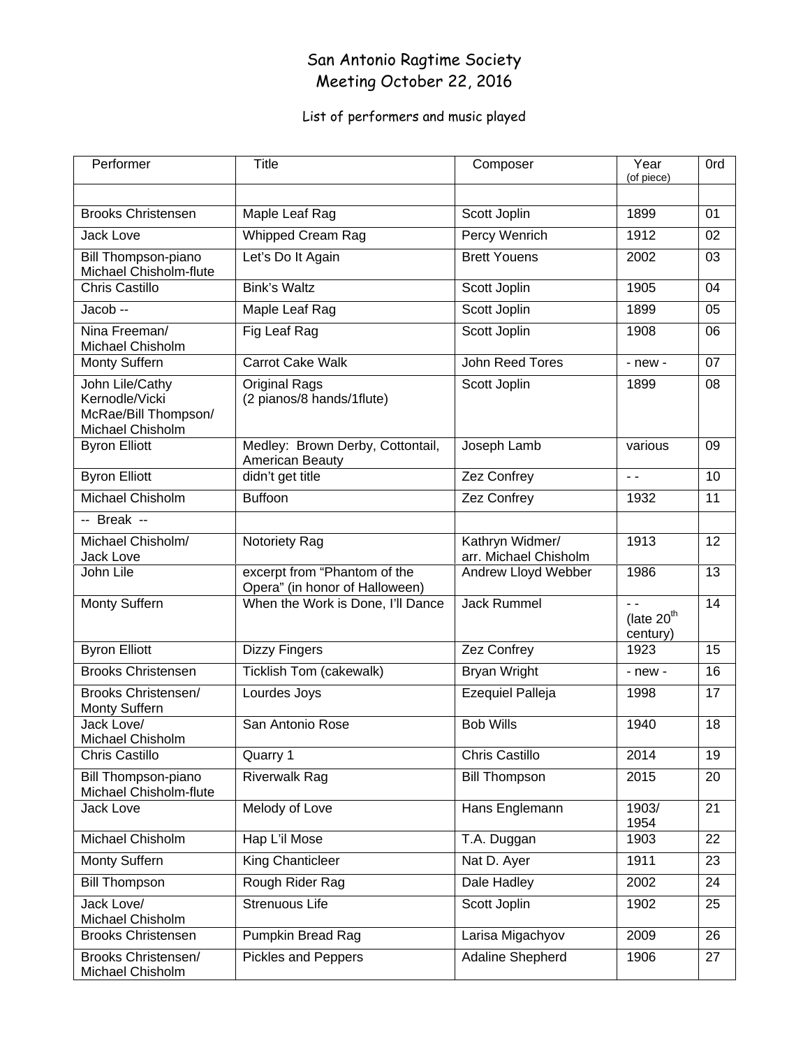### San Antonio Ragtime Society Meeting October 22, 2016

| Performer                                                                     | Title                                                          | Composer                                 | Year<br>(of piece)                                             | 0rd |
|-------------------------------------------------------------------------------|----------------------------------------------------------------|------------------------------------------|----------------------------------------------------------------|-----|
|                                                                               |                                                                |                                          |                                                                |     |
| <b>Brooks Christensen</b>                                                     | Maple Leaf Rag                                                 | Scott Joplin                             | 1899                                                           | 01  |
| <b>Jack Love</b>                                                              | <b>Whipped Cream Rag</b>                                       | <b>Percy Wenrich</b>                     | 1912                                                           | 02  |
| Bill Thompson-piano<br>Michael Chisholm-flute                                 | Let's Do It Again                                              | <b>Brett Youens</b>                      | 2002                                                           | 03  |
| <b>Chris Castillo</b>                                                         | <b>Bink's Waltz</b>                                            | Scott Joplin                             | 1905                                                           | 04  |
| $Jacob -$                                                                     | Maple Leaf Rag                                                 | Scott Joplin                             | 1899                                                           | 05  |
| Nina Freeman/<br>Michael Chisholm                                             | Fig Leaf Rag                                                   | Scott Joplin                             | 1908                                                           | 06  |
| Monty Suffern                                                                 | Carrot Cake Walk                                               | John Reed Tores                          | $-$ new $-$                                                    | 07  |
| John Lile/Cathy<br>Kernodle/Vicki<br>McRae/Bill Thompson/<br>Michael Chisholm | <b>Original Rags</b><br>(2 pianos/8 hands/1flute)              | Scott Joplin                             | 1899                                                           | 08  |
| <b>Byron Elliott</b>                                                          | Medley: Brown Derby, Cottontail,<br>American Beauty            | Joseph Lamb                              | various                                                        | 09  |
| <b>Byron Elliott</b>                                                          | didn't get title                                               | Zez Confrey                              | $\sim$ $\sim$                                                  | 10  |
| Michael Chisholm                                                              | <b>Buffoon</b>                                                 | Zez Confrey                              | 1932                                                           | 11  |
| -- Break --                                                                   |                                                                |                                          |                                                                |     |
| Michael Chisholm/<br><b>Jack Love</b>                                         | Notoriety Rag                                                  | Kathryn Widmer/<br>arr. Michael Chisholm | 1913                                                           | 12  |
| John Lile                                                                     | excerpt from "Phantom of the<br>Opera" (in honor of Halloween) | <b>Andrew Lloyd Webber</b>               | 1986                                                           | 13  |
| Monty Suffern                                                                 | When the Work is Done, I'll Dance                              | <b>Jack Rummel</b>                       | $\overline{\phantom{a}}$<br>(late 20 <sup>th</sup><br>century) | 14  |
| <b>Byron Elliott</b>                                                          | <b>Dizzy Fingers</b>                                           | Zez Confrey                              | 1923                                                           | 15  |
| <b>Brooks Christensen</b>                                                     | Ticklish Tom (cakewalk)                                        | <b>Bryan Wright</b>                      | $-$ new $-$                                                    | 16  |
| <b>Brooks Christensen/</b><br>Monty Suffern                                   | Lourdes Joys                                                   | <b>Ezequiel Palleja</b>                  | 1998                                                           | 17  |
| Jack Love/<br>Michael Chisholm                                                | San Antonio Rose                                               | <b>Bob Wills</b>                         | 1940                                                           | 18  |
| <b>Chris Castillo</b>                                                         | Quarry 1                                                       | <b>Chris Castillo</b>                    | 2014                                                           | 19  |
| Bill Thompson-piano<br>Michael Chisholm-flute                                 | <b>Riverwalk Rag</b>                                           | <b>Bill Thompson</b>                     | 2015                                                           | 20  |
| <b>Jack Love</b>                                                              | Melody of Love                                                 | Hans Englemann                           | 1903/<br>1954                                                  | 21  |
| Michael Chisholm                                                              | Hap L'il Mose                                                  | T.A. Duggan                              | 1903                                                           | 22  |
| Monty Suffern                                                                 | <b>King Chanticleer</b>                                        | Nat D. Ayer                              | 1911                                                           | 23  |
| <b>Bill Thompson</b>                                                          | Rough Rider Rag                                                | Dale Hadley                              | 2002                                                           | 24  |
| Jack Love/<br>Michael Chisholm                                                | Strenuous Life                                                 | Scott Joplin                             | 1902                                                           | 25  |
| <b>Brooks Christensen</b>                                                     | Pumpkin Bread Rag                                              | Larisa Migachyov                         | 2009                                                           | 26  |
| <b>Brooks Christensen/</b><br>Michael Chisholm                                | <b>Pickles and Peppers</b>                                     | Adaline Shepherd                         | 1906                                                           | 27  |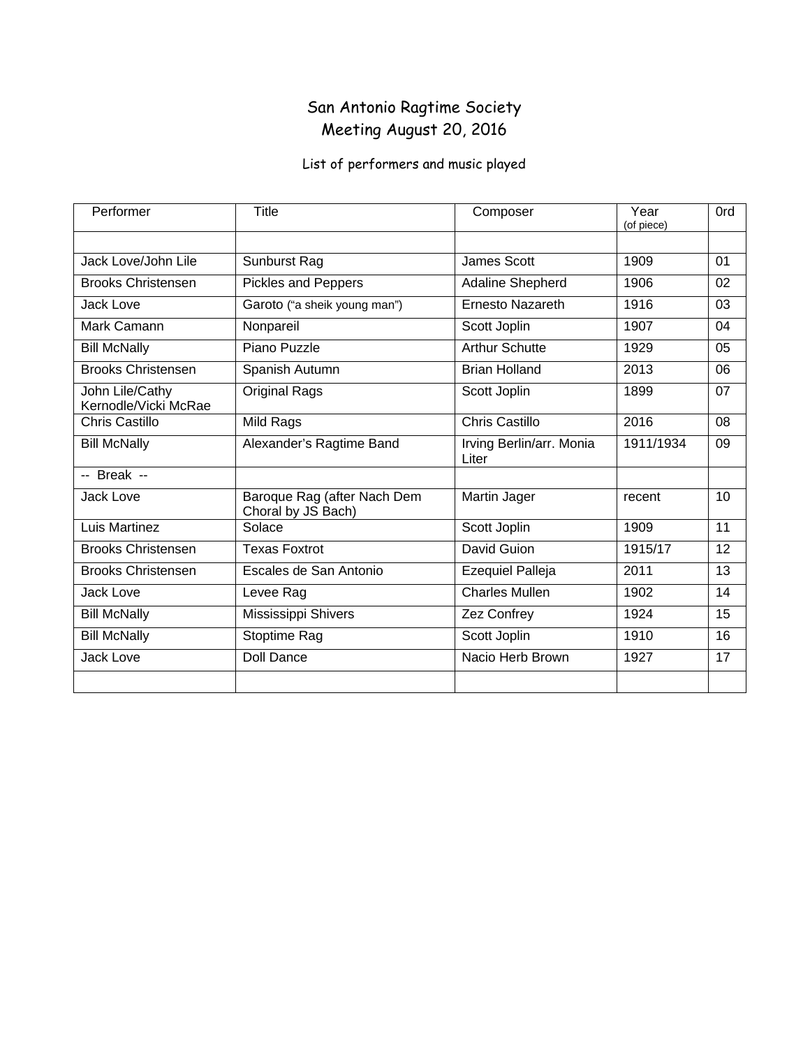### San Antonio Ragtime Society Meeting August 20, 2016

| Performer                               | Title                                             | Composer                          | Year<br>(of piece) | 0rd |
|-----------------------------------------|---------------------------------------------------|-----------------------------------|--------------------|-----|
| Jack Love/John Lile                     | Sunburst Rag                                      | <b>James Scott</b>                | 1909               | 01  |
| <b>Brooks Christensen</b>               | Pickles and Peppers                               | Adaline Shepherd                  | 1906               | 02  |
| <b>Jack Love</b>                        | Garoto ("a sheik young man")                      | <b>Ernesto Nazareth</b>           | 1916               | 03  |
| Mark Camann                             | Nonpareil                                         | Scott Joplin                      | 1907               | 04  |
| <b>Bill McNally</b>                     | Piano Puzzle                                      | <b>Arthur Schutte</b>             | 1929               | 05  |
| <b>Brooks Christensen</b>               | Spanish Autumn                                    | <b>Brian Holland</b>              | 2013               | 06  |
| John Lile/Cathy<br>Kernodle/Vicki McRae | <b>Original Rags</b>                              | Scott Joplin                      | 1899               | 07  |
| <b>Chris Castillo</b>                   | Mild Rags                                         | <b>Chris Castillo</b>             | 2016               | 08  |
| <b>Bill McNally</b>                     | Alexander's Ragtime Band                          | Irving Berlin/arr. Monia<br>Liter | 1911/1934          | 09  |
| -- Break --                             |                                                   |                                   |                    |     |
| Jack Love                               | Baroque Rag (after Nach Dem<br>Choral by JS Bach) | Martin Jager                      | recent             | 10  |
| Luis Martinez                           | Solace                                            | Scott Joplin                      | 1909               | 11  |
| <b>Brooks Christensen</b>               | <b>Texas Foxtrot</b>                              | David Guion                       | 1915/17            | 12  |
| <b>Brooks Christensen</b>               | Escales de San Antonio                            | <b>Ezequiel Palleja</b>           | 2011               | 13  |
| <b>Jack Love</b>                        | Levee Rag                                         | <b>Charles Mullen</b>             | 1902               | 14  |
| <b>Bill McNally</b>                     | Mississippi Shivers                               | Zez Confrey                       | 1924               | 15  |
| <b>Bill McNally</b>                     | Stoptime Rag                                      | Scott Joplin                      | 1910               | 16  |
| Jack Love                               | <b>Doll Dance</b>                                 | Nacio Herb Brown                  | 1927               | 17  |
|                                         |                                                   |                                   |                    |     |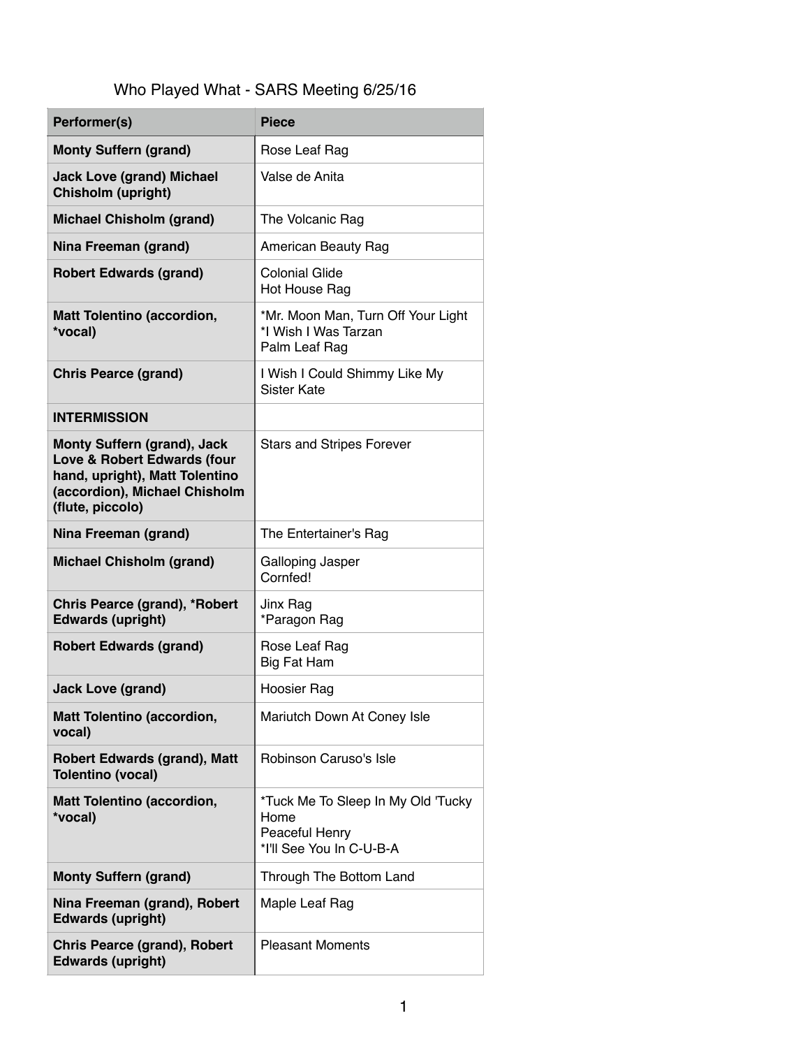### Who Played What - SARS Meeting 6/25/16

| Performer(s)                                                                                                                                             | <b>Piece</b>                                                                             |
|----------------------------------------------------------------------------------------------------------------------------------------------------------|------------------------------------------------------------------------------------------|
| <b>Monty Suffern (grand)</b>                                                                                                                             | Rose Leaf Rag                                                                            |
| <b>Jack Love (grand) Michael</b><br>Chisholm (upright)                                                                                                   | Valse de Anita                                                                           |
| <b>Michael Chisholm (grand)</b>                                                                                                                          | The Volcanic Rag                                                                         |
| Nina Freeman (grand)                                                                                                                                     | American Beauty Rag                                                                      |
| <b>Robert Edwards (grand)</b>                                                                                                                            | <b>Colonial Glide</b><br>Hot House Rag                                                   |
| <b>Matt Tolentino (accordion,</b><br>*vocal)                                                                                                             | *Mr. Moon Man, Turn Off Your Light<br>*I Wish I Was Tarzan<br>Palm Leaf Rag              |
| <b>Chris Pearce (grand)</b>                                                                                                                              | I Wish I Could Shimmy Like My<br><b>Sister Kate</b>                                      |
| <b>INTERMISSION</b>                                                                                                                                      |                                                                                          |
| <b>Monty Suffern (grand), Jack</b><br>Love & Robert Edwards (four<br>hand, upright), Matt Tolentino<br>(accordion), Michael Chisholm<br>(flute, piccolo) | <b>Stars and Stripes Forever</b>                                                         |
| Nina Freeman (grand)                                                                                                                                     | The Entertainer's Rag                                                                    |
| <b>Michael Chisholm (grand)</b>                                                                                                                          | Galloping Jasper<br>Cornfed!                                                             |
| Chris Pearce (grand), *Robert<br><b>Edwards (upright)</b>                                                                                                | Jinx Rag<br>*Paragon Rag                                                                 |
| <b>Robert Edwards (grand)</b>                                                                                                                            | Rose Leaf Rag<br><b>Big Fat Ham</b>                                                      |
| <b>Jack Love (grand)</b>                                                                                                                                 | Hoosier Rag                                                                              |
| <b>Matt Tolentino (accordion,</b><br>vocal)                                                                                                              | Mariutch Down At Coney Isle                                                              |
| <b>Robert Edwards (grand), Matt</b><br><b>Tolentino (vocal)</b>                                                                                          | Robinson Caruso's Isle                                                                   |
| <b>Matt Tolentino (accordion,</b><br>*vocal)                                                                                                             | *Tuck Me To Sleep In My Old 'Tucky<br>Home<br>Peaceful Henry<br>*I'll See You In C-U-B-A |
| <b>Monty Suffern (grand)</b>                                                                                                                             | Through The Bottom Land                                                                  |
| Nina Freeman (grand), Robert<br><b>Edwards (upright)</b>                                                                                                 | Maple Leaf Rag                                                                           |
| <b>Chris Pearce (grand), Robert</b><br><b>Edwards (upright)</b>                                                                                          | <b>Pleasant Moments</b>                                                                  |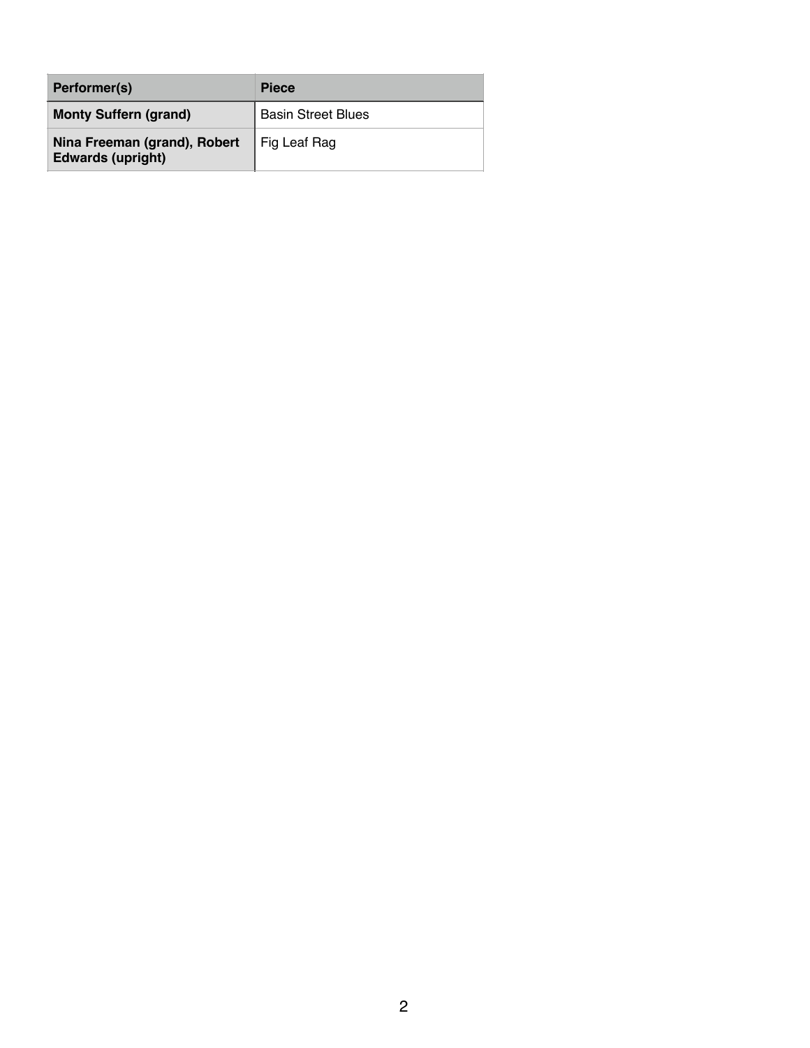| Performer(s)                                             | <b>Piece</b>              |
|----------------------------------------------------------|---------------------------|
| <b>Monty Suffern (grand)</b>                             | <b>Basin Street Blues</b> |
| Nina Freeman (grand), Robert<br><b>Edwards (upright)</b> | Fig Leaf Rag              |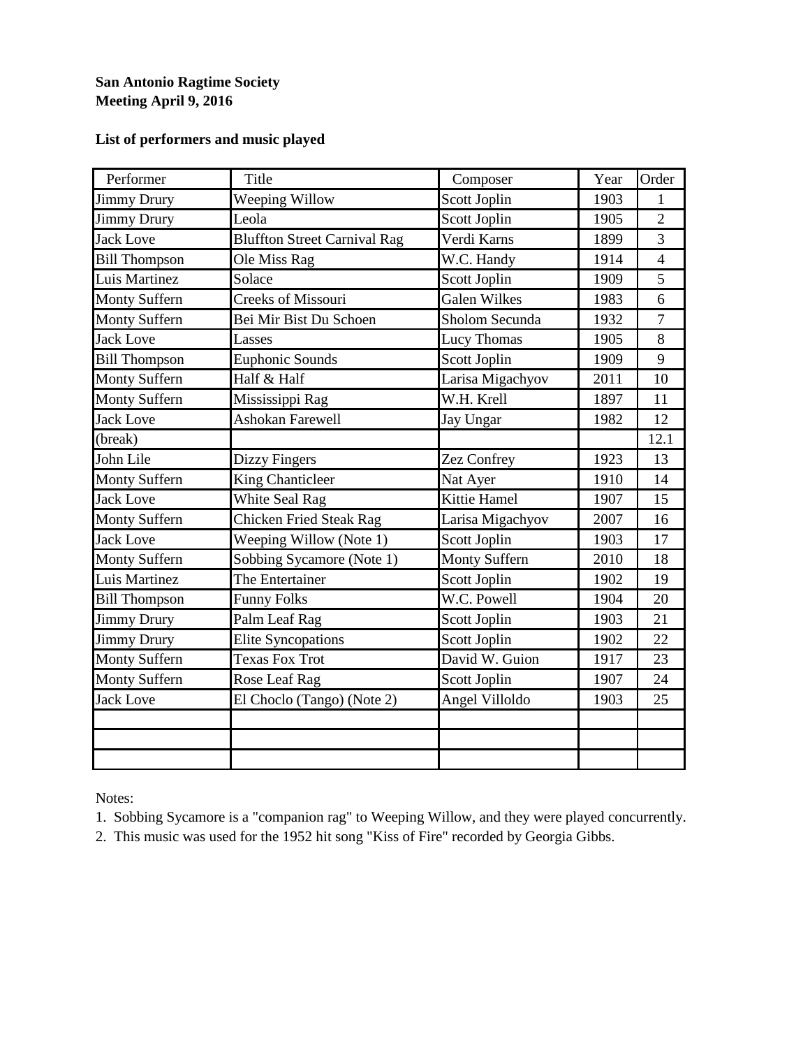#### **San Antonio Ragtime Society Meeting April 9, 2016**

#### **List of performers and music played**

| Performer            | Title                               | Composer             | Year | Order          |
|----------------------|-------------------------------------|----------------------|------|----------------|
| <b>Jimmy Drury</b>   | Weeping Willow                      | Scott Joplin         | 1903 | 1              |
| <b>Jimmy Drury</b>   | Leola                               | Scott Joplin         | 1905 | $\overline{2}$ |
| <b>Jack Love</b>     | <b>Bluffton Street Carnival Rag</b> | Verdi Karns          | 1899 | 3              |
| <b>Bill Thompson</b> | Ole Miss Rag                        | W.C. Handy           | 1914 | $\overline{4}$ |
| Luis Martinez        | Solace                              | Scott Joplin         | 1909 | 5              |
| <b>Monty Suffern</b> | Creeks of Missouri                  | <b>Galen Wilkes</b>  | 1983 | 6              |
| <b>Monty Suffern</b> | Bei Mir Bist Du Schoen              | Sholom Secunda       | 1932 | $\tau$         |
| <b>Jack Love</b>     | Lasses                              | Lucy Thomas          | 1905 | 8              |
| <b>Bill Thompson</b> | <b>Euphonic Sounds</b>              | Scott Joplin         | 1909 | 9              |
| <b>Monty Suffern</b> | Half & Half                         | Larisa Migachyov     | 2011 | 10             |
| <b>Monty Suffern</b> | Mississippi Rag                     | W.H. Krell           | 1897 | 11             |
| <b>Jack Love</b>     | <b>Ashokan Farewell</b>             | Jay Ungar            | 1982 | 12             |
| (break)              |                                     |                      |      | 12.1           |
| John Lile            | <b>Dizzy Fingers</b>                | Zez Confrey          | 1923 | 13             |
| <b>Monty Suffern</b> | <b>King Chanticleer</b>             | Nat Ayer             | 1910 | 14             |
| <b>Jack Love</b>     | White Seal Rag                      | Kittie Hamel         | 1907 | 15             |
| <b>Monty Suffern</b> | <b>Chicken Fried Steak Rag</b>      | Larisa Migachyov     | 2007 | 16             |
| <b>Jack Love</b>     | Weeping Willow (Note 1)             | Scott Joplin         | 1903 | 17             |
| <b>Monty Suffern</b> | Sobbing Sycamore (Note 1)           | <b>Monty Suffern</b> | 2010 | 18             |
| Luis Martinez        | The Entertainer                     | Scott Joplin         | 1902 | 19             |
| <b>Bill Thompson</b> | <b>Funny Folks</b>                  | W.C. Powell          | 1904 | 20             |
| <b>Jimmy Drury</b>   | Palm Leaf Rag                       | Scott Joplin         | 1903 | 21             |
| <b>Jimmy Drury</b>   | <b>Elite Syncopations</b>           | Scott Joplin         | 1902 | 22             |
| <b>Monty Suffern</b> | <b>Texas Fox Trot</b>               | David W. Guion       | 1917 | 23             |
| Monty Suffern        | Rose Leaf Rag                       | Scott Joplin         | 1907 | 24             |
| <b>Jack Love</b>     | El Choclo (Tango) (Note 2)          | Angel Villoldo       | 1903 | 25             |
|                      |                                     |                      |      |                |
|                      |                                     |                      |      |                |
|                      |                                     |                      |      |                |

Notes:

1. Sobbing Sycamore is a "companion rag" to Weeping Willow, and they were played concurrently.

2. This music was used for the 1952 hit song "Kiss of Fire" recorded by Georgia Gibbs.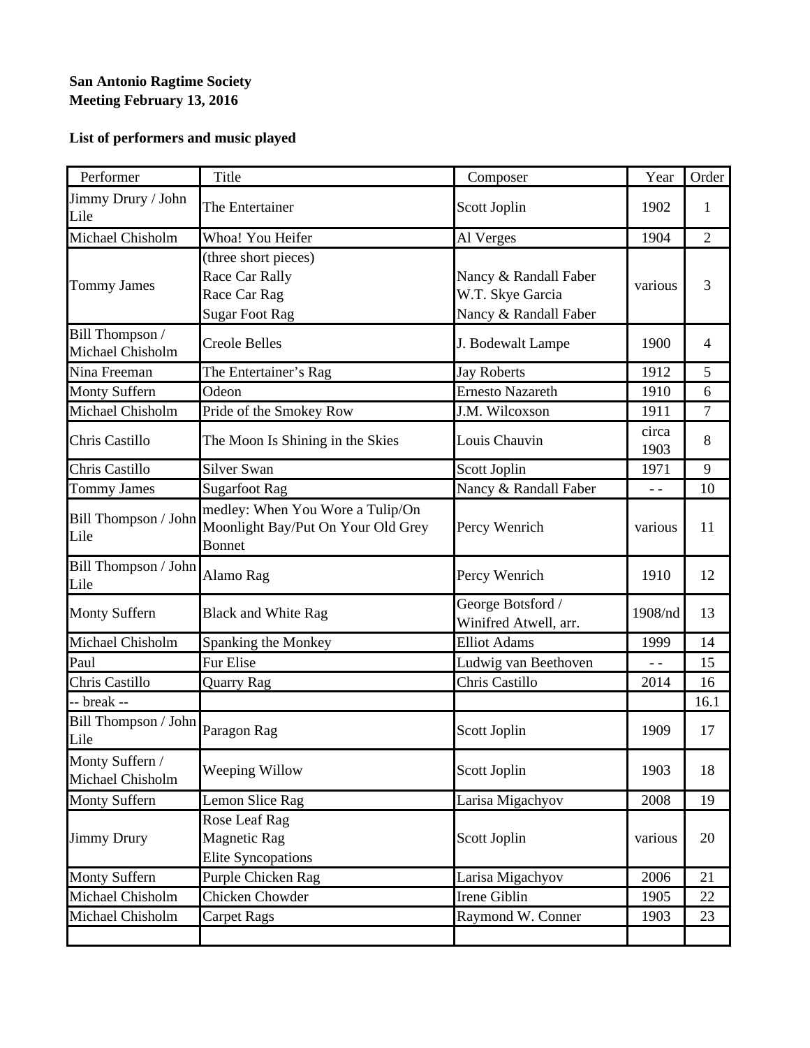#### **San Antonio Ragtime Society Meeting February 13, 2016**

| Performer                           | <b>Title</b>                                                                            | Composer                                                           | Year          | Order          |
|-------------------------------------|-----------------------------------------------------------------------------------------|--------------------------------------------------------------------|---------------|----------------|
| Jimmy Drury / John<br>Lile          | The Entertainer                                                                         | Scott Joplin                                                       | 1902          | 1              |
| Michael Chisholm                    | Whoa! You Heifer                                                                        | Al Verges                                                          | 1904          | $\overline{2}$ |
| <b>Tommy James</b>                  | (three short pieces)<br>Race Car Rally<br>Race Car Rag<br><b>Sugar Foot Rag</b>         | Nancy & Randall Faber<br>W.T. Skye Garcia<br>Nancy & Randall Faber | various       | 3              |
| Bill Thompson /<br>Michael Chisholm | <b>Creole Belles</b>                                                                    | J. Bodewalt Lampe                                                  | 1900          | $\overline{4}$ |
| Nina Freeman                        | The Entertainer's Rag                                                                   | <b>Jay Roberts</b>                                                 | 1912          | 5              |
| Monty Suffern                       | Odeon                                                                                   | <b>Ernesto Nazareth</b>                                            | 1910          | 6              |
| Michael Chisholm                    | Pride of the Smokey Row                                                                 | J.M. Wilcoxson                                                     | 1911          | 7              |
| Chris Castillo                      | The Moon Is Shining in the Skies                                                        | Louis Chauvin                                                      | circa<br>1903 | 8              |
| Chris Castillo                      | Silver Swan                                                                             | Scott Joplin                                                       | 1971          | 9              |
| <b>Tommy James</b>                  | <b>Sugarfoot Rag</b>                                                                    | Nancy & Randall Faber                                              | $ -$          | 10             |
| Bill Thompson / John<br>Lile        | medley: When You Wore a Tulip/On<br>Moonlight Bay/Put On Your Old Grey<br><b>Bonnet</b> | Percy Wenrich                                                      | various       | 11             |
| Bill Thompson / John<br>Lile        | Alamo Rag                                                                               | Percy Wenrich                                                      | 1910          | 12             |
| <b>Monty Suffern</b>                | <b>Black and White Rag</b>                                                              | George Botsford /<br>Winifred Atwell, arr.                         | 1908/nd       | 13             |
| Michael Chisholm                    | Spanking the Monkey                                                                     | <b>Elliot Adams</b>                                                | 1999          | 14             |
| Paul                                | <b>Fur Elise</b>                                                                        | Ludwig van Beethoven                                               | $ -$          | 15             |
| Chris Castillo                      | Quarry Rag                                                                              | Chris Castillo                                                     | 2014          | 16             |
| -- break --                         |                                                                                         |                                                                    |               | 16.1           |
| Bill Thompson / John<br>Lile        | Paragon Rag                                                                             | Scott Joplin                                                       | 1909          | 17             |
| Monty Suffern /<br>Michael Chisholm | Weeping Willow                                                                          | Scott Joplin                                                       | 1903          | 18             |
| <b>Monty Suffern</b>                | Lemon Slice Rag                                                                         | Larisa Migachyov                                                   | 2008          | 19             |
| <b>Jimmy Drury</b>                  | Rose Leaf Rag<br><b>Magnetic Rag</b><br><b>Elite Syncopations</b>                       | Scott Joplin                                                       | various       | 20             |
| <b>Monty Suffern</b>                | Purple Chicken Rag                                                                      | Larisa Migachyov                                                   | 2006          | 21             |
| Michael Chisholm                    | <b>Chicken Chowder</b>                                                                  | Irene Giblin                                                       | 1905          | 22             |
| Michael Chisholm                    | <b>Carpet Rags</b>                                                                      | Raymond W. Conner                                                  | 1903          | 23             |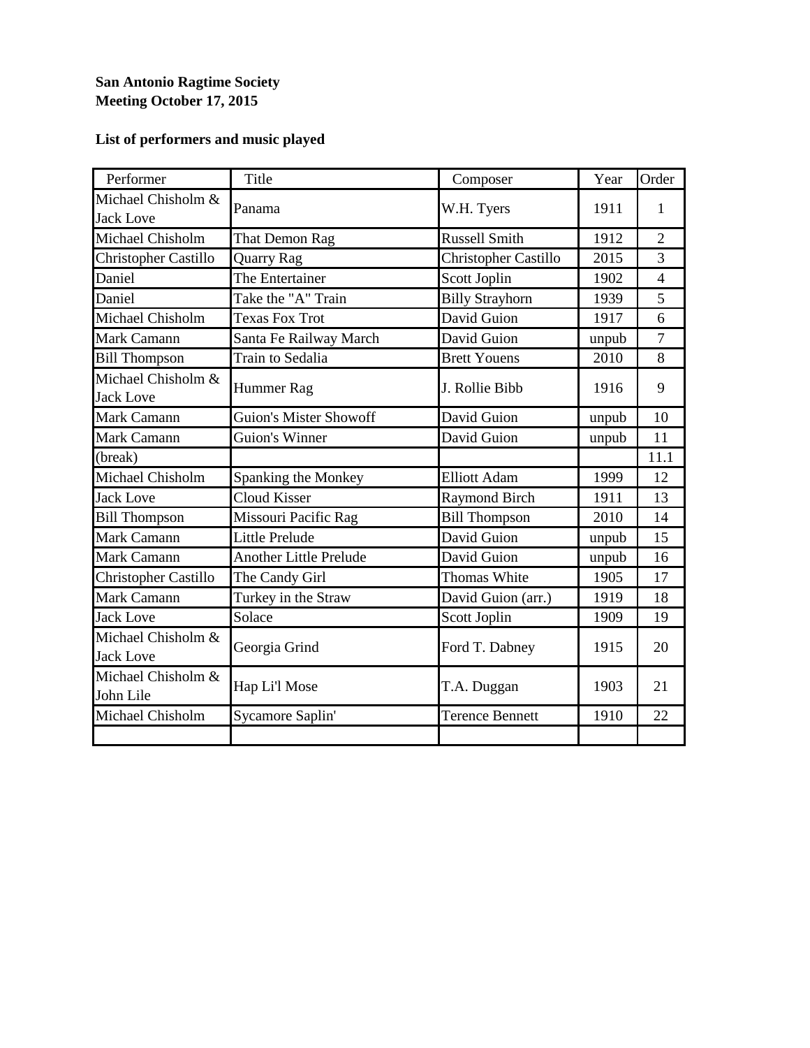#### **San Antonio Ragtime Society Meeting October 17, 2015**

| Performer                              | Title                         | Composer               | Year  | Order          |
|----------------------------------------|-------------------------------|------------------------|-------|----------------|
| Michael Chisholm &<br><b>Jack Love</b> | Panama                        | W.H. Tyers             | 1911  | $\mathbf{1}$   |
| Michael Chisholm                       | That Demon Rag                | <b>Russell Smith</b>   | 1912  | $\overline{2}$ |
| Christopher Castillo                   | <b>Quarry Rag</b>             | Christopher Castillo   | 2015  | 3              |
| Daniel                                 | The Entertainer               | Scott Joplin           | 1902  | $\overline{4}$ |
| Daniel                                 | Take the "A" Train            | <b>Billy Strayhorn</b> | 1939  | 5              |
| Michael Chisholm                       | <b>Texas Fox Trot</b>         | David Guion            | 1917  | 6              |
| Mark Camann                            | Santa Fe Railway March        | David Guion            | unpub | $\tau$         |
| <b>Bill Thompson</b>                   | Train to Sedalia              | <b>Brett Youens</b>    | 2010  | 8              |
| Michael Chisholm &<br><b>Jack Love</b> | Hummer Rag                    | J. Rollie Bibb         | 1916  | 9              |
| Mark Camann                            | <b>Guion's Mister Showoff</b> | David Guion            | unpub | 10             |
| Mark Camann                            | <b>Guion's Winner</b>         | David Guion            | unpub | 11             |
| (break)                                |                               |                        |       | 11.1           |
| Michael Chisholm                       | Spanking the Monkey           | <b>Elliott Adam</b>    | 1999  | 12             |
| <b>Jack Love</b>                       | <b>Cloud Kisser</b>           | <b>Raymond Birch</b>   | 1911  | 13             |
| <b>Bill Thompson</b>                   | Missouri Pacific Rag          | <b>Bill Thompson</b>   | 2010  | 14             |
| Mark Camann                            | Little Prelude                | David Guion            | unpub | 15             |
| Mark Camann                            | <b>Another Little Prelude</b> | David Guion            | unpub | 16             |
| Christopher Castillo                   | The Candy Girl                | <b>Thomas White</b>    | 1905  | 17             |
| Mark Camann                            | Turkey in the Straw           | David Guion (arr.)     | 1919  | 18             |
| <b>Jack Love</b>                       | Solace                        | Scott Joplin           | 1909  | 19             |
| Michael Chisholm &<br><b>Jack Love</b> | Georgia Grind                 | Ford T. Dabney         | 1915  | 20             |
| Michael Chisholm &<br>John Lile        | Hap Li'l Mose                 | T.A. Duggan            | 1903  | 21             |
| Michael Chisholm                       | Sycamore Saplin'              | <b>Terence Bennett</b> | 1910  | 22             |
|                                        |                               |                        |       |                |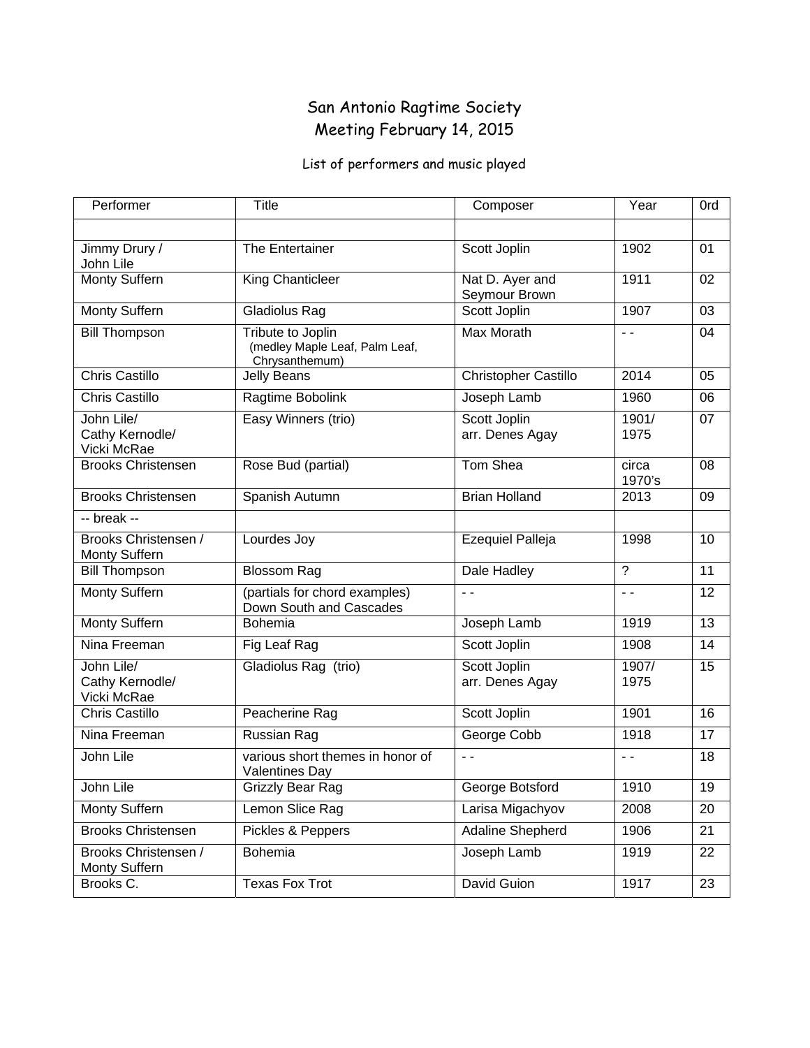### San Antonio Ragtime Society Meeting February 14, 2015

| Performer                                    | <b>Title</b>                                                          | Composer                         | Year            | 0rd             |
|----------------------------------------------|-----------------------------------------------------------------------|----------------------------------|-----------------|-----------------|
|                                              |                                                                       |                                  |                 |                 |
| Jimmy Drury /<br>John Lile                   | The Entertainer                                                       | Scott Joplin                     | 1902            | 01              |
| Monty Suffern                                | King Chanticleer                                                      | Nat D. Ayer and<br>Seymour Brown | 1911            | 02              |
| Monty Suffern                                | Gladiolus Rag                                                         | Scott Joplin                     | 1907            | 03              |
| <b>Bill Thompson</b>                         | Tribute to Joplin<br>(medley Maple Leaf, Palm Leaf,<br>Chrysanthemum) | <b>Max Morath</b>                | $ -$            | 04              |
| <b>Chris Castillo</b>                        | <b>Jelly Beans</b>                                                    | Christopher Castillo             | 2014            | 05              |
| <b>Chris Castillo</b>                        | Ragtime Bobolink                                                      | Joseph Lamb                      | 1960            | 06              |
| John Lile/<br>Cathy Kernodle/<br>Vicki McRae | Easy Winners (trio)                                                   | Scott Joplin<br>arr. Denes Agay  | 1901/<br>1975   | 07              |
| <b>Brooks Christensen</b>                    | Rose Bud (partial)                                                    | Tom Shea                         | circa<br>1970's | 08              |
| <b>Brooks Christensen</b>                    | Spanish Autumn                                                        | <b>Brian Holland</b>             | 2013            | 09              |
| -- break --                                  |                                                                       |                                  |                 |                 |
| Brooks Christensen /<br>Monty Suffern        | Lourdes Joy                                                           | <b>Ezequiel Palleja</b>          | 1998            | 10              |
| <b>Bill Thompson</b>                         | <b>Blossom Rag</b>                                                    | Dale Hadley                      | $\overline{?}$  | 11              |
| Monty Suffern                                | (partials for chord examples)<br>Down South and Cascades              | $ -$                             | $ -$            | 12              |
| Monty Suffern                                | Bohemia                                                               | Joseph Lamb                      | 1919            | 13              |
| Nina Freeman                                 | Fig Leaf Rag                                                          | Scott Joplin                     | 1908            | 14              |
| John Lile/<br>Cathy Kernodle/<br>Vicki McRae | Gladiolus Rag (trio)                                                  | Scott Joplin<br>arr. Denes Agay  | 1907/<br>1975   | 15              |
| <b>Chris Castillo</b>                        | Peacherine Rag                                                        | Scott Joplin                     | 1901            | 16              |
| Nina Freeman                                 | Russian Rag                                                           | George Cobb                      | 1918            | 17              |
| John Lile                                    | various short themes in honor of<br>Valentines Day                    |                                  | $\sim$ $\sim$   | 18              |
| John Lile                                    | <b>Grizzly Bear Rag</b>                                               | George Botsford                  | 1910            | $\overline{19}$ |
| Monty Suffern                                | Lemon Slice Rag                                                       | Larisa Migachyov                 | 2008            | 20              |
| <b>Brooks Christensen</b>                    | Pickles & Peppers                                                     | Adaline Shepherd                 | 1906            | 21              |
| Brooks Christensen /<br>Monty Suffern        | Bohemia                                                               | Joseph Lamb                      | 1919            | 22              |
| Brooks C.                                    | <b>Texas Fox Trot</b>                                                 | David Guion                      | 1917            | 23              |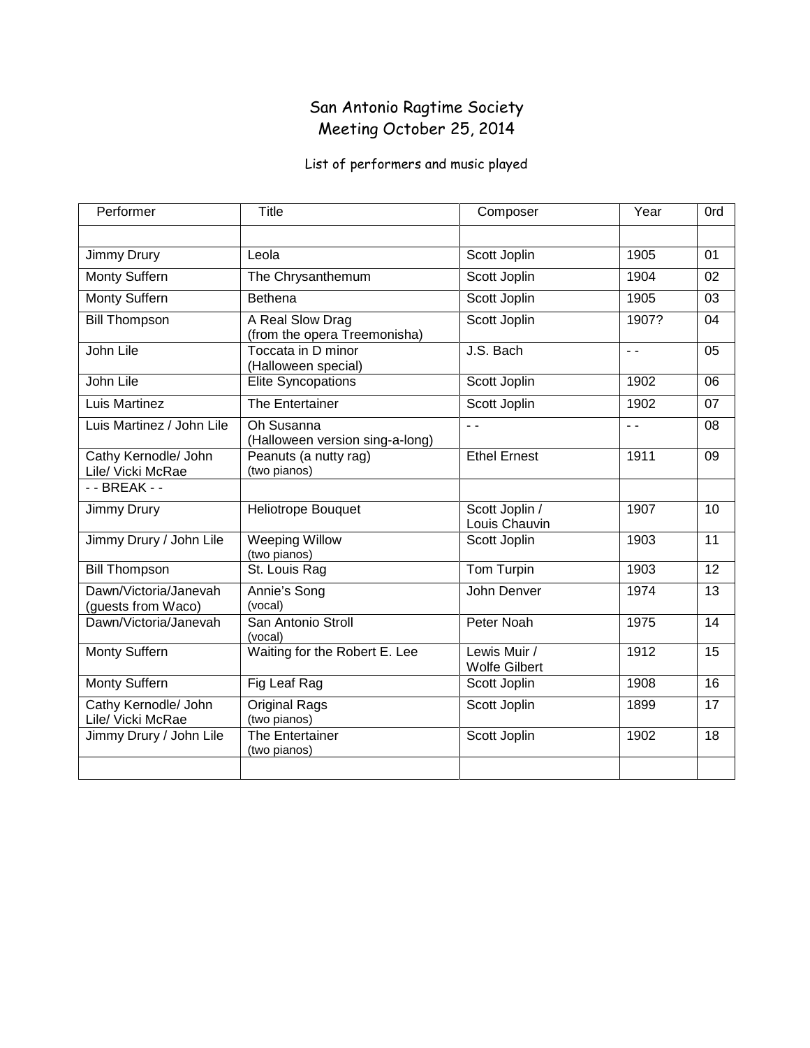### San Antonio Ragtime Society Meeting October 25, 2014

| Performer                                   | <b>Title</b>                                     | Composer                             | Year          | 0rd             |
|---------------------------------------------|--------------------------------------------------|--------------------------------------|---------------|-----------------|
|                                             |                                                  |                                      |               |                 |
| Jimmy Drury                                 | Leola                                            | Scott Joplin                         | 1905          | 01              |
| <b>Monty Suffern</b>                        | The Chrysanthemum                                | Scott Joplin                         | 1904          | 02              |
| Monty Suffern                               | <b>Bethena</b>                                   | Scott Joplin                         | 1905          | 03              |
| <b>Bill Thompson</b>                        | A Real Slow Drag<br>(from the opera Treemonisha) | Scott Joplin                         | 1907?         | 04              |
| John Lile                                   | Toccata in D minor<br>(Halloween special)        | J.S. Bach                            | $ -$          | 05              |
| John Lile                                   | <b>Elite Syncopations</b>                        | Scott Joplin                         | 1902          | 06              |
| Luis Martinez                               | The Entertainer                                  | Scott Joplin                         | 1902          | 07              |
| Luis Martinez / John Lile                   | Oh Susanna<br>(Halloween version sing-a-long)    | $\sim$ $\sim$                        | $\sim$ $\sim$ | 08              |
| Cathy Kernodle/ John<br>Lile/ Vicki McRae   | Peanuts (a nutty rag)<br>(two pianos)            | <b>Ethel Ernest</b>                  | 1911          | 09              |
| - - BREAK - -                               |                                                  |                                      |               |                 |
| Jimmy Drury                                 | Heliotrope Bouquet                               | Scott Joplin /<br>Louis Chauvin      | 1907          | 10              |
| Jimmy Drury / John Lile                     | Weeping Willow<br>(two pianos)                   | Scott Joplin                         | 1903          | 11              |
| <b>Bill Thompson</b>                        | St. Louis Rag                                    | Tom Turpin                           | 1903          | $\overline{12}$ |
| Dawn/Victoria/Janevah<br>(guests from Waco) | Annie's Song<br>(vocal)                          | John Denver                          | 1974          | 13              |
| Dawn/Victoria/Janevah                       | San Antonio Stroll<br>(vocal)                    | Peter Noah                           | 1975          | $\overline{14}$ |
| Monty Suffern                               | Waiting for the Robert E. Lee                    | Lewis Muir /<br><b>Wolfe Gilbert</b> | 1912          | 15              |
| Monty Suffern                               | Fig Leaf Rag                                     | Scott Joplin                         | 1908          | 16              |
| Cathy Kernodle/ John<br>Lile/ Vicki McRae   | <b>Original Rags</b><br>(two pianos)             | Scott Joplin                         | 1899          | $\overline{17}$ |
| Jimmy Drury / John Lile                     | The Entertainer<br>(two pianos)                  | Scott Joplin                         | 1902          | 18              |
|                                             |                                                  |                                      |               |                 |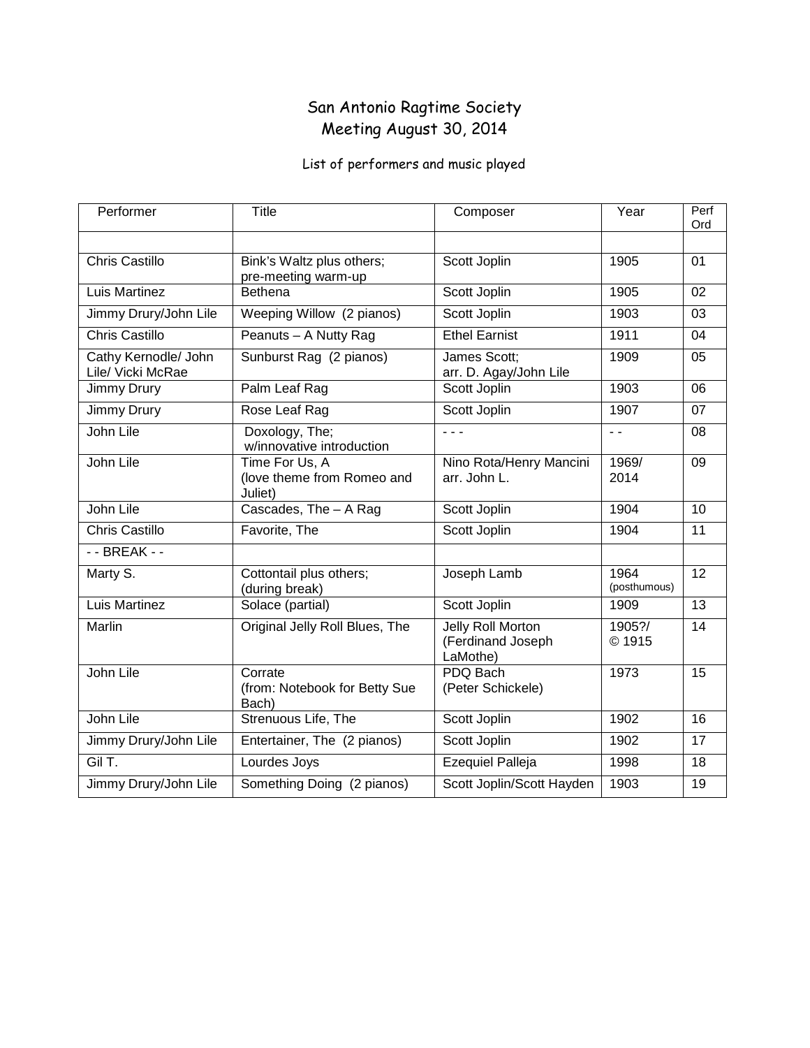### San Antonio Ragtime Society Meeting August 30, 2014

| Performer                                 | <b>Title</b>                                            | Composer                                           | Year                 | Perf<br>Ord     |
|-------------------------------------------|---------------------------------------------------------|----------------------------------------------------|----------------------|-----------------|
|                                           |                                                         |                                                    |                      |                 |
| <b>Chris Castillo</b>                     | Bink's Waltz plus others;<br>pre-meeting warm-up        | Scott Joplin                                       | 1905                 | 01              |
| Luis Martinez                             | <b>Bethena</b>                                          | Scott Joplin                                       | 1905                 | $\overline{02}$ |
| Jimmy Drury/John Lile                     | Weeping Willow (2 pianos)                               | Scott Joplin                                       | 1903                 | 03              |
| <b>Chris Castillo</b>                     | Peanuts - A Nutty Rag                                   | <b>Ethel Earnist</b>                               | 1911                 | 04              |
| Cathy Kernodle/ John<br>Lile/ Vicki McRae | Sunburst Rag (2 pianos)                                 | James Scott;<br>arr. D. Agay/John Lile             | 1909                 | 05              |
| Jimmy Drury                               | Palm Leaf Rag                                           | Scott Joplin                                       | 1903                 | 06              |
| Jimmy Drury                               | Rose Leaf Rag                                           | Scott Joplin                                       | 1907                 | $\overline{07}$ |
| John Lile                                 | Doxology, The;<br>w/innovative introduction             | - - -                                              | $\sim$ $\sim$        | 08              |
| John Lile                                 | Time For Us, A<br>(love theme from Romeo and<br>Juliet) | Nino Rota/Henry Mancini<br>arr. John L.            | 1969/<br>2014        | $\overline{09}$ |
| John Lile                                 | Cascades, The - A Rag                                   | Scott Joplin                                       | 1904                 | 10              |
| <b>Chris Castillo</b>                     | Favorite, The                                           | Scott Joplin                                       | 1904                 | $\overline{11}$ |
| - - BREAK - -                             |                                                         |                                                    |                      |                 |
| Marty S.                                  | Cottontail plus others;<br>(during break)               | Joseph Lamb                                        | 1964<br>(posthumous) | 12              |
| <b>Luis Martinez</b>                      | Solace (partial)                                        | Scott Joplin                                       | 1909                 | $\overline{13}$ |
| Marlin                                    | Original Jelly Roll Blues, The                          | Jelly Roll Morton<br>(Ferdinand Joseph<br>LaMothe) | 1905?/<br>© 1915     | 14              |
| John Lile                                 | Corrate<br>(from: Notebook for Betty Sue<br>Bach)       | PDQ Bach<br>(Peter Schickele)                      | 1973                 | 15              |
| John Lile                                 | Strenuous Life, The                                     | Scott Joplin                                       | 1902                 | 16              |
| Jimmy Drury/John Lile                     | Entertainer, The (2 pianos)                             | Scott Joplin                                       | 1902                 | $\overline{17}$ |
| Gil T.                                    | Lourdes Joys                                            | <b>Ezequiel Palleja</b>                            | 1998                 | 18              |
| Jimmy Drury/John Lile                     | Something Doing (2 pianos)                              | Scott Joplin/Scott Hayden                          | 1903                 | 19              |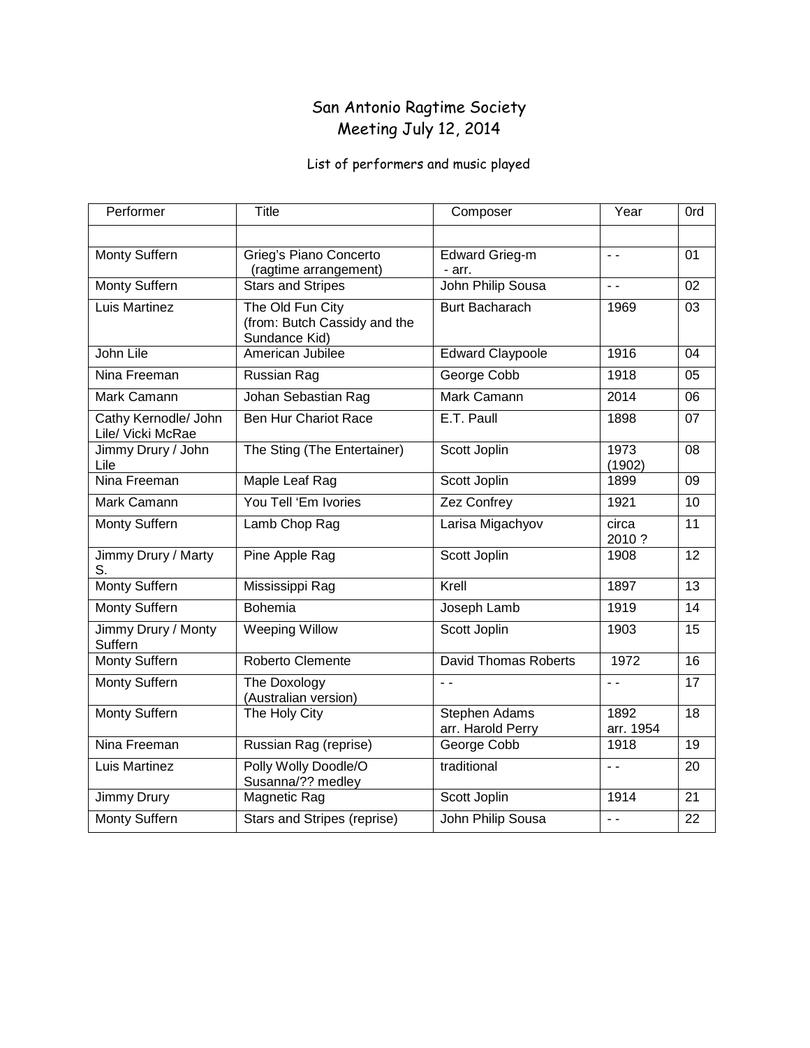### San Antonio Ragtime Society Meeting July 12, 2014

| Performer                                 | Title                                                             | Composer                                  | Year              | 0rd             |
|-------------------------------------------|-------------------------------------------------------------------|-------------------------------------------|-------------------|-----------------|
|                                           |                                                                   |                                           |                   |                 |
| Monty Suffern                             | Grieg's Piano Concerto<br>(ragtime arrangement)                   | <b>Edward Grieg-m</b><br>- arr.           | $\sim$ $\sim$     | 01              |
| <b>Monty Suffern</b>                      | <b>Stars and Stripes</b>                                          | <b>John Philip Sousa</b>                  | $\sim$ $\sim$     | 02              |
| Luis Martinez                             | The Old Fun City<br>(from: Butch Cassidy and the<br>Sundance Kid) | <b>Burt Bacharach</b>                     | 1969              | 03              |
| John Lile                                 | American Jubilee                                                  | <b>Edward Claypoole</b>                   | 1916              | 04              |
| Nina Freeman                              | Russian Rag                                                       | George Cobb                               | 1918              | 05              |
| <b>Mark Camann</b>                        | Johan Sebastian Rag                                               | Mark Camann                               | 2014              | 06              |
| Cathy Kernodle/ John<br>Lile/ Vicki McRae | <b>Ben Hur Chariot Race</b>                                       | E.T. Paull                                | 1898              | 07              |
| Jimmy Drury / John<br>Lile                | The Sting (The Entertainer)                                       | Scott Joplin                              | 1973<br>(1902)    | 08              |
| Nina Freeman                              | Maple Leaf Rag                                                    | Scott Joplin                              | 1899              | 09              |
| Mark Camann                               | You Tell 'Em Ivories                                              | Zez Confrey                               | 1921              | 10              |
| Monty Suffern                             | Lamb Chop Rag                                                     | Larisa Migachyov                          | circa<br>2010?    | 11              |
| Jimmy Drury / Marty<br>S.                 | Pine Apple Rag                                                    | Scott Joplin                              | 1908              | $\overline{12}$ |
| <b>Monty Suffern</b>                      | Mississippi Rag                                                   | Krell                                     | 1897              | 13              |
| Monty Suffern                             | Bohemia                                                           | Joseph Lamb                               | 1919              | 14              |
| Jimmy Drury / Monty<br>Suffern            | <b>Weeping Willow</b>                                             | Scott Joplin                              | 1903              | 15              |
| <b>Monty Suffern</b>                      | Roberto Clemente                                                  | <b>David Thomas Roberts</b>               | 1972              | 16              |
| <b>Monty Suffern</b>                      | The Doxology<br>(Australian version)                              | $\sim$ $\sim$                             | $\sim$ $\sim$     | 17              |
| <b>Monty Suffern</b>                      | The Holy City                                                     | <b>Stephen Adams</b><br>arr. Harold Perry | 1892<br>arr. 1954 | $\overline{18}$ |
| Nina Freeman                              | Russian Rag (reprise)                                             | George Cobb                               | 1918              | 19              |
| Luis Martinez                             | Polly Wolly Doodle/O<br>Susanna/?? medley                         | traditional                               | $\sim$ $\sim$     | $\overline{20}$ |
| Jimmy Drury                               | Magnetic Rag                                                      | Scott Joplin                              | 1914              | 21              |
| Monty Suffern                             | Stars and Stripes (reprise)                                       | John Philip Sousa                         | $\sim$ $\sim$     | 22              |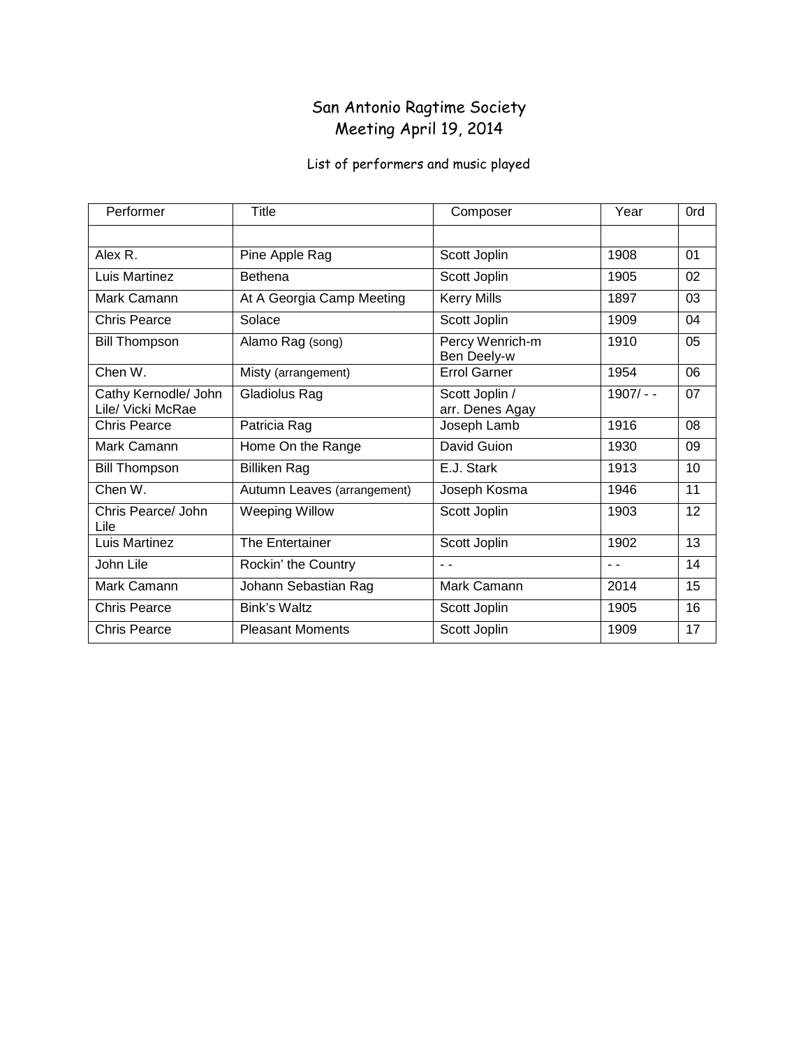### San Antonio Ragtime Society Meeting April 19, 2014

| Performer                                 | Title                       | Composer                          | Year        | 0rd |
|-------------------------------------------|-----------------------------|-----------------------------------|-------------|-----|
|                                           |                             |                                   |             |     |
| Alex R.                                   | Pine Apple Rag              | Scott Joplin                      | 1908        | 01  |
| Luis Martinez                             | <b>Bethena</b>              | Scott Joplin                      | 1905        | 02  |
| Mark Camann                               | At A Georgia Camp Meeting   | <b>Kerry Mills</b>                | 1897        | 03  |
| Chris Pearce                              | Solace                      | Scott Joplin                      | 1909        | 04  |
| <b>Bill Thompson</b>                      | Alamo Rag (song)            | Percy Wenrich-m<br>Ben Deely-w    | 1910        | 05  |
| Chen W.                                   | Misty (arrangement)         | <b>Errol Garner</b>               | 1954        | 06  |
| Cathy Kernodle/ John<br>Lile/ Vicki McRae | Gladiolus Rag               | Scott Joplin /<br>arr. Denes Agay | $1907/ - -$ | 07  |
| Chris Pearce                              | Patricia Rag                | Joseph Lamb                       | 1916        | 08  |
| Mark Camann                               | Home On the Range           | David Guion                       | 1930        | 09  |
| <b>Bill Thompson</b>                      | <b>Billiken Rag</b>         | E.J. Stark                        | 1913        | 10  |
| Chen W.                                   | Autumn Leaves (arrangement) | Joseph Kosma                      | 1946        | 11  |
| Chris Pearce/ John<br>Lile                | <b>Weeping Willow</b>       | Scott Joplin                      | 1903        | 12  |
| Luis Martinez                             | The Entertainer             | Scott Joplin                      | 1902        | 13  |
| John Lile                                 | Rockin' the Country         | - -                               | - -         | 14  |
| Mark Camann                               | Johann Sebastian Rag        | Mark Camann                       | 2014        | 15  |
| Chris Pearce                              | Bink's Waltz                | Scott Joplin                      | 1905        | 16  |
| <b>Chris Pearce</b>                       | <b>Pleasant Moments</b>     | Scott Joplin                      | 1909        | 17  |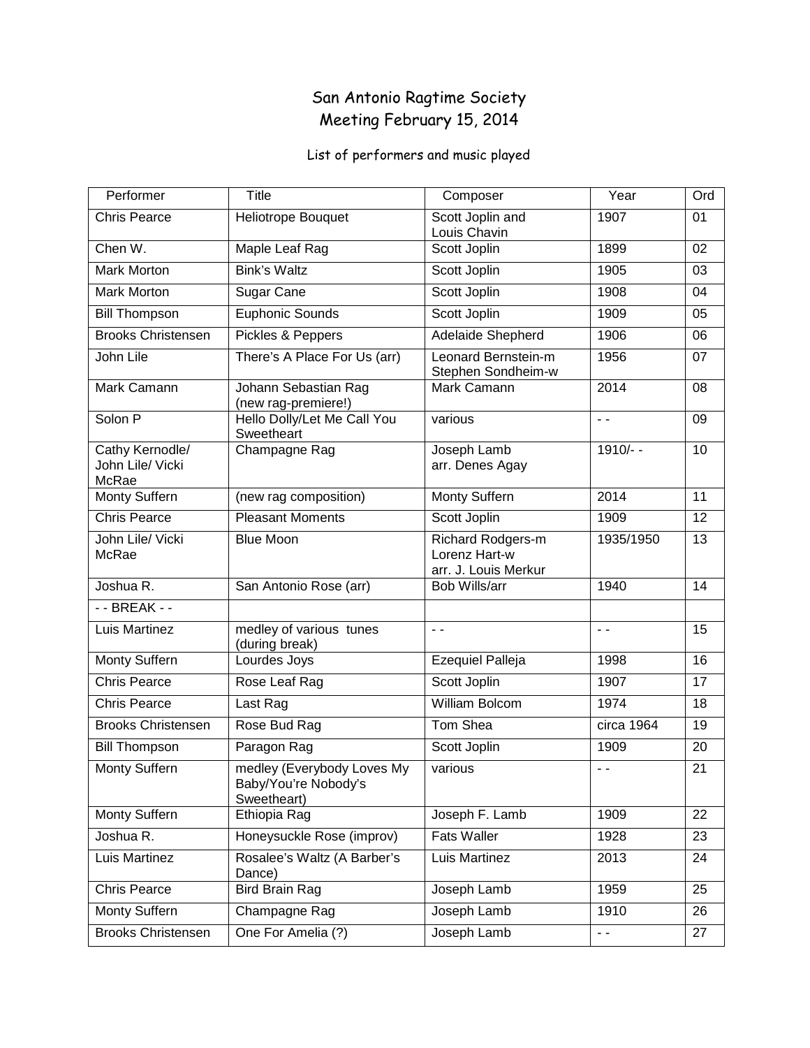### San Antonio Ragtime Society Meeting February 15, 2014

| Performer                                    | <b>Title</b>                                                      | Composer                                                   | Year          | Ord |
|----------------------------------------------|-------------------------------------------------------------------|------------------------------------------------------------|---------------|-----|
| <b>Chris Pearce</b>                          | Heliotrope Bouquet                                                | Scott Joplin and<br>Louis Chavin                           | 1907          | 01  |
| Chen W.                                      | Maple Leaf Rag                                                    | Scott Joplin                                               | 1899          | 02  |
| <b>Mark Morton</b>                           | <b>Bink's Waltz</b>                                               | Scott Joplin                                               | 1905          | 03  |
| <b>Mark Morton</b>                           | Sugar Cane                                                        | Scott Joplin                                               | 1908          | 04  |
| <b>Bill Thompson</b>                         | Euphonic Sounds                                                   | Scott Joplin                                               | 1909          | 05  |
| <b>Brooks Christensen</b>                    | Pickles & Peppers                                                 | <b>Adelaide Shepherd</b>                                   | 1906          | 06  |
| John Lile                                    | There's A Place For Us (arr)                                      | Leonard Bernstein-m<br>Stephen Sondheim-w                  | 1956          | 07  |
| Mark Camann                                  | Johann Sebastian Rag<br>(new rag-premiere!)                       | Mark Camann                                                | 2014          | 08  |
| Solon P                                      | Hello Dolly/Let Me Call You<br>Sweetheart                         | various                                                    | $\sim$ $\sim$ | 09  |
| Cathy Kernodle/<br>John Lile/ Vicki<br>McRae | Champagne Rag                                                     | Joseph Lamb<br>arr. Denes Agay                             | 1910/--       | 10  |
| Monty Suffern                                | (new rag composition)                                             | Monty Suffern                                              | 2014          | 11  |
| <b>Chris Pearce</b>                          | <b>Pleasant Moments</b>                                           | Scott Joplin                                               | 1909          | 12  |
| John Lile/ Vicki<br>McRae                    | <b>Blue Moon</b>                                                  | Richard Rodgers-m<br>Lorenz Hart-w<br>arr. J. Louis Merkur | 1935/1950     | 13  |
| Joshua R.                                    | San Antonio Rose (arr)                                            | Bob Wills/arr                                              | 1940          | 14  |
| - - BREAK - -                                |                                                                   |                                                            |               |     |
| Luis Martinez                                | medley of various tunes<br>(during break)                         | $\overline{a}$                                             | $\sim$ $\sim$ | 15  |
| <b>Monty Suffern</b>                         | Lourdes Joys                                                      | <b>Ezequiel Palleja</b>                                    | 1998          | 16  |
| <b>Chris Pearce</b>                          | Rose Leaf Rag                                                     | Scott Joplin                                               | 1907          | 17  |
| <b>Chris Pearce</b>                          | Last Rag                                                          | <b>William Bolcom</b>                                      | 1974          | 18  |
| <b>Brooks Christensen</b>                    | Rose Bud Rag                                                      | Tom Shea                                                   | circa 1964    | 19  |
| <b>Bill Thompson</b>                         | Paragon Rag                                                       | Scott Joplin                                               | 1909          | 20  |
| Monty Suffern                                | medley (Everybody Loves My<br>Baby/You're Nobody's<br>Sweetheart) | various                                                    | $\sim$ $\sim$ | 21  |
| Monty Suffern                                | Ethiopia Rag                                                      | Joseph F. Lamb                                             | 1909          | 22  |
| Joshua R.                                    | Honeysuckle Rose (improv)                                         | <b>Fats Waller</b>                                         | 1928          | 23  |
| Luis Martinez                                | Rosalee's Waltz (A Barber's<br>Dance)                             | Luis Martinez                                              | 2013          | 24  |
| <b>Chris Pearce</b>                          | <b>Bird Brain Rag</b>                                             | Joseph Lamb                                                | 1959          | 25  |
| Monty Suffern                                | Champagne Rag                                                     | Joseph Lamb                                                | 1910          | 26  |
| <b>Brooks Christensen</b>                    | One For Amelia (?)                                                | Joseph Lamb                                                | $\sim$ $\sim$ | 27  |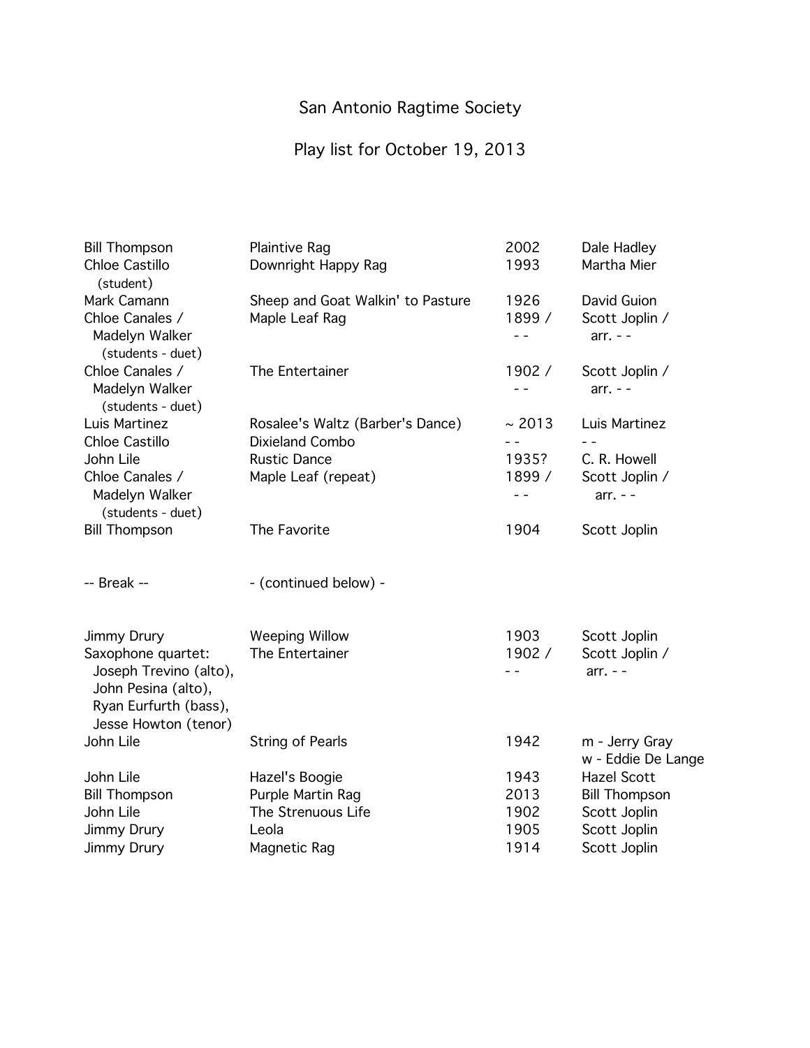# Play list for October 19, 2013

| <b>Bill Thompson</b>                                                                                                 | <b>Plaintive Rag</b>              | 2002                     | Dale Hadley                          |
|----------------------------------------------------------------------------------------------------------------------|-----------------------------------|--------------------------|--------------------------------------|
| Chloe Castillo<br>(student)                                                                                          | Downright Happy Rag               | 1993                     | Martha Mier                          |
| Mark Camann                                                                                                          | Sheep and Goat Walkin' to Pasture | 1926                     | David Guion                          |
| Chloe Canales /<br>Madelyn Walker<br>(students - duet)                                                               | Maple Leaf Rag                    | 1899 /<br>$ -$           | Scott Joplin /<br>$arr. - -$         |
| Chloe Canales /<br>Madelyn Walker<br>(students - duet)                                                               | The Entertainer                   | 1902/<br>$ -$            | Scott Joplin /<br>$arr. - -$         |
| Luis Martinez                                                                                                        | Rosalee's Waltz (Barber's Dance)  | ~2013                    | Luis Martinez                        |
| Chloe Castillo                                                                                                       | Dixieland Combo                   |                          |                                      |
| John Lile                                                                                                            | <b>Rustic Dance</b>               | 1935?                    | C. R. Howell                         |
| Chloe Canales /<br>Madelyn Walker<br>(students - duet)                                                               | Maple Leaf (repeat)               | 1899 /<br>$\overline{a}$ | Scott Joplin /<br>$arr. - -$         |
| <b>Bill Thompson</b>                                                                                                 | The Favorite                      | 1904                     | Scott Joplin                         |
| -- Break --                                                                                                          | - (continued below) -             |                          |                                      |
| Jimmy Drury                                                                                                          | <b>Weeping Willow</b>             | 1903                     | Scott Joplin                         |
| Saxophone quartet:<br>Joseph Trevino (alto),<br>John Pesina (alto),<br>Ryan Eurfurth (bass),<br>Jesse Howton (tenor) | The Entertainer                   | 1902 /<br>- -            | Scott Joplin /<br>$arr. - -$         |
| John Lile                                                                                                            | <b>String of Pearls</b>           | 1942                     | m - Jerry Gray<br>w - Eddie De Lange |
| John Lile                                                                                                            | Hazel's Boogie                    | 1943                     | <b>Hazel Scott</b>                   |
| <b>Bill Thompson</b>                                                                                                 | Purple Martin Rag                 | 2013                     | <b>Bill Thompson</b>                 |
| John Lile                                                                                                            | The Strenuous Life                | 1902                     | Scott Joplin                         |
| Jimmy Drury                                                                                                          | Leola                             | 1905                     | Scott Joplin                         |
| <b>Jimmy Drury</b>                                                                                                   | Magnetic Rag                      | 1914                     | Scott Joplin                         |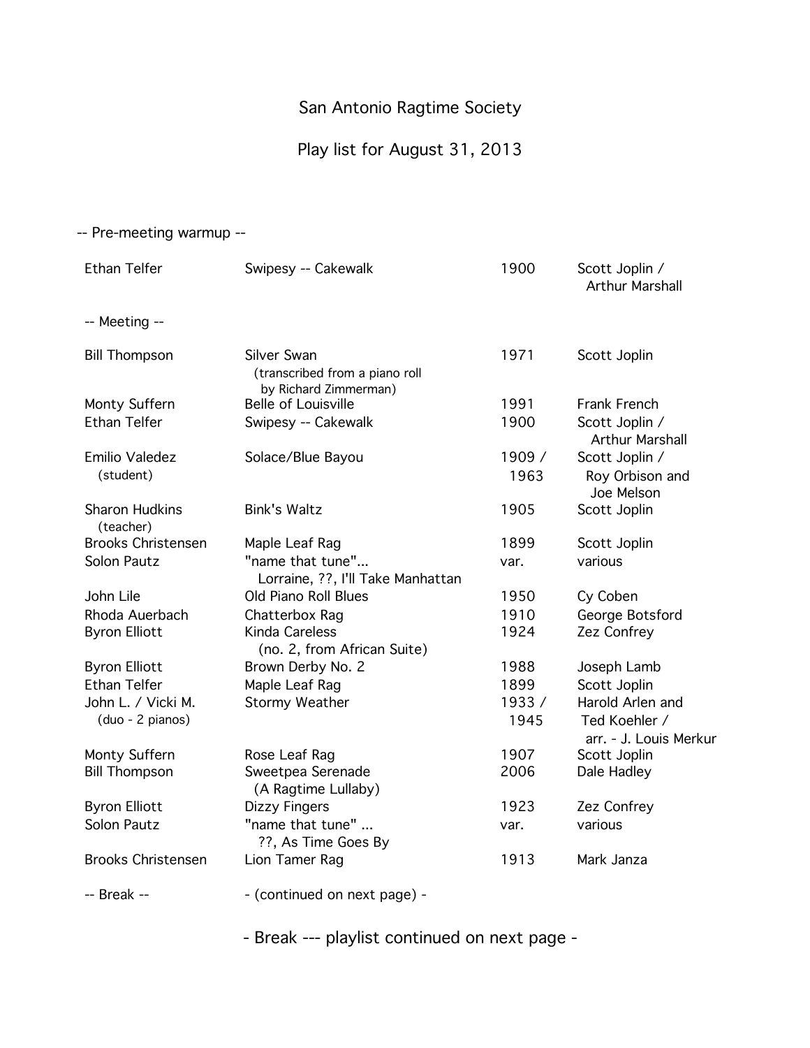### Play list for August 31, 2013

| -- Pre-meeting warmup --           |                                                                        |                |                                                 |
|------------------------------------|------------------------------------------------------------------------|----------------|-------------------------------------------------|
| <b>Ethan Telfer</b>                | Swipesy -- Cakewalk                                                    | 1900           | Scott Joplin /<br><b>Arthur Marshall</b>        |
| -- Meeting --                      |                                                                        |                |                                                 |
| <b>Bill Thompson</b>               | Silver Swan<br>(transcribed from a piano roll<br>by Richard Zimmerman) | 1971           | Scott Joplin                                    |
| Monty Suffern                      | <b>Belle of Louisville</b>                                             | 1991           | Frank French                                    |
| <b>Ethan Telfer</b>                | Swipesy -- Cakewalk                                                    | 1900           | Scott Joplin /<br><b>Arthur Marshall</b>        |
| Emilio Valedez<br>(student)        | Solace/Blue Bayou                                                      | 1909 /<br>1963 | Scott Joplin /<br>Roy Orbison and<br>Joe Melson |
| <b>Sharon Hudkins</b><br>(teacher) | <b>Bink's Waltz</b>                                                    | 1905           | Scott Joplin                                    |
| <b>Brooks Christensen</b>          | Maple Leaf Rag                                                         | 1899           | Scott Joplin                                    |
| Solon Pautz                        | "name that tune"<br>Lorraine, ??, I'll Take Manhattan                  | var.           | various                                         |
| John Lile                          | Old Piano Roll Blues                                                   | 1950           | Cy Coben                                        |
| Rhoda Auerbach                     | Chatterbox Raq                                                         | 1910           | George Botsford                                 |
| <b>Byron Elliott</b>               | Kinda Careless<br>(no. 2, from African Suite)                          | 1924           | Zez Confrey                                     |
| <b>Byron Elliott</b>               | Brown Derby No. 2                                                      | 1988           | Joseph Lamb                                     |
| <b>Ethan Telfer</b>                | Maple Leaf Rag                                                         | 1899           | Scott Joplin                                    |
| John L. / Vicki M.                 | Stormy Weather                                                         | 1933 /         | Harold Arlen and                                |
| (duo - 2 pianos)                   |                                                                        | 1945           | Ted Koehler /<br>arr. - J. Louis Merkur         |
| Monty Suffern                      | Rose Leaf Rag                                                          | 1907           | Scott Joplin                                    |
| <b>Bill Thompson</b>               | Sweetpea Serenade<br>(A Ragtime Lullaby)                               | 2006           | Dale Hadley                                     |
| <b>Byron Elliott</b>               | Dizzy Fingers                                                          | 1923           | Zez Confrey                                     |
| Solon Pautz                        | "name that tune"<br>??, As Time Goes By                                | var.           | various                                         |
| <b>Brooks Christensen</b>          | Lion Tamer Rag                                                         | 1913           | Mark Janza                                      |
| -- Break --                        | - (continued on next page) -                                           |                |                                                 |

- Break --- playlist continued on next page -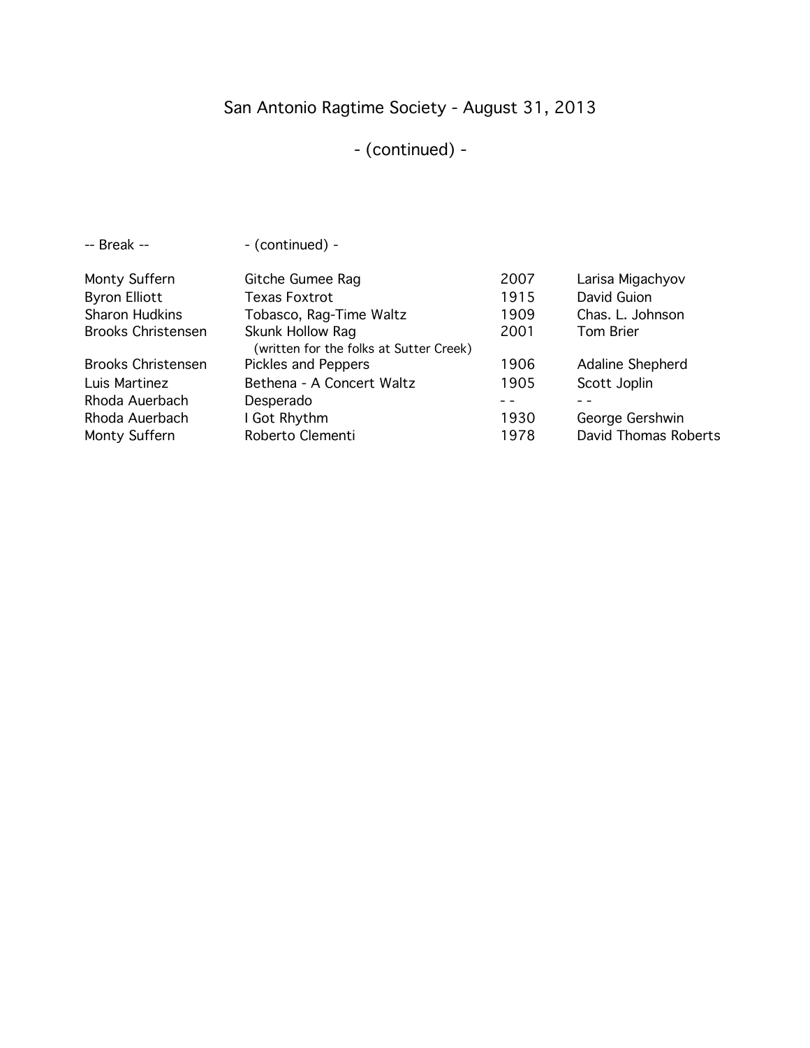# San Antonio Ragtime Society - August 31, 2013

# - (continued) -

| Monty Suffern             | Gitche Gumee Rag                                            | 2007 | Larisa Migachyov     |
|---------------------------|-------------------------------------------------------------|------|----------------------|
| <b>Byron Elliott</b>      | <b>Texas Foxtrot</b>                                        | 1915 | David Guion          |
| <b>Sharon Hudkins</b>     | Tobasco, Rag-Time Waltz                                     | 1909 | Chas. L. Johnson     |
| <b>Brooks Christensen</b> | Skunk Hollow Rag<br>(written for the folks at Sutter Creek) | 2001 | Tom Brier            |
| <b>Brooks Christensen</b> | Pickles and Peppers                                         | 1906 | Adaline Shepherd     |
| Luis Martinez             | Bethena - A Concert Waltz                                   | 1905 | Scott Joplin         |
| Rhoda Auerbach            | Desperado                                                   |      |                      |
| Rhoda Auerbach            | I Got Rhythm                                                | 1930 | George Gershwin      |
| Monty Suffern             | Roberto Clementi                                            | 1978 | David Thomas Roberts |
|                           |                                                             |      |                      |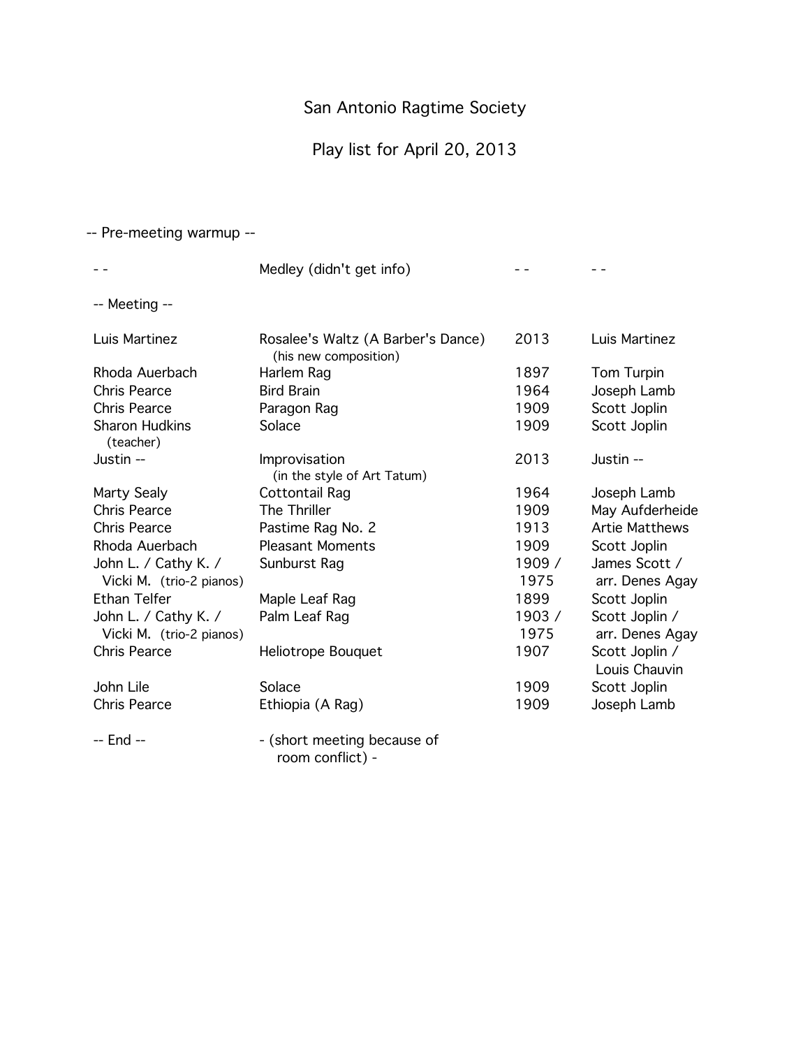# Play list for April 20, 2013

#### -- Pre-meeting warmup --

|                                                  | Medley (didn't get info)                                    |                |                                   |
|--------------------------------------------------|-------------------------------------------------------------|----------------|-----------------------------------|
| -- Meeting --                                    |                                                             |                |                                   |
| Luis Martinez                                    | Rosalee's Waltz (A Barber's Dance)<br>(his new composition) | 2013           | Luis Martinez                     |
| Rhoda Auerbach                                   | Harlem Rag                                                  | 1897           | Tom Turpin                        |
| <b>Chris Pearce</b>                              | <b>Bird Brain</b>                                           | 1964           | Joseph Lamb                       |
| <b>Chris Pearce</b>                              | Paragon Rag                                                 | 1909           | Scott Joplin                      |
| <b>Sharon Hudkins</b><br>(teacher)               | Solace                                                      | 1909           | Scott Joplin                      |
| Justin --                                        | Improvisation<br>(in the style of Art Tatum)                | 2013           | Justin --                         |
| Marty Sealy                                      | Cottontail Rag                                              | 1964           | Joseph Lamb                       |
| <b>Chris Pearce</b>                              | The Thriller                                                | 1909           | May Aufderheide                   |
| <b>Chris Pearce</b>                              | Pastime Rag No. 2                                           | 1913           | <b>Artie Matthews</b>             |
| Rhoda Auerbach                                   | <b>Pleasant Moments</b>                                     | 1909           | Scott Joplin                      |
| John L. / Cathy K. /<br>Vicki M. (trio-2 pianos) | Sunburst Rag                                                | 1909 /<br>1975 | James Scott /<br>arr. Denes Agay  |
| <b>Ethan Telfer</b>                              | Maple Leaf Rag                                              | 1899           | Scott Joplin                      |
| John L. / Cathy K. /<br>Vicki M. (trio-2 pianos) | Palm Leaf Rag                                               | 1903/<br>1975  | Scott Joplin /<br>arr. Denes Agay |
| <b>Chris Pearce</b>                              | Heliotrope Bouquet                                          | 1907           | Scott Joplin /<br>Louis Chauvin   |
| John Lile                                        | Solace                                                      | 1909           | Scott Joplin                      |
| <b>Chris Pearce</b>                              | Ethiopia (A Rag)                                            | 1909           | Joseph Lamb                       |
| -- End --                                        | - (short meeting because of                                 |                |                                   |

room conflict) -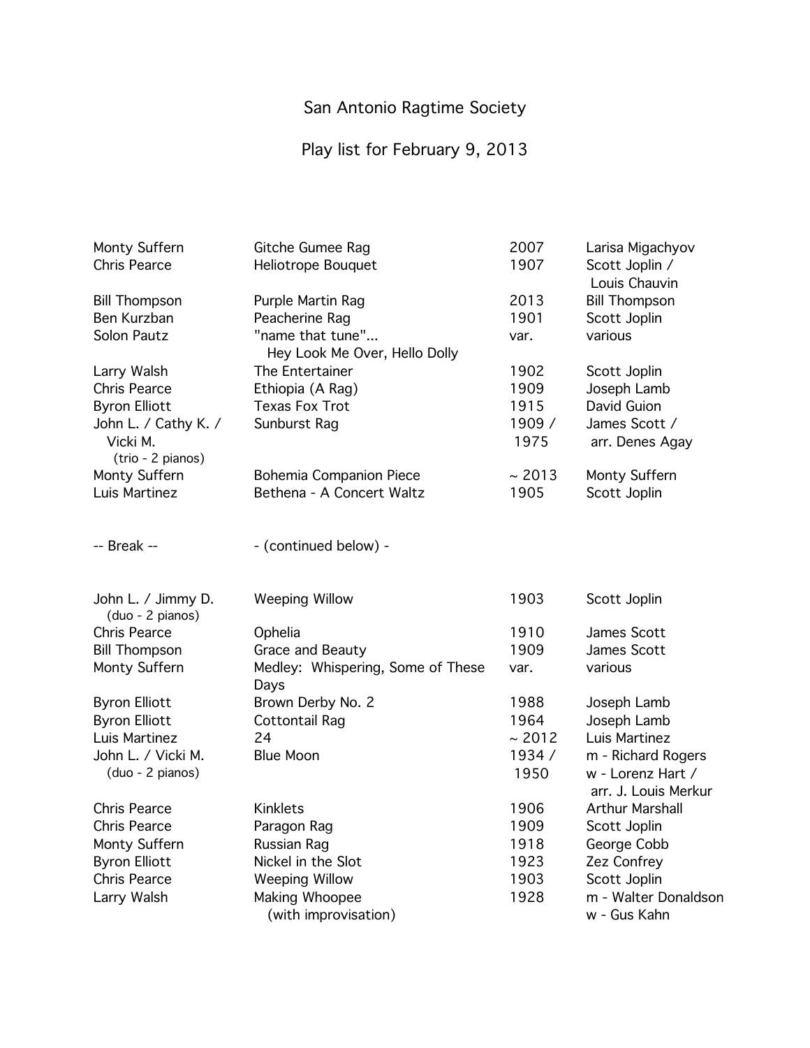# Play list for February 9, 2013

| Monty Suffern        | Gitche Gumee Rag                  | 2007   | Larisa Migachyov     |
|----------------------|-----------------------------------|--------|----------------------|
| <b>Chris Pearce</b>  | Heliotrope Bouquet                | 1907   | Scott Joplin /       |
|                      |                                   |        | Louis Chauvin        |
| <b>Bill Thompson</b> | Purple Martin Rag                 | 2013   | <b>Bill Thompson</b> |
| Ben Kurzban          | Peacherine Rag                    | 1901   | Scott Joplin         |
| Solon Pautz          | "name that tune"                  | var.   | various              |
|                      | Hey Look Me Over, Hello Dolly     |        |                      |
| Larry Walsh          | The Entertainer                   | 1902   | Scott Joplin         |
| <b>Chris Pearce</b>  | Ethiopia (A Rag)                  | 1909   | Joseph Lamb          |
| <b>Byron Elliott</b> | <b>Texas Fox Trot</b>             | 1915   | David Guion          |
| John L. / Cathy K. / | Sunburst Rag                      | 1909 / | James Scott /        |
| Vicki M.             |                                   | 1975   | arr. Denes Agay      |
| (trio - 2 pianos)    |                                   |        |                      |
| Monty Suffern        | Bohemia Companion Piece           | ~2013  | Monty Suffern        |
| Luis Martinez        | Bethena - A Concert Waltz         | 1905   | Scott Joplin         |
|                      |                                   |        |                      |
|                      |                                   |        |                      |
| $-$ Break $-$        | - (continued below) -             |        |                      |
|                      |                                   |        |                      |
| John L. / Jimmy D.   | <b>Weeping Willow</b>             | 1903   | Scott Joplin         |
| (duo - 2 pianos)     |                                   |        |                      |
| Chris Pearce         | Ophelia                           | 1910   | James Scott          |
| <b>Bill Thompson</b> | Grace and Beauty                  | 1909   | James Scott          |
| Monty Suffern        | Medley: Whispering, Some of These | var.   | various              |
|                      | Days                              |        |                      |
| <b>Byron Elliott</b> | Brown Derby No. 2                 | 1988   | Joseph Lamb          |
| <b>Byron Elliott</b> | <b>Cottontail Rag</b>             | 1964   | Joseph Lamb          |
| Luis Martinez        | 24                                | ~2012  | Luis Martinez        |
| John L. / Vicki M.   | <b>Blue Moon</b>                  | 1934/  | m - Richard Rogers   |
| (duo - 2 pianos)     |                                   | 1950   | w - Lorenz Hart /    |
|                      |                                   |        | arr. J. Louis Merkur |
| <b>Chris Pearce</b>  | <b>Kinklets</b>                   | 1906   | Arthur Marshall      |
| <b>Chris Pearce</b>  | Paragon Rag                       | 1909   | Scott Joplin         |
| Monty Suffern        | Russian Rag                       | 1918   | George Cobb          |
| <b>Byron Elliott</b> | Nickel in the Slot                | 1923   | Zez Confrey          |
| <b>Chris Pearce</b>  | <b>Weeping Willow</b>             | 1903   | Scott Joplin         |
| Larry Walsh          | Making Whoopee                    | 1928   | m - Walter Donaldson |
|                      | (with improvisation)              |        | w - Gus Kahn         |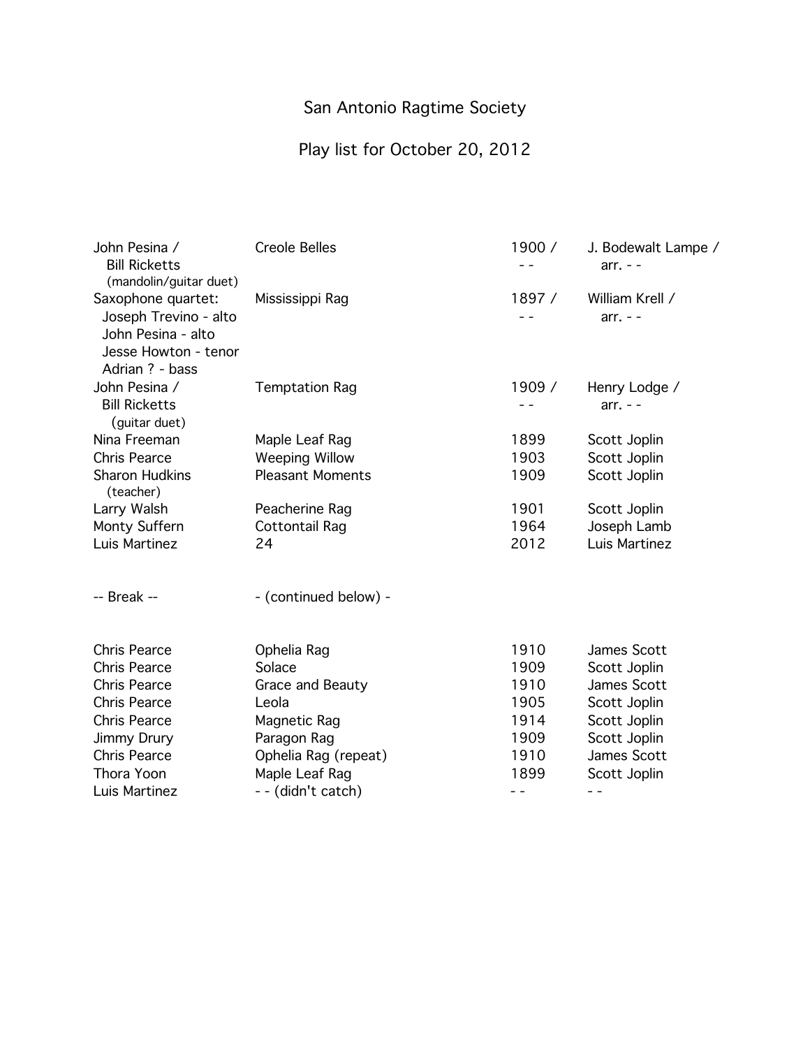# Play list for October 20, 2012

| John Pesina /<br><b>Bill Ricketts</b><br>(mandolin/guitar duet)                                              | <b>Creole Belles</b>    | 1900 /<br>- - | J. Bodewalt Lampe /<br>$arr. - -$ |
|--------------------------------------------------------------------------------------------------------------|-------------------------|---------------|-----------------------------------|
| Saxophone quartet:<br>Joseph Trevino - alto<br>John Pesina - alto<br>Jesse Howton - tenor<br>Adrian ? - bass | Mississippi Rag         | 1897/         | William Krell /<br>$arr. - -$     |
| John Pesina /<br><b>Bill Ricketts</b><br>(guitar duet)                                                       | <b>Temptation Rag</b>   | 1909 /        | Henry Lodge /<br>$arr. - -$       |
| Nina Freeman                                                                                                 | Maple Leaf Rag          | 1899          | Scott Joplin                      |
| Chris Pearce                                                                                                 | <b>Weeping Willow</b>   | 1903          | Scott Joplin                      |
| <b>Sharon Hudkins</b><br>(teacher)                                                                           | <b>Pleasant Moments</b> | 1909          | Scott Joplin                      |
| Larry Walsh                                                                                                  | Peacherine Rag          | 1901          | Scott Joplin                      |
| Monty Suffern                                                                                                | <b>Cottontail Rag</b>   | 1964          | Joseph Lamb                       |
| Luis Martinez                                                                                                | 24                      | 2012          | Luis Martinez                     |
| -- Break --                                                                                                  | - (continued below) -   |               |                                   |
| <b>Chris Pearce</b>                                                                                          | Ophelia Rag             | 1910          | James Scott                       |
| <b>Chris Pearce</b>                                                                                          | Solace                  | 1909          | Scott Joplin                      |
| <b>Chris Pearce</b>                                                                                          | Grace and Beauty        | 1910          | James Scott                       |
| <b>Chris Pearce</b>                                                                                          | Leola                   | 1905          | Scott Joplin                      |
| Chris Pearce                                                                                                 | Magnetic Rag            | 1914          | Scott Joplin                      |
| Jimmy Drury                                                                                                  | Paragon Rag             | 1909          | Scott Joplin                      |
| <b>Chris Pearce</b>                                                                                          | Ophelia Rag (repeat)    | 1910          | James Scott                       |
| Thora Yoon                                                                                                   | Maple Leaf Rag          | 1899          | Scott Joplin                      |
| Luis Martinez                                                                                                | -- (didn't catch)       | - -           |                                   |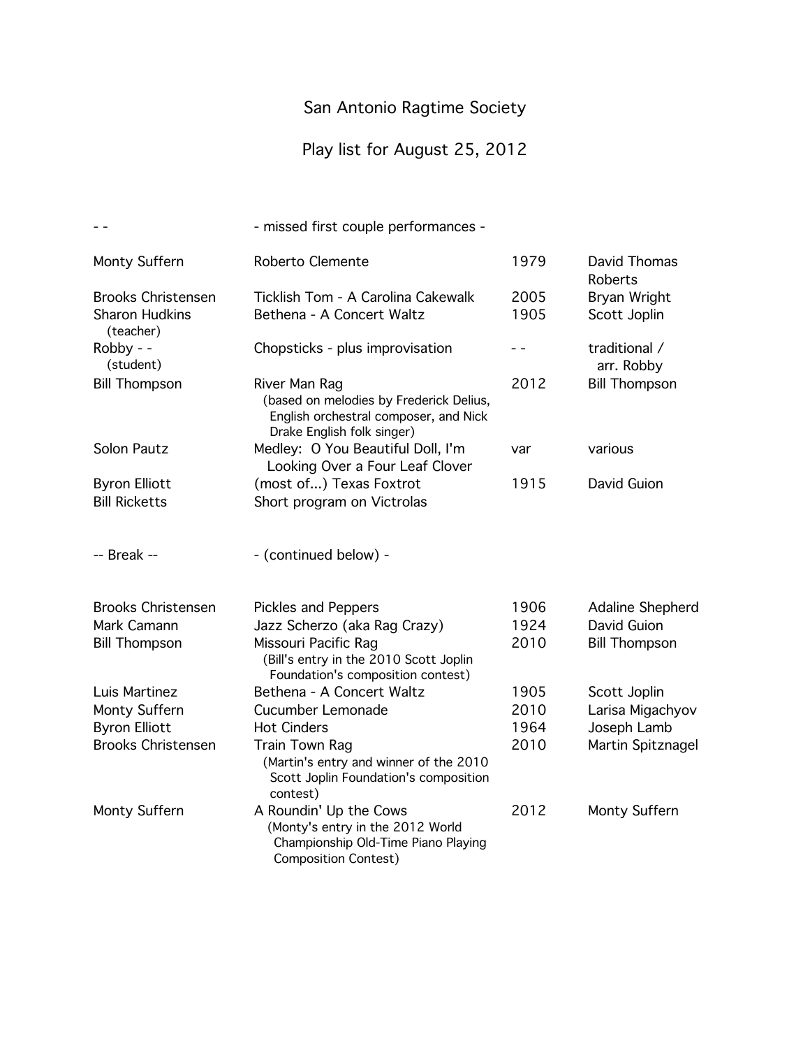# Play list for August 25, 2012

|                                    | - missed first couple performances -                                                                                             |      |                             |
|------------------------------------|----------------------------------------------------------------------------------------------------------------------------------|------|-----------------------------|
| Monty Suffern                      | Roberto Clemente                                                                                                                 | 1979 | David Thomas<br>Roberts     |
| <b>Brooks Christensen</b>          | Ticklish Tom - A Carolina Cakewalk                                                                                               | 2005 | Bryan Wright                |
| <b>Sharon Hudkins</b><br>(teacher) | Bethena - A Concert Waltz                                                                                                        | 1905 | Scott Joplin                |
| Robby - -<br>(student)             | Chopsticks - plus improvisation                                                                                                  |      | traditional /<br>arr. Robby |
| <b>Bill Thompson</b>               | River Man Rag<br>(based on melodies by Frederick Delius,<br>English orchestral composer, and Nick<br>Drake English folk singer)  | 2012 | <b>Bill Thompson</b>        |
| Solon Pautz                        | Medley: O You Beautiful Doll, I'm<br>Looking Over a Four Leaf Clover                                                             | var  | various                     |
| <b>Byron Elliott</b>               | (most of) Texas Foxtrot                                                                                                          | 1915 | David Guion                 |
| <b>Bill Ricketts</b>               | Short program on Victrolas                                                                                                       |      |                             |
| -- Break --                        | - (continued below) -                                                                                                            |      |                             |
| <b>Brooks Christensen</b>          | <b>Pickles and Peppers</b>                                                                                                       | 1906 | Adaline Shepherd            |
| Mark Camann                        | Jazz Scherzo (aka Rag Crazy)                                                                                                     | 1924 | David Guion                 |
| <b>Bill Thompson</b>               | Missouri Pacific Rag<br>(Bill's entry in the 2010 Scott Joplin<br>Foundation's composition contest)                              | 2010 | <b>Bill Thompson</b>        |
| Luis Martinez                      | Bethena - A Concert Waltz                                                                                                        | 1905 | Scott Joplin                |
| Monty Suffern                      | Cucumber Lemonade                                                                                                                | 2010 | Larisa Migachyov            |
| <b>Byron Elliott</b>               | <b>Hot Cinders</b>                                                                                                               | 1964 | Joseph Lamb                 |
| <b>Brooks Christensen</b>          | Train Town Rag<br>(Martin's entry and winner of the 2010<br>Scott Joplin Foundation's composition<br>contest)                    | 2010 | Martin Spitznagel           |
| Monty Suffern                      | A Roundin' Up the Cows<br>(Monty's entry in the 2012 World<br>Championship Old-Time Piano Playing<br><b>Composition Contest)</b> | 2012 | Monty Suffern               |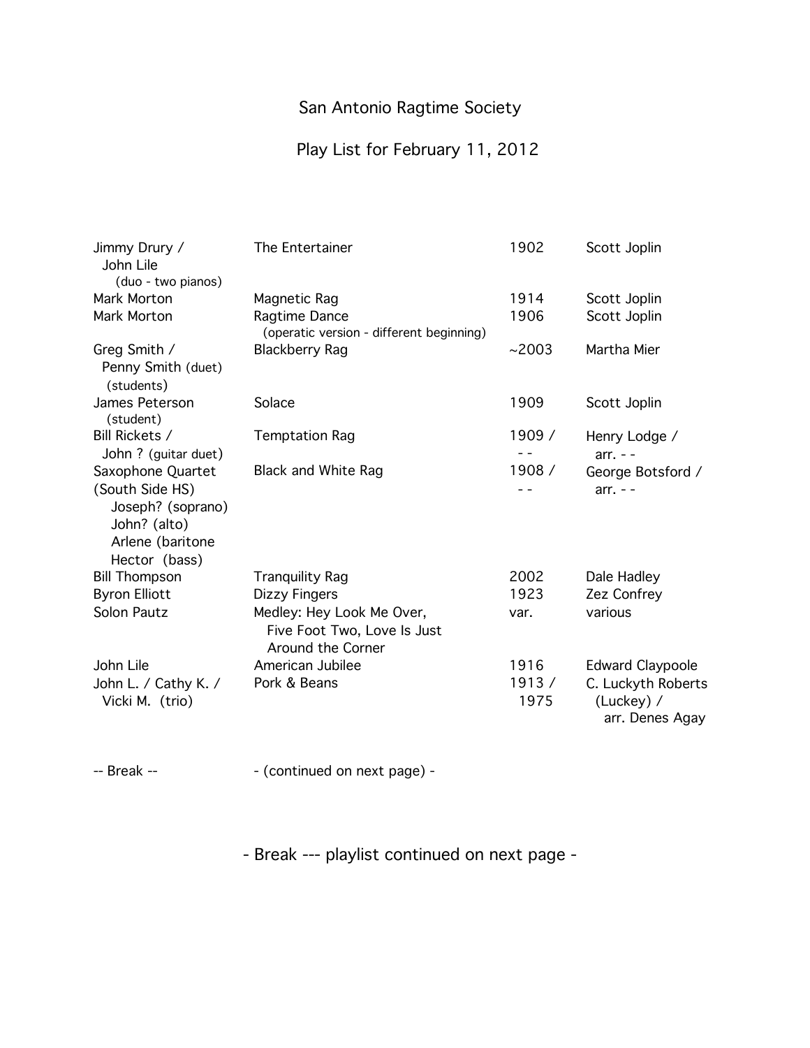### Play List for February 11, 2012

| Jimmy Drury /<br>John Lile<br>(duo - two pianos)                                                               | The Entertainer                                                               | 1902          | Scott Joplin                                        |
|----------------------------------------------------------------------------------------------------------------|-------------------------------------------------------------------------------|---------------|-----------------------------------------------------|
| Mark Morton                                                                                                    | Magnetic Rag                                                                  | 1914          | Scott Joplin                                        |
| Mark Morton                                                                                                    | Ragtime Dance<br>(operatic version - different beginning)                     | 1906          | Scott Joplin                                        |
| Greg Smith /<br>Penny Smith (duet)<br>(students)                                                               | <b>Blackberry Rag</b>                                                         | ~2003         | Martha Mier                                         |
| James Peterson<br>(student)                                                                                    | Solace                                                                        | 1909          | Scott Joplin                                        |
| Bill Rickets /<br>John ? (guitar duet)                                                                         | <b>Temptation Rag</b>                                                         | 1909 /        | Henry Lodge /<br>$arr. - -$                         |
| Saxophone Quartet<br>(South Side HS)<br>Joseph? (soprano)<br>John? (alto)<br>Arlene (baritone<br>Hector (bass) | <b>Black and White Rag</b>                                                    | 1908 /        | George Botsford /<br>$arr. - -$                     |
| <b>Bill Thompson</b>                                                                                           | <b>Tranquility Rag</b>                                                        | 2002          | Dale Hadley                                         |
| <b>Byron Elliott</b>                                                                                           | Dizzy Fingers                                                                 | 1923          | Zez Confrey                                         |
| <b>Solon Pautz</b>                                                                                             | Medley: Hey Look Me Over,<br>Five Foot Two, Love Is Just<br>Around the Corner | var.          | various                                             |
| John Lile                                                                                                      | American Jubilee                                                              | 1916          | <b>Edward Claypoole</b>                             |
| John L. / Cathy K. /<br>Vicki M. (trio)                                                                        | Pork & Beans                                                                  | 1913/<br>1975 | C. Luckyth Roberts<br>(Luckey) /<br>arr. Denes Agay |

-- Break --  $\qquad \qquad -$  (continued on next page) -

- Break --- playlist continued on next page -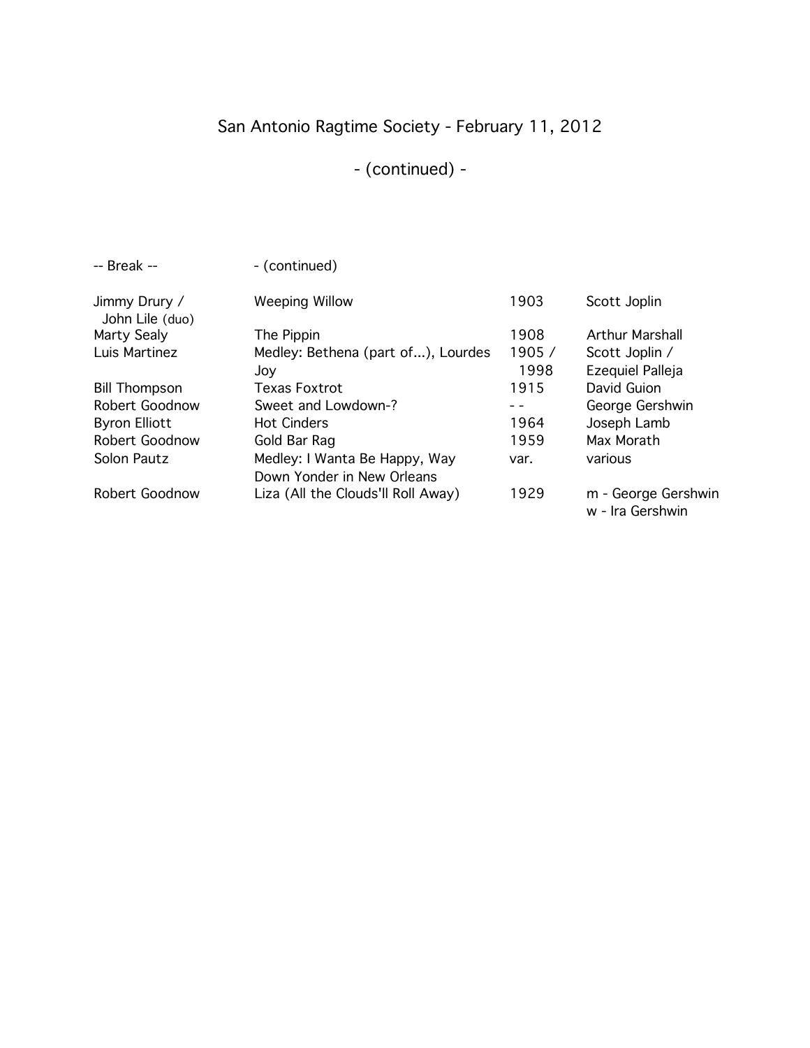# San Antonio Ragtime Society - February 11, 2012

# - (continued) -

| $-$ Break $-$                    | - (continued)                      |        |                                         |
|----------------------------------|------------------------------------|--------|-----------------------------------------|
| Jimmy Drury /<br>John Lile (duo) | <b>Weeping Willow</b>              | 1903   | Scott Joplin                            |
| Marty Sealy                      | The Pippin                         | 1908   | <b>Arthur Marshall</b>                  |
| Luis Martinez                    | Medley: Bethena (part of), Lourdes | 1905 / | Scott Joplin /                          |
|                                  | Joy                                | 1998   | Ezequiel Palleja                        |
| <b>Bill Thompson</b>             | <b>Texas Foxtrot</b>               | 1915   | David Guion                             |
| Robert Goodnow                   | Sweet and Lowdown-?                |        | George Gershwin                         |
| <b>Byron Elliott</b>             | <b>Hot Cinders</b>                 | 1964   | Joseph Lamb                             |
| Robert Goodnow                   | Gold Bar Rag                       | 1959   | Max Morath                              |
| Solon Pautz                      | Medley: I Wanta Be Happy, Way      | var.   | various                                 |
|                                  | Down Yonder in New Orleans         |        |                                         |
| Robert Goodnow                   | Liza (All the Clouds'll Roll Away) | 1929   | m - George Gershwin<br>w - Ira Gershwin |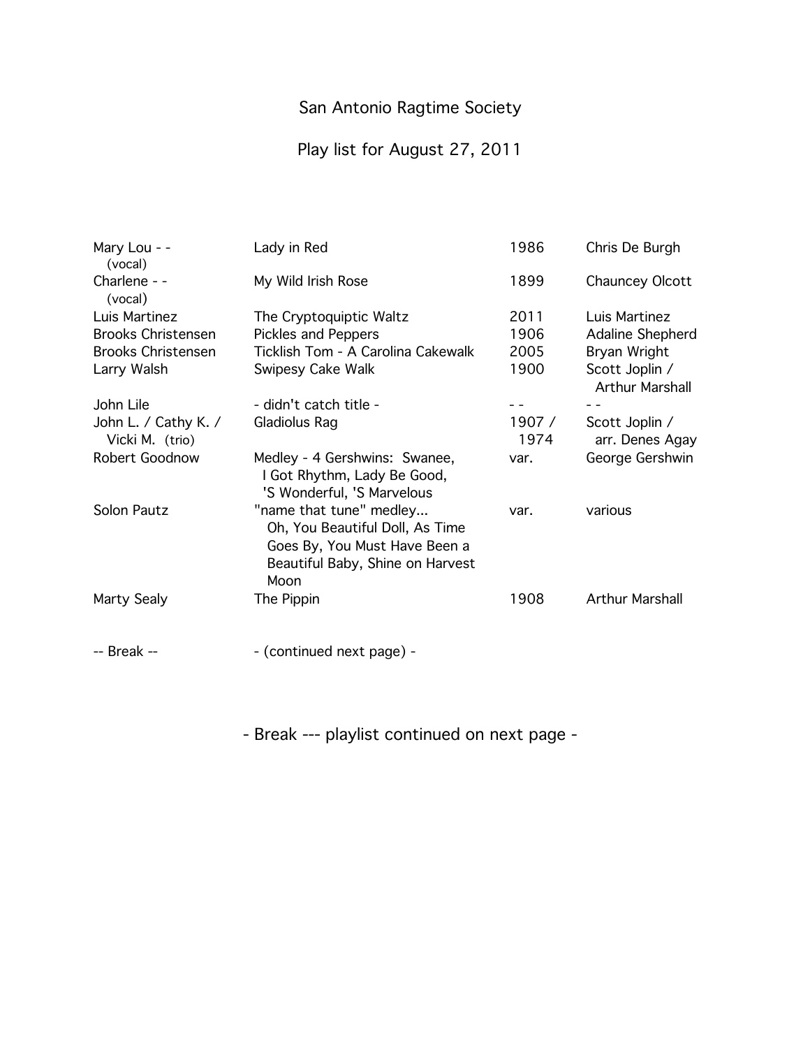# Play list for August 27, 2011

| Mary Lou - -<br>(vocal)                 | Lady in Red                                                                                                                             | 1986          | Chris De Burgh                           |
|-----------------------------------------|-----------------------------------------------------------------------------------------------------------------------------------------|---------------|------------------------------------------|
| Charlene - -<br>(vocal)                 | My Wild Irish Rose                                                                                                                      | 1899          | Chauncey Olcott                          |
| Luis Martinez                           | The Cryptoquiptic Waltz                                                                                                                 | 2011          | Luis Martinez                            |
| <b>Brooks Christensen</b>               | <b>Pickles and Peppers</b>                                                                                                              | 1906          | Adaline Shepherd                         |
| <b>Brooks Christensen</b>               | Ticklish Tom - A Carolina Cakewalk                                                                                                      | 2005          | Bryan Wright                             |
| Larry Walsh                             | Swipesy Cake Walk                                                                                                                       | 1900          | Scott Joplin /<br><b>Arthur Marshall</b> |
| John Lile                               | - didn't catch title -                                                                                                                  |               |                                          |
| John L. / Cathy K. /<br>Vicki M. (trio) | Gladiolus Rag                                                                                                                           | 1907/<br>1974 | Scott Joplin /<br>arr. Denes Agay        |
| Robert Goodnow                          | Medley - 4 Gershwins: Swanee,<br>I Got Rhythm, Lady Be Good,<br>'S Wonderful, 'S Marvelous                                              | var.          | George Gershwin                          |
| Solon Pautz                             | "name that tune" medley<br>Oh, You Beautiful Doll, As Time<br>Goes By, You Must Have Been a<br>Beautiful Baby, Shine on Harvest<br>Moon | var.          | various                                  |
| Marty Sealy                             | The Pippin                                                                                                                              | 1908          | <b>Arthur Marshall</b>                   |
| -- Break --                             | - (continued next page) -                                                                                                               |               |                                          |

- Break --- playlist continued on next page -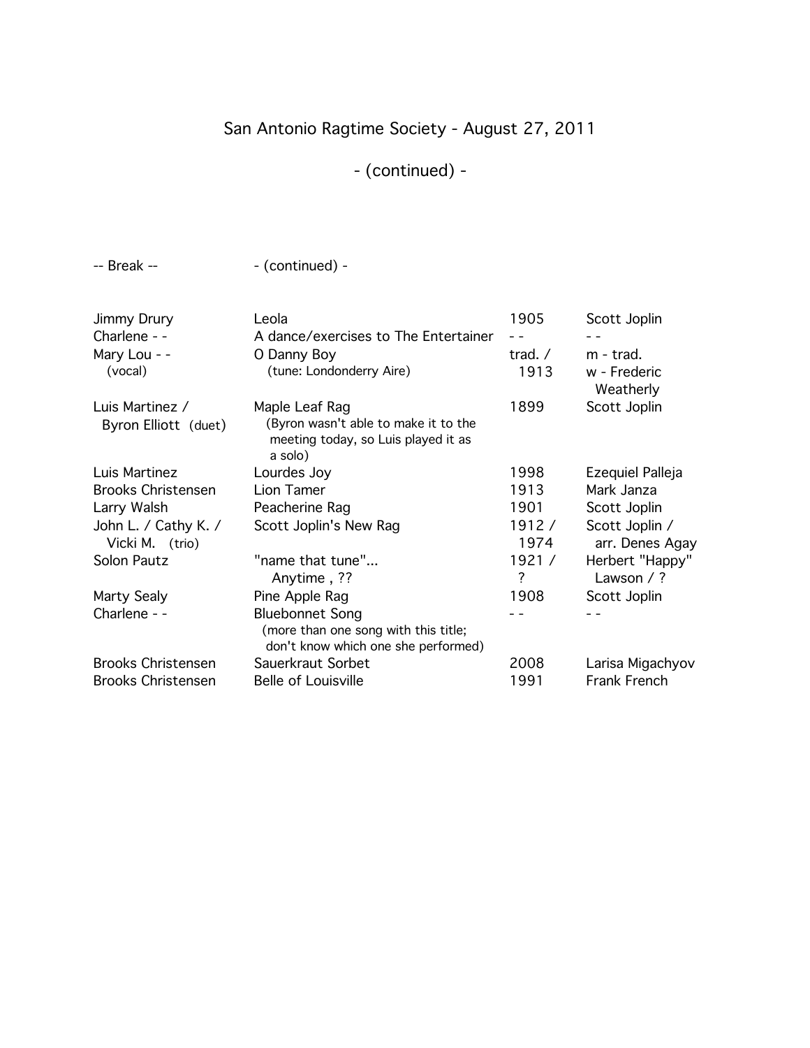# San Antonio Ragtime Society - August 27, 2011

# - (continued) -

-- Break --  $\qquad \qquad$  - (continued) -

| <b>Jimmy Drury</b>                      | Leola                                                                                                    | 1905                     | Scott Joplin                           |
|-----------------------------------------|----------------------------------------------------------------------------------------------------------|--------------------------|----------------------------------------|
| Charlene - -                            | A dance/exercises to The Entertainer                                                                     |                          |                                        |
| Mary Lou - -<br>(vocal)                 | O Danny Boy<br>(tune: Londonderry Aire)                                                                  | trad. $/$<br>1913        | m - trad.<br>w - Frederic<br>Weatherly |
| Luis Martinez /<br>Byron Elliott (duet) | Maple Leaf Rag<br>(Byron wasn't able to make it to the<br>meeting today, so Luis played it as<br>a solo) | 1899                     | Scott Joplin                           |
| Luis Martinez                           | Lourdes Joy                                                                                              | 1998                     | Ezequiel Palleja                       |
| <b>Brooks Christensen</b>               | Lion Tamer                                                                                               | 1913                     | Mark Janza                             |
| Larry Walsh                             | Peacherine Rag                                                                                           | 1901                     | Scott Joplin                           |
| John L. / Cathy K. /<br>Vicki M. (trio) | Scott Joplin's New Rag                                                                                   | 1912/<br>1974            | Scott Joplin /<br>arr. Denes Agay      |
| Solon Pautz                             | "name that tune"<br>Anytime, ??                                                                          | 1921 /<br>$\overline{?}$ | Herbert "Happy"<br>Lawson $/$ ?        |
| Marty Sealy                             | Pine Apple Rag                                                                                           | 1908                     | Scott Joplin                           |
| Charlene - -                            | <b>Bluebonnet Song</b><br>(more than one song with this title;<br>don't know which one she performed)    |                          |                                        |
| <b>Brooks Christensen</b>               | Sauerkraut Sorbet                                                                                        | 2008                     | Larisa Migachyov                       |
| <b>Brooks Christensen</b>               | <b>Belle of Louisville</b>                                                                               | 1991                     | Frank French                           |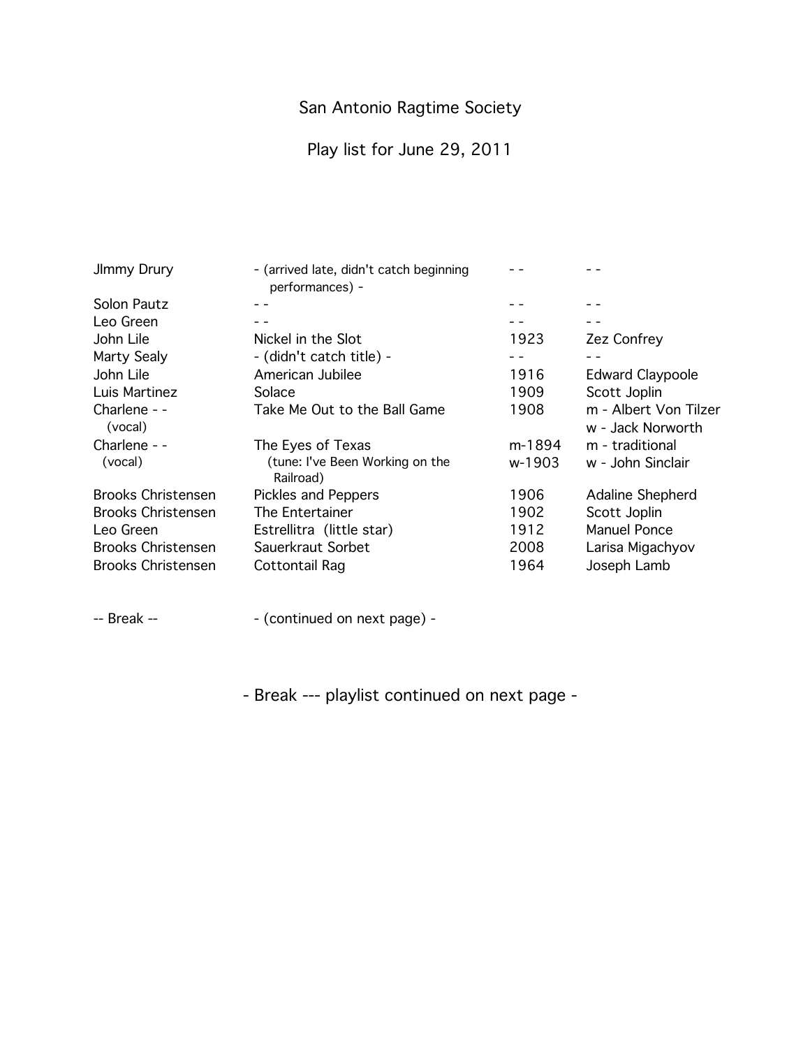Play list for June 29, 2011

| JImmy Drury               | - (arrived late, didn't catch beginning<br>performances) - |        |                                            |
|---------------------------|------------------------------------------------------------|--------|--------------------------------------------|
| Solon Pautz               |                                                            |        |                                            |
| Leo Green                 |                                                            |        |                                            |
| John Lile                 | Nickel in the Slot                                         | 1923   | Zez Confrey                                |
| Marty Sealy               | - (didn't catch title) -                                   |        |                                            |
| John Lile                 | American Jubilee                                           | 1916   | <b>Edward Claypoole</b>                    |
| Luis Martinez             | Solace                                                     | 1909   | Scott Joplin                               |
| Charlene - -<br>(vocal)   | Take Me Out to the Ball Game                               | 1908   | m - Albert Von Tilzer<br>w - Jack Norworth |
| Charlene - -              | The Eyes of Texas                                          | m-1894 | m - traditional                            |
| (vocal)                   | (tune: I've Been Working on the<br>Railroad)               | w-1903 | w - John Sinclair                          |
| <b>Brooks Christensen</b> | <b>Pickles and Peppers</b>                                 | 1906   | Adaline Shepherd                           |
| <b>Brooks Christensen</b> | The Entertainer                                            | 1902   | Scott Joplin                               |
| Leo Green                 | Estrellitra (little star)                                  | 1912   | Manuel Ponce                               |
| <b>Brooks Christensen</b> | Sauerkraut Sorbet                                          | 2008   | Larisa Migachyov                           |
| <b>Brooks Christensen</b> | Cottontail Rag                                             | 1964   | Joseph Lamb                                |

-- Break --  $\qquad \qquad -$  (continued on next page) -

- Break --- playlist continued on next page -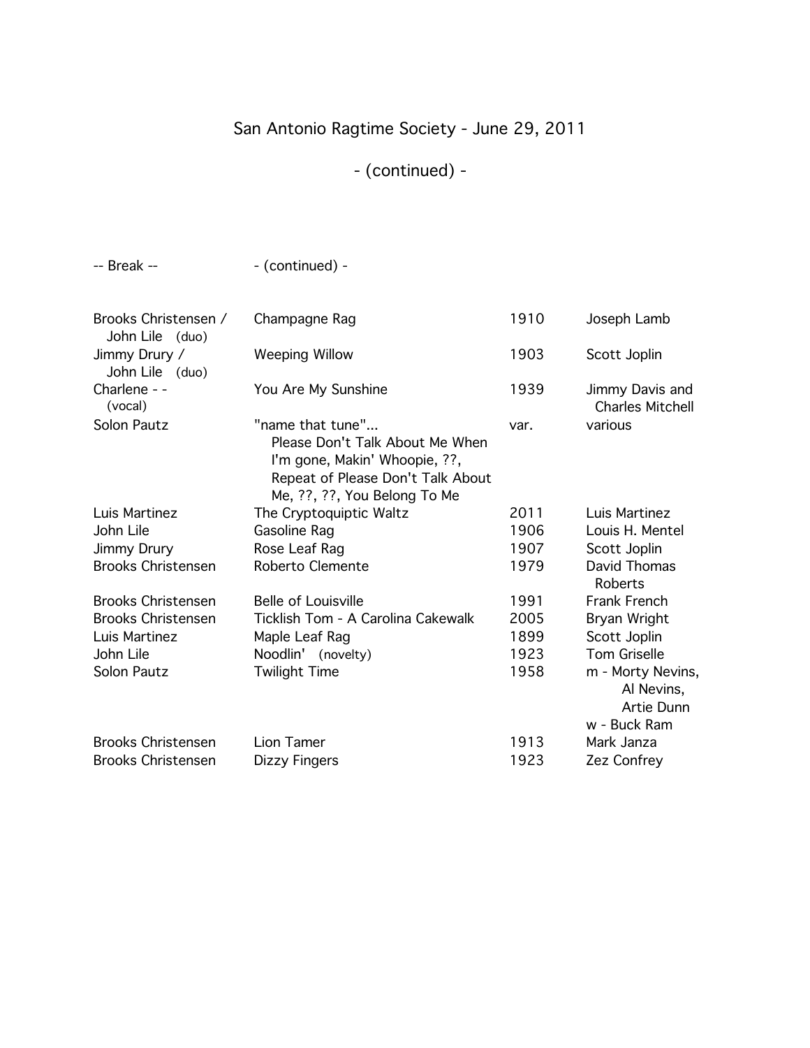# San Antonio Ragtime Society - June 29, 2011

# - (continued) -

-- Break --  $\qquad \qquad$  - (continued) -

| Brooks Christensen /<br>John Lile (duo) | Champagne Rag                                                                                                                                             | 1910 | Joseph Lamb                                |
|-----------------------------------------|-----------------------------------------------------------------------------------------------------------------------------------------------------------|------|--------------------------------------------|
| Jimmy Drury /<br>John Lile (duo)        | <b>Weeping Willow</b>                                                                                                                                     | 1903 | Scott Joplin                               |
| Charlene - -<br>(vocal)                 | You Are My Sunshine                                                                                                                                       | 1939 | Jimmy Davis and<br><b>Charles Mitchell</b> |
| Solon Pautz                             | "name that tune"<br>Please Don't Talk About Me When<br>I'm gone, Makin' Whoopie, ??,<br>Repeat of Please Don't Talk About<br>Me, ??, ??, You Belong To Me | var. | various                                    |
| Luis Martinez                           | The Cryptoquiptic Waltz                                                                                                                                   | 2011 | Luis Martinez                              |
| John Lile                               | Gasoline Rag                                                                                                                                              | 1906 | Louis H. Mentel                            |
| Jimmy Drury                             | Rose Leaf Rag                                                                                                                                             | 1907 | Scott Joplin                               |
| <b>Brooks Christensen</b>               | Roberto Clemente                                                                                                                                          | 1979 | David Thomas<br><b>Roberts</b>             |
| <b>Brooks Christensen</b>               | <b>Belle of Louisville</b>                                                                                                                                | 1991 | Frank French                               |
| <b>Brooks Christensen</b>               | Ticklish Tom - A Carolina Cakewalk                                                                                                                        | 2005 | Bryan Wright                               |
| Luis Martinez                           | Maple Leaf Rag                                                                                                                                            | 1899 | Scott Joplin                               |
| John Lile                               | Noodlin' (novelty)                                                                                                                                        | 1923 | <b>Tom Griselle</b>                        |
| Solon Pautz                             | <b>Twilight Time</b>                                                                                                                                      | 1958 | m - Morty Nevins,                          |
|                                         |                                                                                                                                                           |      | Al Nevins,                                 |
|                                         |                                                                                                                                                           |      | Artie Dunn                                 |
|                                         |                                                                                                                                                           |      | w - Buck Ram                               |
| <b>Brooks Christensen</b>               | Lion Tamer                                                                                                                                                | 1913 | Mark Janza                                 |
| <b>Brooks Christensen</b>               | Dizzy Fingers                                                                                                                                             | 1923 | Zez Confrey                                |